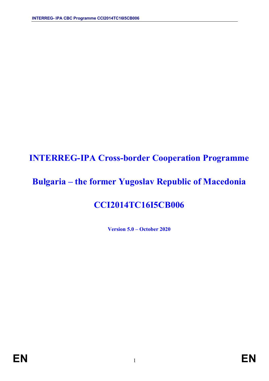# **INTERREG-IPA Cross-border Cooperation Programme**

# **Bulgaria – the former Yugoslav Republic of Macedonia**

# **CCI2014TC16I5CB006**

**Version 5.0 – October 2020**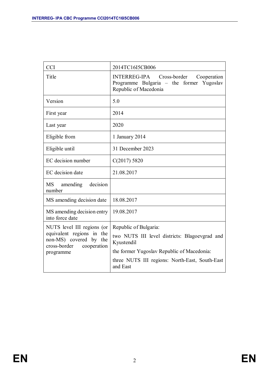| <b>CCI</b>                                                                         | 2014TC16I5CB006                                                                                            |
|------------------------------------------------------------------------------------|------------------------------------------------------------------------------------------------------------|
| Title                                                                              | INTERREG-IPA Cross-border Cooperation<br>Programme Bulgaria - the former Yugoslav<br>Republic of Macedonia |
| Version                                                                            | 5.0                                                                                                        |
| First year                                                                         | 2014                                                                                                       |
| Last year                                                                          | 2020                                                                                                       |
| Eligible from                                                                      | 1 January 2014                                                                                             |
| Eligible until                                                                     | 31 December 2023                                                                                           |
| EC decision number                                                                 | C(2017) 5820                                                                                               |
| EC decision date                                                                   | 21.08.2017                                                                                                 |
| decision<br><b>MS</b><br>amending<br>number                                        |                                                                                                            |
| MS amending decision date                                                          | 18.08.2017                                                                                                 |
| MS amending decision entry<br>into force date                                      | 19.08.2017                                                                                                 |
| NUTS level III regions (or                                                         | Republic of Bulgaria:                                                                                      |
| equivalent regions in the<br>non-MS) covered by the<br>cross-border<br>cooperation | two NUTS III level districts: Blagoevgrad and<br>Kyustendil                                                |
| programme                                                                          | the former Yugoslav Republic of Macedonia:                                                                 |
|                                                                                    | three NUTS III regions: North-East, South-East<br>and East                                                 |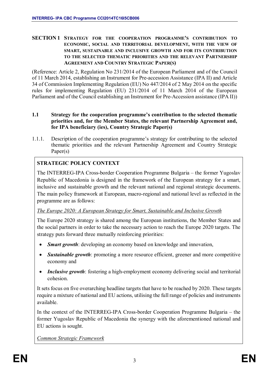#### **SECTION 1 STRATEGY FOR THE COOPERATION PROGRAMME'S CONTRIBUTION TO ECONOMIC, SOCIAL AND TERRITORIAL DEVELOPMENT, WITH THE VIEW OF SMART, SUSTAINABLE AND INCLUSIVE GROWTH AND FOR ITS CONTRIBUTION TO THE SELECTED THEMATIC PRIORITIES AND THE RELEVANT PARTNERSHIP AGREEMENT AND COUNTRY STRATEGIC PAPER(S)**

(Reference: Article 2, Regulation No 231/2014 of the European Parliament and of the Council of 11 March 2014, establishing an Instrument for Pre-accession Assistance (IPA II) and Article 34 of Commission Implementing Regulation (EU) No 447/2014 of 2 May 2014 on the specific rules for implementing Regulation (EU) 231/2014 of 11 March 2014 of the European Parliament and of the Council establishing an Instrument for Pre-Accession assistance (IPA II))

#### **1.1 Strategy for the cooperation programme's contribution to the selected thematic priorities and, for the Member States, the relevant Partnership Agreement and, for IPA beneficiary (ies), Country Strategic Paper(s)**

1.1.1. Description of the cooperation programme's strategy for contributing to the selected thematic priorities and the relevant Partnership Agreement and Country Strategic Paper(s)

# **STRATEGIC POLICY CONTEXT**

The INTERREG-IPA Cross-border Cooperation Programme Bulgaria – the former Yugoslav Republic of Macedonia is designed in the framework of the European strategy for a smart, inclusive and sustainable growth and the relevant national and regional strategic documents. The main policy framework at European, macro-regional and national level as reflected in the programme are as follows:

#### *The Europe 2020: A European Strategy for Smart, Sustainable and Inclusive Growth*

The Europe 2020 strategy is shared among the European institutions, the Member States and the social partners in order to take the necessary action to reach the Europe 2020 targets. The strategy puts forward three mutually reinforcing priorities:

- *Smart growth*: developing an economy based on knowledge and innovation,
- *Sustainable growth*: promoting a more resource efficient, greener and more competitive economy and
- *Inclusive growth*: fostering a high-employment economy delivering social and territorial cohesion.

It sets focus on five overarching headline targets that have to be reached by 2020. These targets require a mixture of national and EU actions, utilising the full range of policies and instruments available.

In the context of the INTERREG-IPA Cross-border Cooperation Programme Bulgaria – the former Yugoslav Republic of Macedonia the synergy with the aforementioned national and EU actions is sought.

*Common Strategic Framework*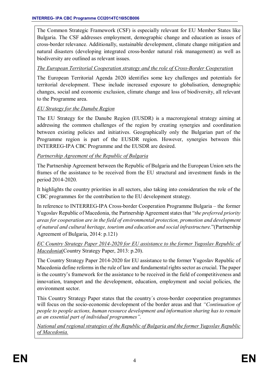The Common Strategic Framework (CSF) is especially relevant for EU Member States like Bulgaria. The CSF addresses employment, demographic change and education as issues of cross-border relevance. Additionally, sustainable development, climate change mitigation and natural disasters (developing integrated cross-border natural risk management) as well as biodiversity are outlined as relevant issues.

## *The European Territorial Cooperation strategy and the role of Cross-Border Cooperation*

The European Territorial Agenda 2020 identifies some key challenges and potentials for territorial development. These include increased exposure to globalisation, demographic changes, social and economic exclusion, climate change and loss of biodiversity, all relevant to the Programme area.

## *EU Strategy for the Danube Region*

The EU Strategy for the Danube Region (EUSDR) is a macroregional strategy aiming at addressing the common challenges of the region by creating synergies and coordination between existing policies and initiatives. Geographically only the Bulgarian part of the Programme region is part of the EUSDR region. However, synergies between this INTERREG-IPA CBC Programme and the EUSDR are desired.

## *Partnership Agreement of the Republic of Bulgaria*

The Partnership Agreement between the Republic of Bulgaria and the European Union sets the frames of the assistance to be received from the EU structural and investment funds in the period 2014-2020.

It highlights the country priorities in all sectors, also taking into consideration the role of the CBC programmes for the contribution to the EU development strategy.

In reference to INTERREG-IPA Cross-border Cooperation Programme Bulgaria – the former Yugoslav Republic of Macedonia, the Partnership Agreement states that "*the preferred priority areas for cooperation are in the field of environmental protection, promotion and development of natural and cultural heritage, tourism and education and social infrastructure.*"(Partnership Agreement of Bulgaria, 2014: p.121)

*EC Country Strategy Paper 2014-2020 for EU assistance to the former Yugoslav Republic of Macedonia*(Country Strategy Paper, 2013: p.20).

The Country Strategy Paper 2014-2020 for EU assistance to the former Yugoslav Republic of Macedonia define reforms in the rule of law and fundamental rights sector as crucial. The paper is the country's framework for the assistance to be received in the field of competitiveness and innovation, transport and the development, education, employment and social policies, the environment sector.

This Country Strategy Paper states that the country´s cross-border cooperation programmes will focus on the socio-economic development of the border areas and that *"Continuation of people to people actions, human resource development and information sharing has to remain as an essential part of individual programmes".*

*National and regional strategies of the Republic of Bulgaria and the former Yugoslav Republic of Macedonia.*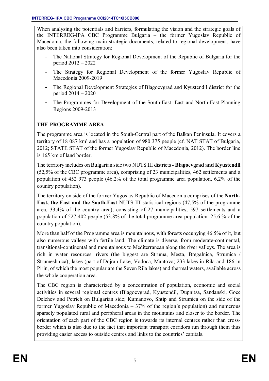When analysing the potentials and barriers, formulating the vision and the strategic goals of the INTERREG-IPA CBC Programme Bulgaria – the former Yugoslav Republic of Macedonia, the following main strategic documents, related to regional development, have also been taken into consideration:

- The National Strategy for Regional Development of the Republic of Bulgaria for the period 2012 – 2022
- The Strategy for Regional Development of the former Yugoslav Republic of Macedonia 2009-2019
- The Regional Development Strategies of Blagoevgrad and Kyustendil district for the period 2014 – 2020
- The Programmes for Development of the South-East, East and North-East Planning Regions 2009-2013

# **THE PROGRAMME AREA**

The programme area is located in the South-Central part of the Balkan Peninsula. It covers a territory of 18 087 km² and has a population of 980 375 people (cf. NAT STAT of Bulgaria, 2012; STATE STAT of the former Yugoslav Republic of Macedonia, 2012). The border line is 165 km of land border.

The territory includes on Bulgarian side two NUTS III districts - **Blagoevgrad and Kyustendil**  (52,5% of the CBC programme area), comprising of 23 municipalities, 462 settlements and a population of 452 973 people (46.2% of the total programme area population, 6,2% of the country population).

The territory on side of the former Yugoslav Republic of Macedonia comprises of the **North-East, the East and the South-East** NUTS III statistical regions (47,5% of the programme area, 33,4% of the country area), consisting of 27 municipalities, 597 settlements and a population of 527 402 people (53,8% of the total programme area population, 25.6 % of the country population).

More than half of the Programme area is mountainous, with forests occupying 46.5% of it, but also numerous valleys with fertile land. The climate is diverse, from moderate-continental, transitional-continental and mountainous to Mediterranean along the river valleys. The area is rich in water resources: rivers (the biggest are Struma, Mesta, Bregalnica, Strumica / Strumeshnica); lakes (part of Dojran Lake, Vodoca, Mantovo; 233 lakes in Rila and 186 in Pirin, of which the most popular are the Seven Rila lakes) and thermal waters, available across the whole cooperation area.

The CBC region is characterized by a concentration of population, economic and social activities in several regional centres (Blagoevgrad, Kyustendil, Dupnitsa, Sandanski, Goce Delchev and Petrich on Bulgarian side; Kumanovo, Shtip and Strumica on the side of the former Yugoslav Republic of Macedonia – 37% of the region's population) and numerous sparsely populated rural and peripheral areas in the mountains and closer to the border. The orientation of each part of the CBC region is towards its internal centres rather than crossborder which is also due to the fact that important transport corridors run through them thus providing easier access to outside centres and links to the countries' capitals.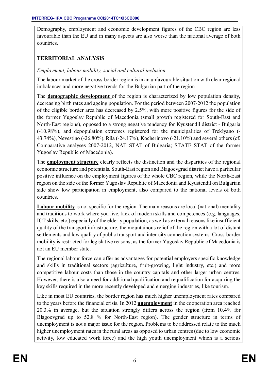Demography, employment and economic development figures of the CBC region are less favourable than the EU and in many aspects are also worse than the national average of both countries.

# **TERRITORIAL ANALYSIS**

# *Employment, labour mobility, social and cultural inclusion*

The labour market of the cross-border region is in an unfavourable situation with clear regional imbalances and more negative trends for the Bulgarian part of the region.

The **demographic development** of the region is characterized by low population density, decreasing birth rates and ageing population. For the period between 2007-2012 the population of the eligible border area has decreased by 2.5%, with more positive figures for the side of the former Yugoslav Republic of Macedonia (small growth registered for South-East and North-East regions), opposed to a strong negative tendency for Kyustendil district - Bulgaria (-10.98%), and depopulation extremes registered for the municipalities of Treklyano (- 43.74%), Nevestino (-26.80%), Rila (-24.17%), Kocherinovo (-21.10%) and several others (cf. Comparative analyses 2007-2012, NAT STAT of Bulgaria; STATE STAT of the former Yugoslav Republic of Macedonia).

The **employment structure** clearly reflects the distinction and the disparities of the regional economic structure and potentials. South-East region and Blagoevgrad district have a particular positive influence on the employment figures of the whole CBC region, while the North-East region on the side of the former Yugoslav Republic of Macedonia and Kyustendil on Bulgarian side show low participation in employment, also compared to the national levels of both countries.

**Labour mobility** is not specific for the region. The main reasons are local (national) mentality and traditions to work where you live, lack of modern skills and competences (e.g. languages, ICT skills, etc.) especially of the elderly population, as well as external reasons like insufficient quality of the transport infrastructure, the mountainous relief of the region with a lot of distant settlements and low quality of public transport and inter-city connection systems. Cross-border mobility is restricted for legislative reasons, as the former Yugoslav Republic of Macedonia is not an EU member state.

The regional labour force can offer as advantages for potential employers specific knowledge and skills in traditional sectors (agriculture, fruit-growing, light industry, etc.) and more competitive labour costs than those in the country capitals and other larger urban centres. However, there is also a need for additional qualification and requalification for acquiring the key skills required in the more recently developed and emerging industries, like tourism.

Like in most EU countries, the border region has much higher unemployment rates compared to the years before the financial crisis. In 2012 **unemployment** in the cooperation area reached 20.3% in average, but the situation strongly differs across the region (from 10.4% for Blagoevgrad up to 52.8 % for North-East region). The gender structure in terms of unemployment is not a major issue for the region. Problems to be addressed relate to the much higher unemployment rates in the rural areas as opposed to urban centres (due to low economic activity, low educated work force) and the high youth unemployment which is a serious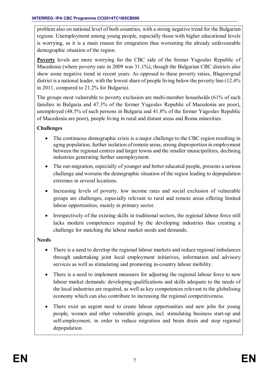problem also on national level of both countries, with a strong negative trend for the Bulgarian regions. Unemployment among young people, especially those with higher educational levels is worrying, as it is a main reason for emigration thus worsening the already unfavourable demographic situation of the region.

**Poverty** levels are more worrying for the CBC side of the former Yugoslav Republic of Macedonia (where poverty rate in 2009 was 31.1%), though the Bulgarian CBC districts also show some negative trend in recent years. As opposed to these poverty ratios, Blagoevgrad district is a national leader, with the lowest share of people living below the poverty line (12.4% in 2011, compared to 21.2% for Bulgaria).

The groups most vulnerable to poverty exclusion are multi-member households (61% of such families in Bulgaria and 47.3% of the former Yugoslav Republic of Macedonia are poor), unemployed (48.5% of such persons in Bulgaria and 41.8% of the former Yugoslav Republic of Macedonia are poor), people living in rural and distant areas and Roma minorities.

# **Challenges**

- The continuous demographic crisis is a major challenge to the CBC region resulting in aging population, further isolation of remote areas, strong disproportion in employment between the regional centres and larger towns and the smaller municipalities, declining industries generating further unemployment.
- The out-migration, especially of younger and better educated people, presents a serious challenge and worsens the demographic situation of the region leading to depopulation extremes in several locations.
- Increasing levels of poverty, low income rates and social exclusion of vulnerable groups are challenges, especially relevant to rural and remote areas offering limited labour opportunities, mainly in primary sector.
- Irrespectively of the existing skills in traditional sectors, the regional labour force still lacks modern competences required by the developing industries thus creating a challenge for matching the labour market needs and demands.

## **Needs**

- There is a need to develop the regional labour markets and reduce regional imbalances through undertaking joint local employment initiatives, information and advisory services as well as stimulating and promoting in-country labour mobility.
- There is a need to implement measures for adjusting the regional labour force to new labour market demands: developing qualifications and skills adequate to the needs of the local industries are required, as well as key competences relevant to the globalising economy which can also contribute to increasing the regional competitiveness.
- There exist an urgent need to create labour opportunities and new jobs for young people, women and other vulnerable groups, incl. stimulating business start-up and self-employment, in order to reduce migration and brain drain and stop regional depopulation.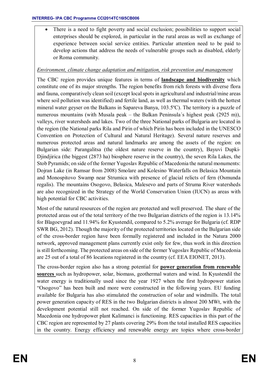There is a need to fight poverty and social exclusion; possibilities to support social enterprises should be explored, in particular in the rural areas as well as exchange of experience between social service entities. Particular attention need to be paid to develop actions that address the needs of vulnerable groups such as disabled, elderly or Roma community.

#### *Environment, climate change adaptation and mitigation, risk prevention and management*

The CBC region provides unique features in terms of **landscape and biodiversity** which constitute one of its major strengths. The region benefits from rich forests with diverse flora and fauna, comparatively clean soil (except local spots in agricultural and industrial/mine areas where soil pollution was identified) and fertile land, as well as thermal waters (with the hottest mineral water geyser on the Balkans in Sapareva Banya,  $103.5^{\circ}$ C). The territory is a puzzle of numerous mountains (with Musala peak – the Balkan Peninsula´s highest peak (2925 m)), valleys, river watersheds and lakes. Two of the three National parks of Bulgaria are located in the region (the National parks Rila and Pirin of which Pirin has been included in the UNESCO Convention on Protection of Cultural and Natural Heritage). Several nature reserves and numerous protected areas and natural landmarks are among the assets of the region: on Bulgarian side: Parangalitsa (the oldest nature reserve in the country), Bayuvi Dupki-Djindjirica (the biggest (2873 ha) biosphere reserve in the country), the seven Rila Lakes, the Stob Pyramids; on side of the former Yugoslav Republic of Macedonia the natural monuments: Dojran Lake (in Ramsar from 2008) Smolare and Kolesino Waterfalls on Belasica Mountain and Monospitovo Swamp near Strumica with presence of glacial relicts of fern (Osmunda regalis). The mountains Osogovo, Belasica, Malesevo and parts of Struma River watersheds are also recognized in the Strategy of the World Conservation Union (IUCN) as areas with high potential for CBC activities.

Most of the natural resources of the region are protected and well preserved. The share of the protected areas out of the total territory of the two Bulgarian districts of the region is 13.14% for Blagoevgrad and 11.94% for Kyustendil, compared to 5.2% average for Bulgaria (cf. RDP SWR BG, 2012). Though the majority of the protected territories located on the Bulgarian side of the cross-border region have been formally registered and included in the Natura 2000 network, approved management plans currently exist only for few, thus work in this direction is still forthcoming. The protected areas on side of the former Yugoslav Republic of Macedonia are 25 out of a total of 86 locations registered in the country (cf. EEA EIONET, 2013).

The cross-border region also has a strong potential for **power generation from renewable sources** such as hydropower, solar, biomass, geothermal waters and wind. In Kyustendil the water energy is traditionally used since the year 1927 when the first hydropower station "Osogovo" has been built and more were constructed in the following years. EU funding available for Bulgaria has also stimulated the construction of solar and windmills. The total power generation capacity of RES in the two Bulgarian districts is almost 200 MWt, with the development potential still not reached. On side of the former Yugoslav Republic of Macedonia one hydropower plant Kalimanci is functioning. RES capacities in this part of the CBC region are represented by 27 plants covering 29% from the total installed RES capacities in the country. Energy efficiency and renewable energy are topics where cross-border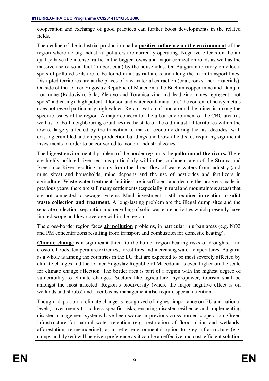cooperation and exchange of good practices can further boost developments in the related fields.

The decline of the industrial production had a **positive influence on the environment** of the region where no big industrial polluters are currently operating. Negative effects on the air quality have the intense traffic in the bigger towns and major connection roads as well as the massive use of solid fuel (timber, coal) by the households. On Bulgarian territory only local spots of polluted soils are to be found in industrial areas and along the main transport lines. Disrupted territories are at the places of raw material extraction (coal, rocks, inert materials). On side of the former Yugoslav Republic of Macedonia the Buchim copper mine and Damjan iron mine (Radovish), Sala, Zletovo and Toranica zinc and lead-zinc mines represent "hot spots" indicating a high potential for soil and water contamination. The content of heavy metals does not reveal particularly high values. Re-cultivation of land around the mines is among the specific issues of the region. A major concern for the urban environment of the CBC area (as well as for both neighbouring countries) is the state of the old industrial territories within the towns, largely affected by the transition to market economy during the last decades, with existing crumbled and empty production buildings and brown-field sites requiring significant investments in order to be converted to modern industrial zones.

The biggest environmental problem of the border region is the **pollution of the rivers.** There are highly polluted river sections particularly within the catchment area of the Struma and Bregalnica River resulting mainly from the direct flow of waste waters from industry (and mine sites) and households, mine deposits and the use of pesticides and fertilizers in agriculture. Waste water treatment facilities are insufficient and despite the progress made in previous years, there are still many settlements (especially in rural and mountainous areas) that are not connected to sewage systems. Much investment is still required in relation to **solid waste collection and treatment.** A long-lasting problem are the illegal dump sites and the separate collection, separation and recycling of solid waste are activities which presently have limited scope and low coverage within the region.

The cross-border region faces **air pollution** problems, in particular in urban areas (e.g. NO2 and PM concentrations resulting from transport and combustion for domestic heating).

**Climate change** is a significant threat to the border region bearing risks of droughts, land erosion, floods, temperature extremes, forest fires and increasing water temperatures. Bulgaria as a whole is among the countries in the EU that are expected to be most severely affected by climate changes and the former Yugoslav Republic of Macedonia is even higher on the scale for climate change affection. The border area is part of a region with the highest degree of vulnerability to climate changes. Sectors like agriculture, hydropower, tourism shall be amongst the most affected. Region's biodiversity (where the major negative effect is on wetlands and shrubs) and river basins management also require special attention.

Though adaptation to climate change is recognized of highest importance on EU and national levels, investments to address specific risks, ensuring disaster resilience and implementing disaster management systems have been scarce in previous cross-border cooperation. Green infrastructure for natural water retention (e.g. restoration of flood plains and wetlands, afforestation, re-meandering), as a better environmental option to grey infrastructure (e.g. damps and dykes) will be given preference as it can be an effective and cost-efficient solution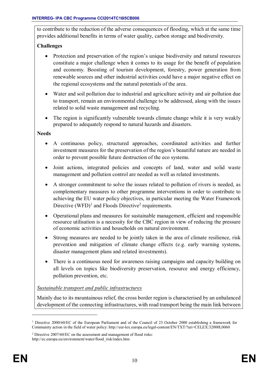to contribute to the reduction of the adverse consequences of flooding, which at the same time provides additional benefits in terms of water quality, carbon storage and biodiversity.

# **Challenges**

- Protection and preservation of the region's unique biodiversity and natural resources constitute a major challenge when it comes to its usage for the benefit of population and economy. Boosting of tourism development, forestry, power generation from renewable sources and other industrial activities could have a major negative effect on the regional ecosystems and the natural potentials of the area.
- Water and soil pollution due to industrial and agriculture activity and air pollution due to transport, remain an environmental challenge to be addressed, along with the issues related to solid waste management and recycling.
- The region is significantly vulnerable towards climate change while it is very weakly prepared to adequately respond to natural hazards and disasters.

#### **Needs**

- A continuous policy, structured approaches, coordinated activities and further investment measures for the preservation of the region's beautiful nature are needed in order to prevent possible future destruction of the eco systems.
- Joint actions, integrated policies and concepts of land, water and solid waste management and pollution control are needed as well as related investments.
- A stronger commitment to solve the issues related to pollution of rivers is needed, as complementary measures to other programme interventions in order to contribute to achieving the EU water policy objectives, in particular meeting the Water Framework Directive  $(WFD)^1$  and Floods Directive<sup>2</sup> requirements.
- Operational plans and measures for sustainable management, efficient and responsible resource utilisation is a necessity for the CBC region in view of reducing the pressure of economic activities and households on natural environment.
- Strong measures are needed to be jointly taken in the area of climate resilience, risk prevention and mitigation of climate change effects (e.g. early warning systems, disaster management plans and related investments).
- There is a continuous need for awareness raising campaigns and capacity building on all levels on topics like biodiversity preservation, resource and energy efficiency, pollution prevention, etc.

## *Sustainable transport and public infrastructures*

Mainly due to its mountainous relief, the cross border region is characterised by an unbalanced development of the connecting infrastructures, with road transport being the main link between

 $\overline{a}$ 

<sup>&</sup>lt;sup>1</sup> Directive 2000/60/EC of the European Parliament and of the Council of 23 October 2000 establishing a framework for Community action in the field of water policy: http://eur-lex.europa.eu/legal-content/EN/TXT/?uri=CELEX:32000L0060

<sup>2</sup> Directive 2007/60/EC on the assessment and management of flood risks:

http://ec.europa.eu/environment/water/flood\_risk/index.htm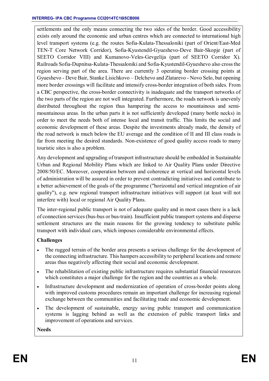settlements and the only means connecting the two sides of the border. Good accessibility exists only around the economic and urban centres which are connected to international high level transport systems (e.g. the routes Sofia-Kulata-Thessaloniki (part of Orient/East-Med TEN-T Core Network Corridor), Sofia-Kyustendil-Gyueshevo-Deve Bair-Skopje (part of SEETO Corridor VIII) and Kumanovo-Veles-Gevgelija (part of SEETO Corridor X). Railroads Sofia-Dupnitsa-Kulata-Thessaloniki and Sofia-Kyustendil-Gyueshevo also cross the region serving part of the area. There are currently 3 operating border crossing points at Gyueshevo - Deve Bair, Stanke Lisichkovo – Delchevo and Zlatarevo - Novo Selo, but opening more border crossings will facilitate and intensify cross-border integration of both sides. From a CBC perspective, the cross-border connectivity is inadequate and the transport networks of the two parts of the region are not well integrated. Furthermore, the roads network is unevenly distributed throughout the region thus hampering the access to mountainous and semimountainous areas. In the urban parts it is not sufficiently developed (many bottle necks) in order to meet the needs both of intense local and transit traffic. This limits the social and economic development of these areas. Despite the investments already made, the density of the road network is much below the EU average and the condition of II and III class roads is far from meeting the desired standards. Non-existence of good quality access roads to many touristic sites is also a problem.

Any development and upgrading of transport infrastructure should be embedded in Sustainable Urban and Regional Mobility Plans which are linked to Air Quality Plans under Directive 2008/50/EC. Moreover, cooperation between and coherence at vertical and horizontal levels of administration will be assured in order to prevent contradicting initiatives and contribute to a better achievement of the goals of the programme ("horizontal and vertical integration of air quality"), e.g. new regional transport infrastructure initiatives will support (at least will not interfere with) local or regional Air Quality Plans.

The inter-regional public transport is not of adequate quality and in most cases there is a lack of connection services (bus-bus or bus-train). Insufficient public transport systems and disperse settlement structures are the main reasons for the growing tendency to substitute public transport with individual cars, which imposes considerable environmental effects.

# **Challenges**

- The rugged terrain of the border area presents a serious challenge for the development of the connecting infrastructure. This hampers accessibility to peripheral locations and remote areas thus negatively affecting their social and economic development.
- The rehabilitation of existing public infrastructure requires substantial financial resources which constitutes a major challenge for the region and the countries as a whole.
- Infrastructure development and modernization of operation of cross-border points along with improved customs procedures remain an important challenge for increasing regional exchange between the communities and facilitating trade and economic development.
- The development of sustainable, energy saving public transport and communication systems is lagging behind as well as the extension of public transport links and improvement of operations and services.

**Needs**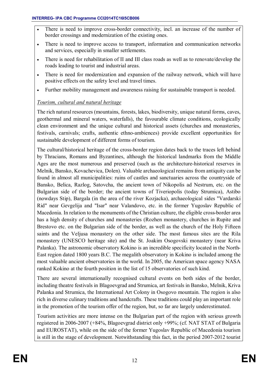- There is need to improve cross-border connectivity, incl. an increase of the number of border crossings and modernization of the existing ones.
- There is need to improve access to transport, information and communication networks and services, especially in smaller settlements.
- There is need for rehabilitation of II and III class roads as well as to renovate/develop the roads leading to tourist and industrial areas.
- There is need for modernization and expansion of the railway network, which will have positive effects on the safety level and travel times.
- Further mobility management and awareness raising for sustainable transport is needed.

# *Tourism, cultural and natural heritage*

The rich natural resources (mountains, forests, lakes, biodiversity, unique natural forms, caves, geothermal and mineral waters, waterfalls), the favourable climate conditions, ecologically clean environment and the unique cultural and historical assets (churches and monasteries, festivals, carnivals; crafts, authentic ethno-ambiences) provide excellent opportunities for sustainable development of different forms of tourism.

The cultural/historical heritage of the cross-border region dates back to the traces left behind by Thracians, Romans and Byzantines, although the historical landmarks from the Middle Ages are the most numerous and preserved (such as the architecture-historical reserves in Melnik, Bansko, Kovachevica, Dolen). Valuable archaeological remains from antiquity can be found in almost all municipalities: ruins of castles and sanctuaries across the countryside of Bansko, Belica, Razlog, Satovcha, the ancient town of Nikopolis ad Nestrum, etc. on the Bulgarian side of the border; the ancient towns of Tiveriopolis (today Strumica), Astibo (nowdays Stip), Bargala (in the area of the river Kozjacka), archaeological sides "Vardarski Rid" near Gevgelija and "Isar" near Valandovo, etc. in the former Yugoslav Republic of Macedonia. In relation to the monuments of the Christian culture, the eligible cross-border area has a high density of churches and monasteries (Rozhen monastery, churches in Rupite and Brestovo etc. on the Bulgarian side of the border, as well as the church of the Holy Fifteen saints and the Veljusa monastery on the other side. The most famous sites are the Rila monastery (UNESCO heritage site) and the St. Joakim Osogovski monastery (near Kriva Palanka). The astronomic observatory Kokino is an incredible specificity located in the North-East region dated 1800 years B.C. The megalith observatory in Kokino is included among the most valuable ancient observatories in the world. In 2005, the American space agency NASA ranked Kokino at the fourth position in the list of 15 observatories of such kind.

There are several internationally recognised cultural events on both sides of the border, including theatre festivals in Blagoevgrad and Strumica, art festivals in Bansko, Melnik, Kriva Palanka and Strumica, the International Art Colony in Osogovo mountain. The region is also rich in diverse culinary traditions and handcrafts. These traditions could play an important role in the promotion of the tourism offer of the region, but, so far are largely underestimated.

Tourism activities are more intense on the Bulgarian part of the region with serious growth registered in 2006-2007 (+84%, Blagoevgrad district only +99%; (cf. NAT STAT of Bulgaria and EUROSTAT), while on the side of the former Yugoslav Republic of Macedonia tourism is still in the stage of development. Notwithstanding this fact, in the period 2007-2012 tourist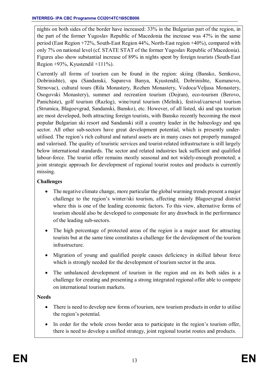nights on both sides of the border have increased: 33% in the Bulgarian part of the region, in the part of the former Yugoslav Republic of Macedonia the increase was 47% in the same period (East Region +72%, South-East Region 44%, North-East region +40%), compared with only 7% on national level (cf. STATE STAT of the former Yugoslav Republic of Macedonia). Figures also show substantial increase of 89% in nights spent by foreign tourists (South-East Region +93%, Kyustendil +111%).

Currently all forms of tourism can be found in the region: skiing (Bansko, Semkovo, Dobrinishte), spa (Sandanski, Sapareva Banya, Kyustendil, Dobrinishte, Kumanovo, Strnovac), cultural tours (Rila Monastery, Rozhen Monastery, Vodoca/Veljusa Monastery, Osogovski Monastery), summer and recreation tourism (Dojran), eco-tourism (Berovo, Panichiste), golf tourism (Razlog), wine/rural tourism (Melnik), festival/carneval tourism (Strumica, Blagoevgrad, Sandanski, Bansko), etc. However, of all listed, ski and spa tourism are most developed, both attracting foreign tourists, with Bansko recently becoming the most popular Bulgarian ski resort and Sandanski still a country leader in the balneology and spa sector. All other sub-sectors have great development potential, which is presently underutilised. The region's rich cultural and natural assets are in many cases not properly managed and valorised. The quality of touristic services and tourist-related infrastructure is still largely below international standards. The sector and related industries lack sufficient and qualified labour-force. The tourist offer remains mostly seasonal and not widely-enough promoted; a joint strategic approach for development of regional tourist routes and products is currently missing.

# **Challenges**

- The negative climate change, more particular the global warming trends present a major challenge to the region's winter/ski tourism, affecting mainly Blagoevgrad district where this is one of the leading economic factors. To this view, alternative forms of tourism should also be developed to compensate for any drawback in the performance of the leading sub-sectors.
- The high percentage of protected areas of the region is a major asset for attracting tourists but at the same time constitutes a challenge for the development of the tourism infrastructure.
- Migration of young and qualified people causes deficiency in skilled labour force which is strongly needed for the development of tourism sector in the area.
- The unbalanced development of tourism in the region and on its both sides is a challenge for creating and presenting a strong integrated regional offer able to compete on international tourism markets.

## **Needs**

- There is need to develop new forms of tourism, new tourism products in order to utilise the region's potential.
- In order for the whole cross border area to participate in the region's tourism offer, there is need to develop a unified strategy, joint regional tourist routes and products.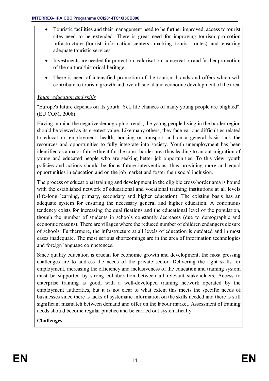- Touristic facilities and their management need to be further improved; access to tourist sites need to be extended. There is great need for improving tourism promotion infrastructure (tourist information centers, marking tourist routes) and ensuring adequate touristic services.
- Investments are needed for protection, valorisation, conservation and further promotion of the cultural/historical heritage.
- There is need of intensified promotion of the tourism brands and offers which will contribute to tourism growth and overall social and economic development of the area.

# *Youth, education and skills*

"Europe's future depends on its youth. Yet, life chances of many young people are blighted". (EU COM, 2008).

Having in mind the negative demographic trends, the young people living in the border region should be viewed as its greatest value. Like many others, they face various difficulties related to education, employment, health, housing or transport and on a general basis lack the resources and opportunities to fully integrate into society. Youth unemployment has been identified as a major future threat for the cross-border area thus leading to an out-migration of young and educated people who are seeking better job opportunities. To this view, youth policies and actions should be focus future interventions, thus providing more and equal opportunities in education and on the job market and foster their social inclusion.

The process of educational training and development in the eligible cross-border area is bound with the established network of educational and vocational training institutions at all levels (life-long learning, primary, secondary and higher education). The existing basis has an adequate system for ensuring the necessary general and higher education. A continuous tendency exists for increasing the qualifications and the educational level of the population, though the number of students in schools constantly decreases (due to demographic and economic reasons). There are villages where the reduced number of children endangers closure of schools. Furthermore, the infrastructure at all levels of education is outdated and in most cases inadequate. The most serious shortcomings are in the area of information technologies and foreign language competences.

Since quality education is crucial for economic growth and development, the most pressing challenges are to address the needs of the private sector. Delivering the right skills for employment, increasing the efficiency and inclusiveness of the education and training system must be supported by strong collaboration between all relevant stakeholders. Access to enterprise training is good, with a well-developed training network operated by the employment authorities, but it is not clear to what extent this meets the specific needs of businesses since there is lacks of systematic information on the skills needed and there is still significant mismatch between demand and offer on the labour market. Assessment of training needs should become regular practice and be carried out systematically.

# **Challenges**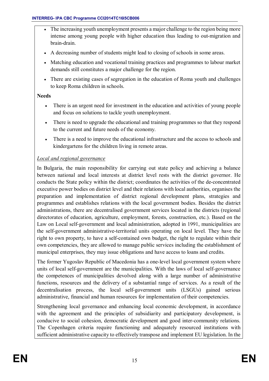- The increasing youth unemployment presents a major challenge to the region being more intense among young people with higher education thus leading to out-migration and brain-drain.
- A decreasing number of students might lead to closing of schools in some areas.
- Matching education and vocational training practices and programmes to labour market demands still constitutes a major challenge for the region.
- There are existing cases of segregation in the education of Roma youth and challenges to keep Roma children in schools.

## **Needs**

- There is an urgent need for investment in the education and activities of young people and focus on solutions to tackle youth unemployment.
- There is need to upgrade the educational and training programmes so that they respond to the current and future needs of the economy.
- There is a need to improve the educational infrastructure and the access to schools and kindergartens for the children living in remote areas.

## *Local and regional governance*

In Bulgaria, the main responsibility for carrying out state policy and achieving a balance between national and local interests at district level rests with the district governor. He conducts the State policy within the district; coordinates the activities of the de-concentrated executive power bodies on district level and their relations with local authorities, organises the preparation and implementation of district regional development plans, strategies and programmes and establishes relations with the local government bodies. Besides the district administrations, there are decentralised government services located in the districts (regional directorates of education, agriculture, employment, forests, construction, etc.). Based on the Law on Local self-government and local administration, adopted in 1991, municipalities are the self-government administrative-territorial units operating on local level. They have the right to own property, to have a self-contained own budget, the right to regulate within their own competencies, they are allowed to manage public services including the establishment of municipal enterprises, they may issue obligations and have access to loans and credits.

The former Yugoslav Republic of Macedonia has a one-level local government system where units of local self-government are the municipalities. With the laws of local self-governance the competences of municipalities devolved along with a large number of administrative functions, resources and the delivery of a substantial range of services. As a result of the decentralisation process, the local self-government units (LSGUs) gained serious administrative, financial and human resources for implementation of their competencies.

Strengthening local governance and enhancing local economic development, in accordance with the agreement and the principles of subsidiarity and participatory development, is conducive to social cohesion, democratic development and good inter-community relations. The Copenhagen criteria require functioning and adequately resourced institutions with sufficient administrative capacity to effectively transpose and implement EU legislation. In the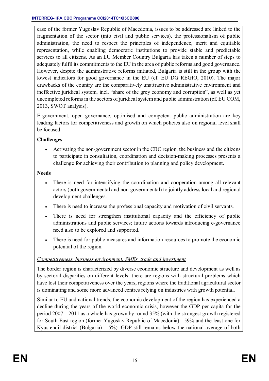case of the former Yugoslav Republic of Macedonia, issues to be addressed are linked to the fragmentation of the sector (into civil and public services), the professionalism of public administration, the need to respect the principles of independence, merit and equitable representation, while enabling democratic institutions to provide stable and predictable services to all citizens. As an EU Member Country Bulgaria has taken a number of steps to adequately fulfil its commitments to the EU in the area of public reforms and good governance. However, despite the administrative reforms initiated, Bulgaria is still in the group with the lowest indicators for good governance in the EU (cf. EU DG REGIO, 2010). The major drawbacks of the country are the comparatively unattractive administrative environment and ineffective juridical system, incl. "share of the grey economy and corruption", as well as yet uncompleted reforms in the sectors of juridical system and public administration (cf. EU COM, 2013, SWOT analysis).

E-government, open governance, optimised and competent public administration are key leading factors for competitiveness and growth on which policies also on regional level shall be focused.

## **Challenges**

 Activating the non-government sector in the CBC region, the business and the citizens to participate in consultation, coordination and decision-making processes presents a challenge for achieving their contribution to planning and policy development.

## **Needs**

- There is need for intensifying the coordination and cooperation among all relevant actors (both governmental and non-governmental) to jointly address local and regional development challenges.
- There is need to increase the professional capacity and motivation of civil servants.
- There is need for strengthen institutional capacity and the efficiency of public administrations and public services; future actions towards introducing e-governance need also to be explored and supported.
- There is need for public measures and information resources to promote the economic potential of the region.

## *Competitiveness, business environment, SMEs, trade and investment*

The border region is characterized by diverse economic structure and development as well as by sectoral disparities on different levels: there are regions with structural problems which have lost their competitiveness over the years, regions where the traditional agricultural sector is dominating and some more advanced centres relying on industries with growth potential.

Similar to EU and national trends, the economic development of the region has experienced a decline during the years of the world economic crisis, however the GDP per capita for the period 2007 – 2011 as a whole has grown by round 35% (with the strongest growth registered for South-East region (former Yugoslav Republic of Macedonia) - 59% and the least one for Kyustendil district (Bulgaria) –  $5\%$ ). GDP still remains below the national average of both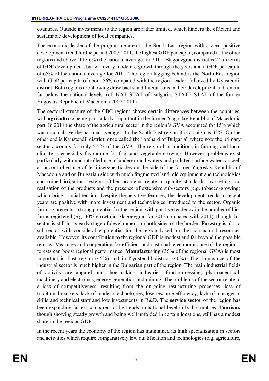countries. Outside investments to the region are rather limited, which hinders the efficient and sustainable development of local companies.

The economic leader of the programme area is the South-East region with a clear positive development trend for the period 2007-2011, the highest GDP per capita, compared to the other regions and above (115.6%) the national average for 2011. Blagoevgrad district is  $2<sup>nd</sup>$  in terms of GDP development, but with very moderate growth through the years and a GDP per capita of 65% of the national average for 2011. The region lagging behind is the North East region with GDP per capita of about 56% compared with the region' leader, followed by Kyustendil district. Both regions are showing draw backs and fluctuations in their development and remain far below the national levels. (cf. NAT STAT of Bulgaria; STATE STAT of the former Yugoslav Republic of Macedonia 2007-2011)

The sectoral structure of the CBC regions shows certain differences between the countries, with **agriculture** being particularly important in the former Yugoslav Republic of Macedonia part. In 2011 the share of the agricultural sector in the region's GVA accounted for 15% which was much above the national averages. In the South-East region it is as high as 33%. On the other end is Kyustendil district, once called the "orchard of Bulgaria" where now the primary sector accounts for only 5.5% of the GVA. The region has traditions in farming and local climate is especially favourable for fruit and vegetable growing. However, problems exist particularly with uncontrolled use of underground waters and polluted surface waters as well as uncontrolled use of fertilizers/pesticides on the side of the former Yugoslav Republic of Macedonia and on Bulgarian side with much fragmented land, old equipment and technologies and ruined irrigation systems. Other problems relate to quality standards, marketing and realisation of the products and the presence of extensive sub-sectors (e.g. tobacco-growing) which brings social tension. Despite the negative features, the development trends in recent years are positive with more investment and technologies introduced to the sector. Organic farming presents a strong potential for the region, with positive tendency in the number of biofarms registered (e.g. 30% growth in Blagoevgrad for 2012 compared with 2011), though this sector is still in its early stage of development on both sides of the border. **Forestry** is also a sub-sector with considerable potential for the region based on the rich natural resources available. However, its contribution to the regional GDP is modest and far beyond the possible returns. Measures and cooperation for efficient and sustainable economic use of the region´s forests can boost regional performance. **Manufacturing** (36% of the regional GVA) is most important in East region (45%) and in Kyustendil district (40%). The dominance of the industrial sector is much higher in the Bulgarian part of the region. The main industrial fields of activity are apparel and shoe-making industries, food-processing, pharmaceutical, machinery and electronics, energy generation and mining. The problems of the sector relate to a loss of competitiveness, resulting from the on-going restructuring processes, loss of traditional markets, lack of modern technologies, low resource efficiency, lack of managerial skills and technical staff and low investments in R&D. The **service sector** of the region has been expanding faster, compared to the trends on national level in both countries. **Tourism,** though showing steady growth and being well unfolded in certain locations, still has a modest share in the regions GDP.

In the recent years the economy of the region has maintained its high specialization in sectors and activities which require comparatively low qualification and technologies (e.g. agriculture,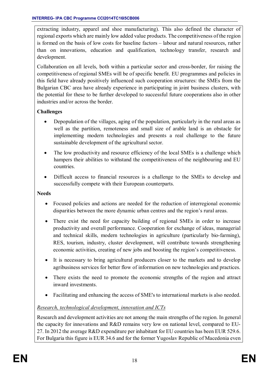extracting industry, apparel and shoe manufacturing). This also defined the character of regional exports which are mainly low added value products. The competitiveness of the region is formed on the basis of low costs for baseline factors – labour and natural resources, rather than on innovations, education and qualification, technology transfer, research and development.

Collaboration on all levels, both within a particular sector and cross-border, for raising the competitiveness of regional SMEs will be of specific benefit. EU programmes and policies in this field have already positively influenced such cooperation structures: the SMEs from the Bulgarian CBC area have already experience in participating in joint business clusters, with the potential for these to be further developed to successful future cooperations also in other industries and/or across the border.

# **Challenges**

- Depopulation of the villages, aging of the population, particularly in the rural areas as well as the partition, remoteness and small size of arable land is an obstacle for implementing modern technologies and presents a real challenge to the future sustainable development of the agricultural sector.
- The low productivity and resource efficiency of the local SMEs is a challenge which hampers their abilities to withstand the competitiveness of the neighbouring and EU countries.
- Difficult access to financial resources is a challenge to the SMEs to develop and successfully compete with their European counterparts.

## **Needs**

- Focused policies and actions are needed for the reduction of interregional economic disparities between the more dynamic urban centres and the region's rural areas.
- There exist the need for capacity building of regional SMEs in order to increase productivity and overall performance. Cooperation for exchange of ideas, managerial and technical skills, modern technologies in agriculture (particularly bio-farming), RES, tourism, industry, cluster development, will contribute towards strengthening economic activities, creating of new jobs and boosting the region's competitiveness.
- It is necessary to bring agricultural producers closer to the markets and to develop agribusiness services for better flow of information on new technologies and practices.
- There exists the need to promote the economic strengths of the region and attract inward investments.
- Facilitating and enhancing the access of SME's to international markets is also needed.

# *Research, technological development, innovation and ICTs*

Research and development activities are not among the main strengths of the region. In general the capacity for innovations and R&D remains very low on national level, compared to EU-27. In 2012 the average R&D expenditure per inhabitant for EU countries has been EUR 529.6. For Bulgaria this figure is EUR 34.6 and for the former Yugoslav Republic of Macedonia even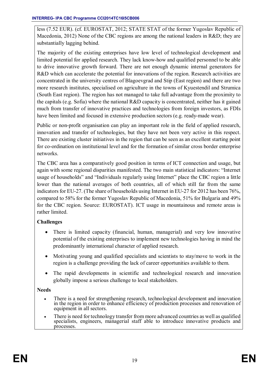less (7.52 EUR). (cf. EUROSTAT, 2012; STATE STAT of the former Yugoslav Republic of Macedonia, 2012) None of the CBC regions are among the national leaders in R&D; they are substantially lagging behind.

The majority of the existing enterprises have low level of technological development and limited potential for applied research. They lack know-how and qualified personnel to be able to drive innovative growth forward. There are not enough dynamic internal generators for R&D which can accelerate the potential for innovations of the region. Research activities are concentrated in the university centres of Blagoevgrad and Stip (East region) and there are two more research institutes, specialised on agriculture in the towns of Kyuestendil and Strumica (South East region). The region has not managed to take full advantage from the proximity to the capitals (e.g. Sofia) where the national R&D capacity is concentrated, neither has it gained much from transfer of innovative practices and technologies from foreign investors, as FDIs have been limited and focused in extensive production sectors (e.g. ready-made wear).

Public or non-profit organisation can play an important role in the field of applied research, innovation and transfer of technologies, but they have not been very active in this respect. There are existing cluster initiatives in the region that can be seen as an excellent starting point for co-ordination on institutional level and for the formation of similar cross border enterprise networks.

The CBC area has a comparatively good position in terms of ICT connection and usage, but again with some regional disparities manifested. The two main statistical indicators: "Internet usage of households" and "Individuals regularly using Internet" place the CBC region a little lower than the national averages of both countries, all of which still far from the same indicators for EU-27. (The share of households using Internet in EU-27 for 2012 has been 76%, compared to 58% for the former Yugoslav Republic of Macedonia, 51% for Bulgaria and 49% for the CBC region. Source: EUROSTAT). ICT usage in mountainous and remote areas is rather limited.

# **Challenges**

- There is limited capacity (financial, human, managerial) and very low innovative potential of the existing enterprises to implement new technologies having in mind the predominantly international character of applied research.
- Motivating young and qualified specialists and scientists to stay/move to work in the region is a challenge providing the lack of career opportunities available to them.
- The rapid developments in scientific and technological research and innovation globally impose a serious challenge to local stakeholders.

## **Needs**

- There is a need for strengthening research, technological development and innovation in the region in order to enhance efficiency of production processes and renovation of equipment in all sectors.
- There is need for technology transfer from more advanced countries as well as qualified specialists, engineers, managerial staff able to introduce innovative products and processes.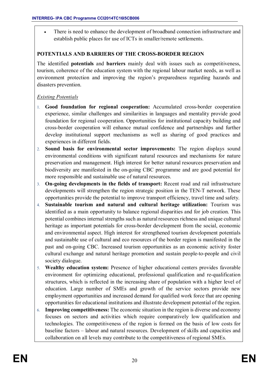There is need to enhance the development of broadband connection infrastructure and establish public places for use of ICTs in smaller/remote settlements.

## **POTENTIALS AND BARRIERS OF THE CROSS-BORDER REGION**

The identified **potentials** and **barriers** mainly deal with issues such as competitiveness, tourism, coherence of the education system with the regional labour market needs, as well as environment protection and improving the region's preparedness regarding hazards and disasters prevention.

## *Existing Potentials*

- 1. **Good foundation for regional cooperation:** Accumulated cross-border cooperation experience, similar challenges and similarities in languages and mentality provide good foundation for regional cooperation. Opportunities for institutional capacity building and cross-border cooperation will enhance mutual confidence and partnerships and further develop institutional support mechanisms as well as sharing of good practices and experiences in different fields.
- 2. **Sound basis for environmental sector improvements:** The region displays sound environmental conditions with significant natural resources and mechanisms for nature preservation and management. High interest for better natural resources preservation and biodiversity are manifested in the on-going CBC programme and are good potential for more responsible and sustainable use of natural resources.
- 3. **On-going developments in the fields of transport:** Recent road and rail infrastructure developments will strengthen the region strategic position in the TEN-T network. These opportunities provide the potential to improve transport efficiency, travel time and safety.
- 4. **Sustainable tourism and natural and cultural heritage utilization:** Tourism was identified as a main opportunity to balance regional disparities and for job creation. This potential combines internal strengths such as natural resources richness and unique cultural heritage as important potentials for cross-border development from the social, economic and environmental aspect. High interest for strengthened tourism development potentials and sustainable use of cultural and eco resources of the border region is manifested in the past and on-going CBC. Increased tourism opportunities as an economic activity foster cultural exchange and natural heritage promotion and sustain people-to-people and civil society dialogue.
- 5. **Wealthy education system:** Presence of higher educational centers provides favorable environment for optimizing educational, professional qualification and re-qualification structures, which is reflected in the increasing share of population with a higher level of education. Large number of SMEs and growth of the service sectors provide new employment opportunities and increased demand for qualified work force that are opening opportunities for educational institutions and illustrate development potential of the region.
- 6. **Improving competitiveness:** The economic situation in the region is diverse and economy focuses on sectors and activities which require comparatively low qualification and technologies. The competitiveness of the region is formed on the basis of low costs for baseline factors – labour and natural resources. Development of skills and capacities and collaboration on all levels may contribute to the competitiveness of regional SMEs.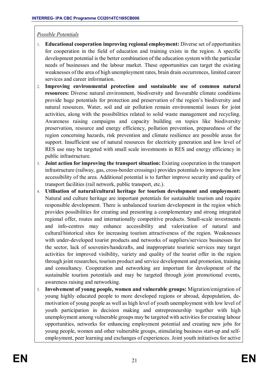# *Possible Potentials*

- 1. **Educational cooperation improving regional employment:** Diverse set of opportunities for cooperation in the field of education and training exists in the region. A specific development potential is the better combination of the education system with the particular needs of businesses and the labour market. These opportunities can target the existing weaknesses of the area of high unemployment rates, brain drain occurrences, limited career services and career information.
- 2. **Improving environmental protection and sustainable use of common natural resources:** Diverse natural environment, biodiversity and favourable climate conditions provide huge potentials for protection and preservation of the region's biodiversity and natural resources. Water, soil and air pollution remain environmental issues for joint activities, along with the possibilities related to solid waste management and recycling. Awareness raising campaigns and capacity building on topics like biodiversity preservation, resource and energy efficiency, pollution prevention, preparedness of the region concerning hazards, risk prevention and climate resilience are possible areas for support. Insufficient use of natural resources for electricity generation and low level of RES use may be targeted with small scale investments in RES and energy efficiency in public infrastructure.
- 3. **Joint action for improving the transport situation:** Existing cooperation in the transport infrastructure (railway, gas, cross-border crossings) provides potentials to improve the low accessibility of the area. Additional potential is to further improve security and quality of transport facilities (rail network, public transport, etc.).
- 4. **Utilisation of natural/cultural heritage for tourism development and employment:**  Natural and culture heritage are important potentials for sustainable tourism and require responsible development. There is unbalanced tourism development in the region which provides possibilities for creating and presenting a complementary and strong integrated regional offer, routes and internationally competitive products. Small-scale investments and info-centres may enhance accessibility and valorization of natural and cultural/historical sites for increasing tourism attractiveness of the region. Weaknesses with under-developed tourist products and networks of suppliers/services businesses for the sector, lack of souvenirs/handcrafts, and inappropriate touristic services may target activities for improved visibility, variety and quality of the tourist offer in the region through joint researches, tourism product and service development and promotion, training and consultancy. Cooperation and networking are important for development of the sustainable tourism potentials and may be targeted through joint promotional events, awareness raising and networking.
- 5. **Involvement of young people, women and vulnerable groups:** Migration/emigration of young highly educated people to more developed regions or abroad, depopulation, demotivation of young people as well as high level of youth unemployment with low level of youth participation in decision making and entrepreneurship together with high unemployment among vulnerable groups may be targeted with activities for creating labour opportunities, networks for enhancing employment potential and creating new jobs for young people, women and other vulnerable groups, stimulating business start-up and selfemployment, peer learning and exchanges of experiences. Joint youth initiatives for active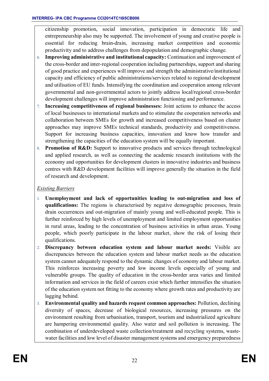citizenship promotion, social innovation, participation in democratic life and entrepreneurship also may be supported. The involvement of young and creative people is essential for reducing brain-drain, increasing market competition and economic productivity and to address challenges from depopulation and demographic change.

- 6. **Improving administrative and institutional capacity:** Continuation and improvement of the cross-border and inter-regional cooperation including partnerships, support and sharing of good practice and experiences will improve and strength the administrative/institutional capacity and efficiency of public administrations/services related to regional development and utilisation of EU funds. Intensifying the coordination and cooperation among relevant governmental and non-governmental actors to jointly address local/regional cross-border development challenges will improve administration functioning and performance.
- 7. **Increasing competitiveness of regional businesses:** Joint actions to enhance the access of local businesses to international markets and to stimulate the cooperation networks and collaboration between SMEs for growth and increased competitiveness based on cluster approaches may improve SMEs technical standards, productivity and competitiveness. Support for increasing business capacities, innovation and know how transfer and strengthening the capacities of the education system will be equally important.
- 8. **Promotion of R&D:** Support to innovative products and services through technological and applied research, as well as connecting the academic research institutions with the economy and opportunities for development clusters in innovative industries and business centres with R&D development facilities will improve generally the situation in the field of research and development.

# *Existing Barriers*

- 1. **Unemployment and lack of opportunities leading to out-migration and loss of qualifications:** The regions is characterised by negative demographic processes, brain drain occurrences and out-migration of mainly young and well-educated people. This is further reinforced by high levels of unemployment and limited employment opportunities in rural areas, leading to the concentration of business activities in urban areas. Young people, which poorly participate in the labour market, show the risk of losing their qualifications.
- 2. **Discrepancy between education system and labour market needs:** Visible are discrepancies between the education system and labour market needs as the education system cannot adequately respond to the dynamic changes of economy and labour market. This reinforces increasing poverty and low income levels especially of young and vulnerable groups. The quality of education in the cross-border area varies and limited information and services in the field of careers exist which further intensifies the situation of the education system not fitting to the economy where growth rates and productivity are lagging behind.
- 3. **Environmental quality and hazards request common approaches:** Pollution, declining diversity of spaces, decrease of biological resources, increasing pressures on the environment resulting from urbanisation, transport, tourism and industrialized agriculture are hampering environmental quality. Also water and soil pollution is increasing. The combination of underdeveloped waste collection/treatment and recycling systems, wastewater facilities and low level of disaster management systems and emergency preparedness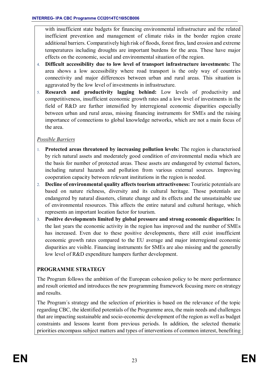with insufficient state budgets for financing environmental infrastructure and the related inefficient prevention and management of climate risks in the border region create additional barriers. Comparatively high risk of floods, forest fires, land erosion and extreme temperatures including droughts are important burdens for the area. These have major effects on the economic, social and environmental situation of the region.

- 4. **Difficult accessibility due to low level of transport infrastructure investments:** The area shows a low accessibility where road transport is the only way of countries connectivity and major differences between urban and rural areas. This situation is aggravated by the low level of investments in infrastructure.
- 5. **Research and productivity lagging behind:** Low levels of productivity and competitiveness, insufficient economic growth rates and a low level of investments in the field of R&D are further intensified by interregional economic disparities especially between urban and rural areas, missing financing instruments for SMEs and the raising importance of connections to global knowledge networks, which are not a main focus of the area.

# *Possible Barriers*

- 1. **Protected areas threatened by increasing pollution levels:** The region is characterised by rich natural assets and moderately good condition of environmental media which are the basis for number of protected areas. These assets are endangered by external factors, including natural hazards and pollution from various external sources. Improving cooperation capacity between relevant institutions in the region is needed.
- 2. **Decline of environmental quality affects tourism attractiveness:** Touristic potentials are based on nature richness, diversity and its cultural heritage. Those potentials are endangered by natural disasters, climate change and its effects and the unsustainable use of environmental resources. This affects the entire natural and cultural heritage, which represents an important location factor for tourism.
- 3. **Positive developments limited by global pressure and strong economic disparities:** In the last years the economic activity in the region has improved and the number of SMEs has increased. Even due to these positive developments, there still exist insufficient economic growth rates compared to the EU average and major interregional economic disparities are visible. Financing instruments for SMEs are also missing and the generally low level of R&D expenditure hampers further development.

# **PROGRAMME STRATEGY**

The Program follows the ambition of the European cohesion policy to be more performance and result oriented and introduces the new programming framework focusing more on strategy and results.

The Program´s strategy and the selection of priorities is based on the relevance of the topic regarding CBC, the identified potentials of the Programme area, the main needs and challenges that are impacting sustainable and socio-economic development of the region as well as budget constraints and lessons learnt from previous periods. In addition, the selected thematic priorities encompass subject matters and types of interventions of common interest, benefiting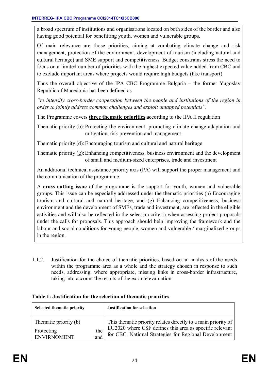a broad spectrum of institutions and organisations located on both sides of the border and also having good potential for benefitting youth, women and vulnerable groups.

Of main relevance are those priorities, aiming at combating climate change and risk management, protection of the environment, development of tourism (including natural and cultural heritage) and SME support and competitiveness. Budget constrains stress the need to focus on a limited number of priorities with the highest expected value added from CBC and to exclude important areas where projects would require high budgets (like transport).

Thus the overall objective of the IPA CBC Programme Bulgaria – the former Yugoslav Republic of Macedonia has been defined as

*"to intensify cross-border cooperation between the people and institutions of the region in order to jointly address common challenges and exploit untapped potentials".*

The Programme covers **three thematic priorities** according to the IPA II regulation

Thematic priority (b): Protecting the environment, promoting climate change adaptation and mitigation, risk prevention and management

Thematic priority (d): Encouraging tourism and cultural and natural heritage

Thematic priority (g):Enhancing competitiveness, business environment and the development of small and medium-sized enterprises, trade and investment

An additional technical assistance priority axis (PA) will support the proper management and the communication of the programme.

A **cross cutting issue** of the programme is the support for youth, women and vulnerable groups. This issue can be especially addressed under the thematic priorities (b) Encouraging tourism and cultural and natural heritage, and (g) Enhancing competitiveness, business environment and the development of SMEs, trade and investment, are reflected in the eligible activities and will also be reflected in the selection criteria when assessing project proposals under the calls for proposals. This approach should help improving the framework and the labour and social conditions for young people, women and vulnerable / marginalized groups in the region.

1.1.2. Justification for the choice of thematic priorities, based on an analysis of the needs within the programme area as a whole and the strategy chosen in response to such needs, addressing, where appropriate, missing links in cross-border infrastructure, taking into account the results of the ex-ante evaluation

|  | Table 1: Justification for the selection of thematic priorities |  |  |
|--|-----------------------------------------------------------------|--|--|
|  |                                                                 |  |  |

| <b>Selected thematic priority</b>   |     | <b>Justification for selection</b>                                                                                                                                                |
|-------------------------------------|-----|-----------------------------------------------------------------------------------------------------------------------------------------------------------------------------------|
| Thematic priority (b)<br>Protecting | the | This thematic priority relates directly to a main priority of<br>EU2020 where CSF defines this area as specific relevant<br>for CBC. National Strategies for Regional Development |
| <b>ENVIRNOMENT</b>                  | and |                                                                                                                                                                                   |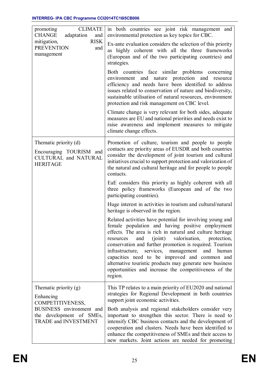#### **INTERREG- IPA CBC Programme CCI2014TC16I5CB006**

| <b>CLIMATE</b><br>promoting<br><b>CHANGE</b><br>adaptation<br>and<br><b>RISK</b><br>mitigation,<br><b>PREVENTION</b><br>and<br>management | in both countries see joint risk management and<br>environmental protection as key topics for CBC.                                                                                                                                                                                                                                                                                                                                                                                                                                         |
|-------------------------------------------------------------------------------------------------------------------------------------------|--------------------------------------------------------------------------------------------------------------------------------------------------------------------------------------------------------------------------------------------------------------------------------------------------------------------------------------------------------------------------------------------------------------------------------------------------------------------------------------------------------------------------------------------|
|                                                                                                                                           | Ex-ante evaluation considers the selection of this priority<br>as highly coherent with all the three frameworks<br>(European and of the two participating countries) and<br>strategies.                                                                                                                                                                                                                                                                                                                                                    |
|                                                                                                                                           | Both countries face similar problems concerning<br>nature protection and<br>environment and<br>resource<br>efficiency and needs have been identified to address<br>issues related to conservation of nature and biodiversity,<br>sustainable utilisation of natural resources, environment<br>protection and risk management on CBC level.                                                                                                                                                                                                 |
|                                                                                                                                           | Climate change is very relevant for both sides, adequate<br>measures are EU and national priorities and needs exist to<br>raise awareness and implement measures to mitigate<br>climate change effects.                                                                                                                                                                                                                                                                                                                                    |
| Thematic priority (d)<br>Encouraging TOURISM and<br>CULTURAL and NATURAL<br><b>HERITAGE</b>                                               | Promotion of culture, tourism and people to people<br>contacts are priority areas of EUSDR and both countries<br>consider the development of joint tourism and cultural<br>initiatives crucial to support protection and valorization of<br>the natural and cultural heritage and for people to people<br>contacts.                                                                                                                                                                                                                        |
|                                                                                                                                           | EaE considers this priority as highly coherent with all<br>three policy frameworks (European and of the two<br>participating countries).                                                                                                                                                                                                                                                                                                                                                                                                   |
|                                                                                                                                           | Huge interest in activities in tourism and cultural/natural<br>heritage is observed in the region.                                                                                                                                                                                                                                                                                                                                                                                                                                         |
|                                                                                                                                           | Related activities have potential for involving young and<br>female population and having positive employment<br>effects. The area is rich in natural and culture heritage<br>(ioint)<br>valorisation,<br>and<br>protection,<br>resources<br>conservation and further promotion is required. Tourism<br>infrastructure, services, management<br>and human<br>capacities need to be improved and common and<br>alternative touristic products may generate new business<br>opportunities and increase the competitiveness of the<br>region. |
| Thematic priority $(g)$<br>Enhancing                                                                                                      | This TP relates to a main priority of EU2020 and national<br>strategies for Regional Development in both countries<br>support joint economic activities.                                                                                                                                                                                                                                                                                                                                                                                   |
| COMPETITIVENESS,<br>BUSINESS environment and<br>the development of SMEs,<br><b>TRADE and INVESTMENT</b>                                   | Both analysis and regional stakeholders consider very<br>important to strengthen this sector. There is need to<br>intensify CBC business contacts and the development of<br>cooperation and clusters. Needs have been identified to<br>enhance the competitiveness of SMEs and their access to<br>new markets. Joint actions are needed for promoting                                                                                                                                                                                      |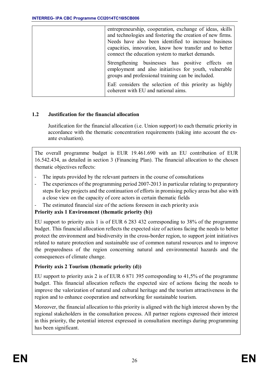| entrepreneurship, cooperation, exchange of ideas, skills<br>and technologies and fostering the creation of new firms.<br>Needs have also been identified to increase business<br>capacities, innovation, know how transfer and to better<br>connect the education system to market demands. |
|---------------------------------------------------------------------------------------------------------------------------------------------------------------------------------------------------------------------------------------------------------------------------------------------|
| Strengthening businesses has positive effects<br>on<br>employment and also initiatives for youth, vulnerable<br>groups and professional training can be included.                                                                                                                           |
| EaE considers the selection of this priority as highly<br>coherent with EU and national aims.                                                                                                                                                                                               |

# **1.2 Justification for the financial allocation**

Justification for the financial allocation (i.e. Union support) to each thematic priority in accordance with the thematic concentration requirements (taking into account the exante evaluation).

The overall programme budget is EUR 19.461.690 with an EU contribution of EUR 16.542.434, as detailed in section 3 (Financing Plan). The financial allocation to the chosen thematic objectives reflects:

- The inputs provided by the relevant partners in the course of consultations
- The experiences of the programming period 2007-2013 in particular relating to preparatory steps for key projects and the continuation of efforts in promising policy areas but also with a close view on the capacity of core actors in certain thematic fields
- The estimated financial size of the actions foreseen in each priority axis

# **Priority axis 1 Environment (thematic priority (b))**

EU support to priority axis 1 is of EUR 6 283 432 corresponding to 38% of the programme budget. This financial allocation reflects the expected size of actions facing the needs to better protect the environment and biodiversity in the cross-border region, to support joint initiatives related to nature protection and sustainable use of common natural resources and to improve the preparedness of the region concerning natural and environmental hazards and the consequences of climate change.

# **Priority axis 2 Tourism (thematic priority (d))**

EU support to priority axis 2 is of EUR 6 871 395 corresponding to 41,5% of the programme budget. This financial allocation reflects the expected size of actions facing the needs to improve the valorization of natural and cultural heritage and the tourism attractiveness in the region and to enhance cooperation and networking for sustainable tourism.

Moreover, the financial allocation to this priority is aligned with the high interest shown by the regional stakeholders in the consultation process. All partner regions expressed their interest in this priority, the potential interest expressed in consultation meetings during programming has been significant.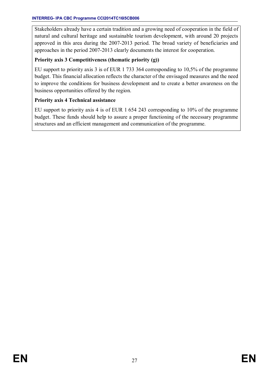Stakeholders already have a certain tradition and a growing need of cooperation in the field of natural and cultural heritage and sustainable tourism development, with around 20 projects approved in this area during the 2007-2013 period. The broad variety of beneficiaries and approaches in the period 2007-2013 clearly documents the interest for cooperation.

# **Priority axis 3 Competitiveness (thematic priority (g))**

EU support to priority axis 3 is of EUR 1 733 364 corresponding to 10,5% of the programme budget. This financial allocation reflects the character of the envisaged measures and the need to improve the conditions for business development and to create a better awareness on the business opportunities offered by the region.

# **Priority axis 4 Technical assistance**

EU support to priority axis 4 is of EUR 1 654 243 corresponding to 10% of the programme budget. These funds should help to assure a proper functioning of the necessary programme structures and an efficient management and communication of the programme.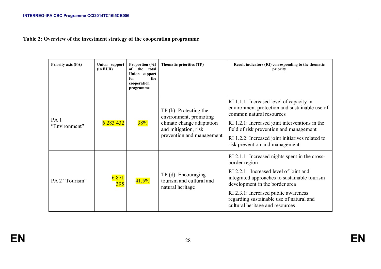# **Table 2: Overview of the investment strategy of the cooperation programme**

| <b>Priority axis (PA)</b>        | Union support<br>(in EUR) | Proportion $(\% )$<br>the<br>total<br>of<br>Union support<br>for<br>the<br>cooperation<br>programme | Thematic priorities (TP)                                                                                                           | Result indicators (RI) corresponding to the thematic<br>priority                                                                                                                                                                                                                                                   |
|----------------------------------|---------------------------|-----------------------------------------------------------------------------------------------------|------------------------------------------------------------------------------------------------------------------------------------|--------------------------------------------------------------------------------------------------------------------------------------------------------------------------------------------------------------------------------------------------------------------------------------------------------------------|
| PA <sub>1</sub><br>"Environment" | 6 283 432                 | 38%                                                                                                 | TP (b): Protecting the<br>environment, promoting<br>climate change adaptation<br>and mitigation, risk<br>prevention and management | RI 1.1.1: Increased level of capacity in<br>environment protection and sustainable use of<br>common natural resources<br>RI 1.2.1: Increased joint interventions in the<br>field of risk prevention and management<br>RI 1.2.2: Increased joint initiatives related to<br>risk prevention and management           |
| PA 2 "Tourism"                   | 6871<br>395               | 41,5%                                                                                               | $TP$ (d): Encouraging<br>tourism and cultural and<br>natural heritage                                                              | RI 2.1.1: Increased nights spent in the cross-<br>border region<br>RI 2.2.1: Increased level of joint and<br>integrated approaches to sustainable tourism<br>development in the border area<br>RI 2.3.1: Increased public awareness<br>regarding sustainable use of natural and<br>cultural heritage and resources |

**EN** <sup>28</sup> **EN**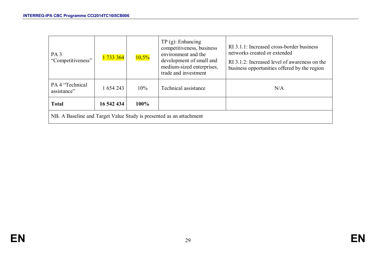| PA <sub>3</sub><br>"Competitiveness"                                | 1 733 364  | 10,5%   | $TP(g)$ : Enhancing<br>competitiveness, business<br>environment and the<br>development of small and<br>medium-sized enterprises,<br>trade and investment | RI 3.1.1: Increased cross-border business<br>networks created or extended<br>RI 3.1.2: Increased level of awareness on the<br>business opportunities offered by the region |
|---------------------------------------------------------------------|------------|---------|----------------------------------------------------------------------------------------------------------------------------------------------------------|----------------------------------------------------------------------------------------------------------------------------------------------------------------------------|
| PA 4 "Technical<br>assistance"                                      | 1 654 243  | 10%     | Technical assistance                                                                                                                                     | N/A                                                                                                                                                                        |
| <b>Total</b>                                                        | 16 542 434 | $100\%$ |                                                                                                                                                          |                                                                                                                                                                            |
| NB. A Baseline and Target Value Study is presented as an attachment |            |         |                                                                                                                                                          |                                                                                                                                                                            |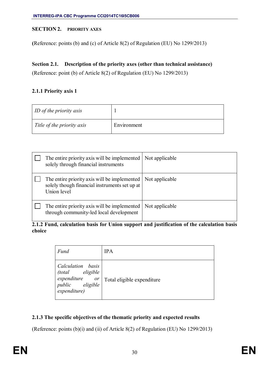#### **SECTION 2. PRIORITY AXES**

**(**Reference: points (b) and (c) of Article 8(2) of Regulation (EU) No 1299/2013)

#### **Section 2.1. Description of the priority axes (other than technical assistance)**

(Reference: point (b) of Article 8(2) of Regulation (EU) No 1299/2013)

#### **2.1.1 Priority axis 1**

| <i>ID of the priority axis</i> |             |
|--------------------------------|-------------|
| Title of the priority axis     | Environment |

| The entire priority axis will be implemented   Not applicable<br>solely through financial instruments                         |  |
|-------------------------------------------------------------------------------------------------------------------------------|--|
| The entire priority axis will be implemented   Not applicable<br>solely though financial instruments set up at<br>Union level |  |
| The entire priority axis will be implemented   Not applicable<br>through community-led local development                      |  |

#### **2.1.2 Fund, calculation basis for Union support and justification of the calculation basis choice**

| Fund                                                                                             | <b>IPA</b>                 |
|--------------------------------------------------------------------------------------------------|----------------------------|
| Calculation basis<br>(total eligible<br>expenditure or<br><i>public</i> eligible<br>expenditure) | Total eligible expenditure |

## **2.1.3 The specific objectives of the thematic priority and expected results**

(Reference: points (b)(i) and (ii) of Article 8(2) of Regulation (EU) No 1299/2013)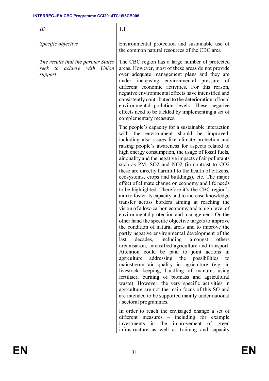#### **INTERREG-IPA CBC Programme CCI2014TC16I5CB006**

| ID                                                                                    | 1.1                                                                                                                                                                                                                                                                                                                                                                                                                                                                                                                                                                                                                                                                                                                                                                                                                                                                                                                                                                                                                                                                                                                                                                                                                                                                                                                                                                                                                                                                                                                                                                                                          |
|---------------------------------------------------------------------------------------|--------------------------------------------------------------------------------------------------------------------------------------------------------------------------------------------------------------------------------------------------------------------------------------------------------------------------------------------------------------------------------------------------------------------------------------------------------------------------------------------------------------------------------------------------------------------------------------------------------------------------------------------------------------------------------------------------------------------------------------------------------------------------------------------------------------------------------------------------------------------------------------------------------------------------------------------------------------------------------------------------------------------------------------------------------------------------------------------------------------------------------------------------------------------------------------------------------------------------------------------------------------------------------------------------------------------------------------------------------------------------------------------------------------------------------------------------------------------------------------------------------------------------------------------------------------------------------------------------------------|
| Specific objective                                                                    | Environmental protection and sustainable use of<br>the common natural resources of the CBC area                                                                                                                                                                                                                                                                                                                                                                                                                                                                                                                                                                                                                                                                                                                                                                                                                                                                                                                                                                                                                                                                                                                                                                                                                                                                                                                                                                                                                                                                                                              |
| The results that the partner States<br>achieve with<br>Union<br>to<br>seek<br>support | The CBC region has a large number of protected<br>areas. However, most of these areas do not provide<br>over adequate management plans and they are<br>under increasing environmental<br>pressure<br>of<br>different economic activities. For this reason,<br>negative environmental effects have intensified and<br>consistently contributed to the deterioration of local<br>environmental pollution levels. These negative<br>effects need to be tackled by implementing a set of<br>complementary measures.                                                                                                                                                                                                                                                                                                                                                                                                                                                                                                                                                                                                                                                                                                                                                                                                                                                                                                                                                                                                                                                                                              |
|                                                                                       | The people's capacity for a sustainable interaction<br>with the environment should be improved,<br>including also issues like climate protection and<br>raising people's awareness for aspects related to<br>high energy consumption, the usage of fossil fuels,<br>air quality and the negative impacts of air pollutants<br>such as PM, SO2 and NO2 (in contrast to CO2<br>these are directly harmful to the health of citizens,<br>ecosystems, crops and buildings), etc. The major<br>effect of climate change on economy and life needs<br>to be highlighted. Therefore it's the CBC region's<br>aim to foster its capacity and to increase knowledge<br>transfer across borders aiming at reaching the<br>vision of a low-carbon economy and a high level of<br>environmental protection and management. On the<br>other hand the specific objective targets to improve<br>the condition of natural areas and to improve the<br>partly negative environmental development of the<br>decades,<br>including<br>amongst<br>last<br>others<br>urbanisation, intensified agriculture and transport.<br>Attention could be paid to joint actions in<br>addressing the<br>agriculture<br>possibilities<br>to<br>mainstream air quality in agriculture (e.g. in<br>livestock keeping, handling of manure, using<br>fertiliser, burning of biomass and agricultural<br>waste). However, the very specific activities in<br>agriculture are not the main focus of this SO and<br>are intended to be supported mainly under national<br>/ sectoral programmes.<br>In order to reach the envisaged change a set of |
|                                                                                       | different measures – including for example<br>in<br>investments<br>the<br>improvement of green<br>infrastructure as well as training and capacity                                                                                                                                                                                                                                                                                                                                                                                                                                                                                                                                                                                                                                                                                                                                                                                                                                                                                                                                                                                                                                                                                                                                                                                                                                                                                                                                                                                                                                                            |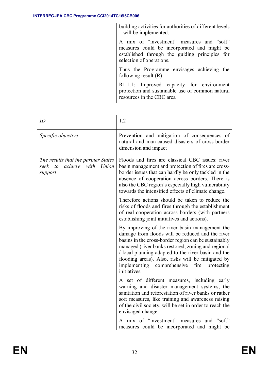| building activities for authorities of different levels<br>- will be implemented.                                                                                      |
|------------------------------------------------------------------------------------------------------------------------------------------------------------------------|
| A mix of "investment" measures and "soft"<br>measures could be incorporated and might be<br>established through the guiding principles for<br>selection of operations. |
| Thus the Programme envisages achieving the<br>following result $(R)$ :                                                                                                 |
| R1.1.1: Improved capacity for environment<br>protection and sustainable use of common natural<br>resources in the CBC area                                             |

| ID                                                                                    | 1.2                                                                                                                                                                                                                                                                                                                                                                                              |  |
|---------------------------------------------------------------------------------------|--------------------------------------------------------------------------------------------------------------------------------------------------------------------------------------------------------------------------------------------------------------------------------------------------------------------------------------------------------------------------------------------------|--|
| Specific objective                                                                    | Prevention and mitigation of consequences of<br>natural and man-caused disasters of cross-border<br>dimension and impact                                                                                                                                                                                                                                                                         |  |
| The results that the partner States<br>achieve<br>with<br>Union<br>seek to<br>support | Floods and fires are classical CBC issues: river<br>basin management and protection of fires are cross-<br>border issues that can hardly be only tackled in the<br>absence of cooperation across borders. There is<br>also the CBC region's especially high vulnerability<br>towards the intensified effects of climate change.                                                                  |  |
|                                                                                       | Therefore actions should be taken to reduce the<br>risks of floods and fires through the establishment<br>of real cooperation across borders (with partners<br>establishing joint initiatives and actions).                                                                                                                                                                                      |  |
|                                                                                       | By improving of the river basin management the<br>damage from floods will be reduced and the river<br>basins in the cross-border region can be sustainably<br>managed (river banks restored, zoning and regional<br>/ local planning adapted to the river basin and the<br>flooding areas). Also, risks will be mitigated by<br>implementing comprehensive<br>fire<br>protecting<br>initiatives. |  |
|                                                                                       | A set of different measures, including early<br>warning and disaster management systems, the<br>sanitation and reforestation of river banks or rather<br>soft measures, like training and awareness raising<br>of the civil society, will be set in order to reach the<br>envisaged change.                                                                                                      |  |
|                                                                                       | A mix of "investment" measures and "soft"<br>measures could be incorporated and might be                                                                                                                                                                                                                                                                                                         |  |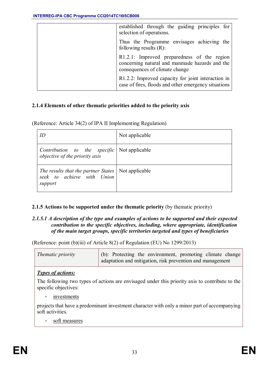| established through the guiding principles for<br>selection of operations.                                                      |  |
|---------------------------------------------------------------------------------------------------------------------------------|--|
| Thus the Programme envisages achieving the<br>following results $(R)$ :                                                         |  |
| R1.2.1: Improved preparedness of the region<br>concerning natural and manmade hazards and the<br>consequences of climate change |  |
| R1.2.2: Improved capacity for joint interaction in<br>case of fires, floods and other emergency situations                      |  |

## **2.1.4 Elements of other thematic priorities added to the priority axis**

(Reference: Article 34(2) of IPA II Implementing Regulation)

| ID                                                                                                   | Not applicable |
|------------------------------------------------------------------------------------------------------|----------------|
| Contribution to the specific Not applicable<br>objective of the priority axis                        |                |
| <i>The results that the partner States</i>   Not applicable<br>seek to achieve with Union<br>support |                |

## **2.1.5 Actions to be supported under the thematic priority** (by thematic priority)

#### *2.1.5.1 A description of the type and examples of actions to be supported and their expected contribution to the specific objectives, including, where appropriate, identification of the main target groups, specific territories targeted and types of beneficiaries*

(Reference: point (b)(iii) of Article 8(2) of Regulation (EU) No 1299/2013)

| Thematic priority                                                                                                                                  | (b): Protecting the environment, promoting climate change<br>adaptation and mitigation, risk prevention and management |  |  |  |
|----------------------------------------------------------------------------------------------------------------------------------------------------|------------------------------------------------------------------------------------------------------------------------|--|--|--|
| <b>Types of actions:</b><br>The following two types of actions are envisaged under this priority axis to contribute to the<br>specific objectives: |                                                                                                                        |  |  |  |
| investments                                                                                                                                        |                                                                                                                        |  |  |  |
| projects that have a predominant investment character with only a minor part of accompanying<br>soft activities.                                   |                                                                                                                        |  |  |  |

soft measures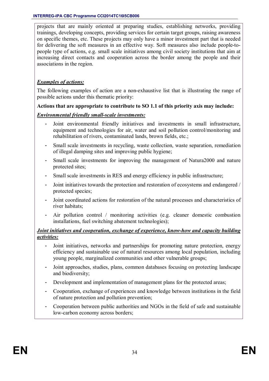projects that are mainly oriented at preparing studies, establishing networks, providing trainings, developing concepts, providing services for certain target groups, raising awareness on specific themes, etc. These projects may only have a minor investment part that is needed for delivering the soft measures in an effective way. Soft measures also include people-topeople type of actions, e.g. small scale initiatives among civil society institutions that aim at increasing direct contacts and cooperation across the border among the people and their associations in the region.

# *Examples of actions:*

The following examples of action are a non-exhaustive list that is illustrating the range of possible actions under this thematic priority:

## **Actions that are appropriate to contribute to SO 1.1 of this priority axis may include:**

#### *Environmental friendly small-scale investments:*

- Joint environmental friendly initiatives and investments in small infrastructure, equipment and technologies for air, water and soil pollution control/monitoring and rehabilitation of rivers, contaminated lands, brown fields, etc.;
- Small scale investments in recycling, waste collection, waste separation, remediation of illegal damping sites and improving public hygiene;
- Small scale investments for improving the management of Natura2000 and nature protected sites;
- Small scale investments in RES and energy efficiency in public infrastructure;
- Joint initiatives towards the protection and restoration of ecosystems and endangered / protected species;
- Joint coordinated actions for restoration of the natural processes and characteristics of river habitats;
- Air pollution control / monitoring activities (e.g. cleaner domestic combustion installations, fuel switching abatement technologies);

## *Joint initiatives and cooperation, exchange of experience, know-how and capacity building activities:*

- Joint initiatives, networks and partnerships for promoting nature protection, energy efficiency and sustainable use of natural resources among local population, including young people, marginalized communities and other vulnerable groups;
- Joint approaches, studies, plans, common databases focusing on protecting landscape and biodiversity;
- Development and implementation of management plans for the protected areas;
- Cooperation, exchange of experiences and knowledge between institutions in the field of nature protection and pollution prevention;
- Cooperation between public authorities and NGOs in the field of safe and sustainable low-carbon economy across borders;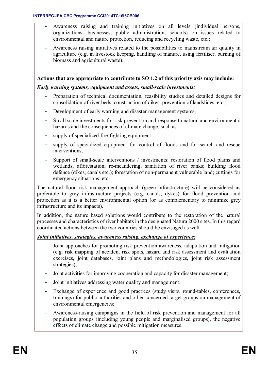- Awareness raising and training initiatives on all levels (individual persons, organizations, businesses, public administration, schools) on issues related to environmental and nature protection, reducing and recycling waste, etc.;
- Awareness raising initiatives related to the possibilities to mainstream air quality in agriculture (e.g. in livestock keeping, handling of manure, using fertiliser, burning of biomass and agricultural waste).

**Actions that are appropriate to contribute to SO 1.2 of this priority axis may include:**

#### *Early warning systems, equipment and assets, small-scale investments:*

- Preparation of technical documentation, feasibility studies and detailed designs for consolidation of river beds, construction of dikes, prevention of landslides, etc.;
- Development of early warning and disaster management systems;
- Small scale investments for risk prevention and response to natural and environmental hazards and the consequences of climate change, such as:
- supply of specialized fire-fighting equipment,
- supply of specialized equipment for control of floods and for search and rescue interventions,
- Support of small-scale interventions / investments: restoration of flood plains and wetlands, afforestation, re-meandering, sanitation of river banks; building flood defence (dikes, canals etc.); forestation of non-permanent vulnerable land; cuttings for emergency situations; etc.

The natural flood risk management approach (green infrastructure) will be considered as preferable to grey infrastructure projects (e.g. canals, dykes) for flood prevention and protection as it is a better environmental option (or as complementary to minimize grey infrastructure and its impacts).

In addition, the nature based solutions would contribute to the restoration of the natural processes and characteristics of river habitats in the designated Natura 2000 sites. In this regard coordinated actions between the two countries should be envisaged as well.

## *Joint initiatives, strategies, awareness raising, exchange of experience:*

- Joint approaches for promoting risk prevention awareness, adaptation and mitigation (e.g. risk mapping of accident risk spots, hazard and risk assessment and evaluation exercises, joint databases, joint plans and methodologies, joint risk assessment strategies);
- Joint activities for improving cooperation and capacity for disaster management;
- Joint initiatives addressing water quality and management;
- Exchange of experience and good practices (study visits, round-tables, conferences, trainings) for public authorities and other concerned target groups on management of environmental emergencies;
- Awareness-raising campaigns in the field of risk prevention and management for all population groups (including young people and marginalised groups), the negative effects of climate change and possible mitigation measures;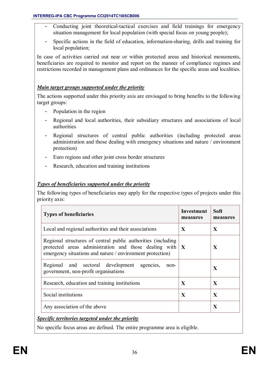- Conducting joint theoretical-tactical exercises and field trainings for emergency situation management for local population (with special focus on young people);
- Specific actions in the field of education, information-sharing, drills and training for local population;

In case of activities carried out near or within protected areas and historical monuments, beneficiaries are required to monitor and report on the manner of compliance regimes and restrictions recorded in management plans and ordinances for the specific areas and localities.

## *Main target groups supported under the priority*

The actions supported under this priority axis are envisaged to bring benefits to the following target groups:

- Population in the region
- Regional and local authorities, their subsidiary structures and associations of local authorities
- Regional structures of central public authorities (including protected areas administration and those dealing with emergency situations and nature / environment protection)
- Euro regions and other joint cross border structures
- Research, education and training institutions

# *Types of beneficiaries supported under the priority*

The following types of beneficiaries may apply for the respective types of projects under this priority axis:

| <b>Types of beneficiaries</b>                                                                                                                                                                   | Investment<br>measures | Soft<br>measures |
|-------------------------------------------------------------------------------------------------------------------------------------------------------------------------------------------------|------------------------|------------------|
| Local and regional authorities and their associations                                                                                                                                           | X                      | X                |
| Regional structures of central public authorities (including<br>protected areas administration and those dealing with $\mathbf{X}$<br>emergency situations and nature / environment protection) |                        | X                |
| Regional and sectoral development agencies,<br>non-<br>government, non-profit organisations                                                                                                     |                        | X                |
| Research, education and training institutions                                                                                                                                                   | $\mathbf{X}$           | X                |
| Social institutions                                                                                                                                                                             | X                      | X                |
| Any association of the above                                                                                                                                                                    |                        | X                |

# *Specific territories targeted under the priority*

No specific focus areas are defined. The entire programme area is eligible.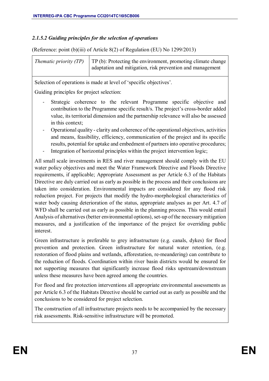### *2.1.5.2 Guiding principles for the selection of operations*

(Reference: point (b)(iii) of Article 8(2) of Regulation (EU) No 1299/2013)

|  | <i>Thematic priority (TP)</i> $  \text{TP} (b)$ : Protecting the environment, promoting climate change<br>adaptation and mitigation, risk prevention and management |
|--|---------------------------------------------------------------------------------------------------------------------------------------------------------------------|
|--|---------------------------------------------------------------------------------------------------------------------------------------------------------------------|

Selection of operations is made at level of 'specific objectives'.

Guiding principles for project selection:

- Strategic coherence to the relevant Programme specific objective and contribution to the Programme specific result/s. The project's cross-border added value, its territorial dimension and the partnership relevance will also be assessed in this context;
- Operational quality clarity and coherence of the operational objectives, activities and means, feasibility, efficiency, communication of the project and its specific results, potential for uptake and embedment of partners into operative procedures; Integration of horizontal principles within the project intervention logic;

All small scale investments in RES and river management should comply with the EU water policy objectives and meet the Water Framework Directive and Floods Directive requirements, if applicable; Appropriate Assessment as per Article 6.3 of the Habitats Directive are duly carried out as early as possible in the process and their conclusions are taken into consideration. Environmental impacts are considered for any flood risk reduction project. For projects that modify the hydro-morphological characteristics of water body causing deterioration of the status, appropriate analyses as per Art. 4.7 of WFD shall be carried out as early as possible in the planning process. This would entail Analysis of alternatives (better environmental options), set-up of the necessary mitigation measures, and a justification of the importance of the project for overriding public interest.

Green infrastructure is preferable to grey infrastructure (e.g. canals, dykes) for flood prevention and protection. Green infrastructure for natural water retention, (e.g. restoration of flood plains and wetlands, afforestation, re-meandering) can contribute to the reduction of floods. Coordination within river basin districts would be ensured for not supporting measures that significantly increase flood risks upstream/downstream unless these measures have been agreed among the countries.

For flood and fire protection interventions all appropriate environmental assessments as per Article 6.3 of the Habitats Directive should be carried out as early as possible and the conclusions to be considered for project selection.

The construction of all infrastructure projects needs to be accompanied by the necessary risk assessments. Risk-sensitive infrastructure will be promoted.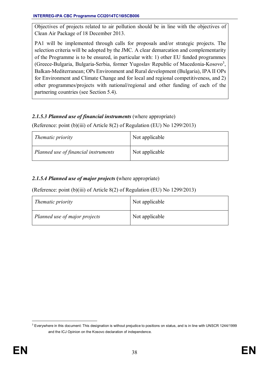Objectives of projects related to air pollution should be in line with the objectives of Clean Air Package of 18 December 2013.

PA1 will be implemented through calls for proposals and/or strategic projects. The selection criteria will be adopted by the JMC. A clear demarcation and complementarity of the Programme is to be ensured, in particular with: 1) other EU funded programmes (Greece-Bulgaria, Bulgaria-Serbia, former Yugoslav Republic of Macedonia-Kosovo<sup>3</sup>, Balkan-Mediterranean; OPs Environment and Rural development (Bulgaria), IPA II OPs for Environment and Climate Change and for local and regional competitiveness, and 2) other programmes/projects with national/regional and other funding of each of the partnering countries (see Section 5.4).

## *2.1.5.3 Planned use of financial instruments* (where appropriate)

(Reference: point (b)(iii) of Article 8(2) of Regulation (EU) No 1299/2013)

| <i>Thematic priority</i>             | Not applicable |
|--------------------------------------|----------------|
| Planned use of financial instruments | Not applicable |

### *2.1.5.4 Planned use of major projects* **(**where appropriate)

(Reference: point (b)(iii) of Article 8(2) of Regulation (EU) No 1299/2013)

| <i>Thematic priority</i>      | Not applicable |
|-------------------------------|----------------|
| Planned use of major projects | Not applicable |

 $\overline{a}$ <sup>3</sup> Everywhere in this document: This designation is without prejudice to positions on status, and is in line with UNSCR 1244/1999 and the ICJ Opinion on the Kosovo declaration of independence.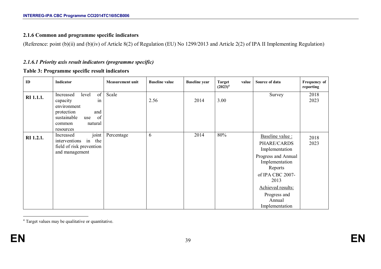## **2.1.6 Common and programme specific indicators**

(Reference: point (b)(ii) and (b)(iv) of Article 8(2) of Regulation (EU) No 1299/2013 and Article 2(2) of IPA II Implementing Regulation)

## *2.1.6.1 Priority axis result indicators (programme specific)*

#### **Table 3: Programme specific result indicators**

| ID        | Indicator                                                                                                                                    | <b>Measurement unit</b> | <b>Baseline value</b> | <b>Baseline</b> year | <b>Target</b><br>value<br>$(2023)^4$ | Source of data                                                                                        | Frequency of<br>reporting |
|-----------|----------------------------------------------------------------------------------------------------------------------------------------------|-------------------------|-----------------------|----------------------|--------------------------------------|-------------------------------------------------------------------------------------------------------|---------------------------|
| RI 1.1.1. | of<br>Increased<br>level<br>in<br>capacity<br>environment<br>protection<br>and<br>of<br>sustainable<br>use<br>natural<br>common<br>resources | Scale                   | 2.56                  | 2014                 | 3.00                                 | Survey                                                                                                | 2018<br>2023              |
| RI 1.2.1. | joint<br>Increased<br>in the<br>interventions<br>field of risk prevention<br>and management                                                  | Percentage              | 6                     | 2014                 | 80%                                  | Baseline value :<br>PHARE/CARDS<br>Implementation<br>Progress and Annual<br>Implementation<br>Reports | 2018<br>2023              |
|           |                                                                                                                                              |                         |                       |                      |                                      | of IPA CBC 2007-<br>2013<br>Achieved results:<br>Progress and<br>Annual<br>Implementation             |                           |

 $\overline{a}$ <sup>4</sup> Target values may be qualitative or quantitative.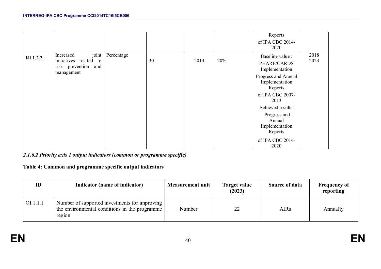|           |                                                                                      |            |    |      |     | Reports<br>of IPA CBC 2014-                                              |              |
|-----------|--------------------------------------------------------------------------------------|------------|----|------|-----|--------------------------------------------------------------------------|--------------|
|           |                                                                                      |            |    |      |     | 2020                                                                     |              |
| RI 1.2.2. | joint<br>Increased<br>initiatives related to<br>risk prevention<br>and<br>management | Percentage | 30 | 2014 | 20% | Baseline value :<br>PHARE/CARDS<br>Implementation                        | 2018<br>2023 |
|           |                                                                                      |            |    |      |     | Progress and Annual<br>Implementation<br>Reports                         |              |
|           |                                                                                      |            |    |      |     | of IPA CBC 2007-<br>2013                                                 |              |
|           |                                                                                      |            |    |      |     | Achieved results:<br>Progress and<br>Annual<br>Implementation<br>Reports |              |
|           |                                                                                      |            |    |      |     | of IPA CBC 2014-<br>2020                                                 |              |

# *2.1.6.2 Priority axis 1 output indicators (common or programme specific)*

### **Table 4: Common and programme specific output indicators**

| ID       | Indicator (name of indicator)                                                                            | <b>Measurement unit</b> | Target value<br>(2023) | Source of data | <b>Frequency of</b><br>reporting |
|----------|----------------------------------------------------------------------------------------------------------|-------------------------|------------------------|----------------|----------------------------------|
| OI 1.1.1 | Number of supported investments for improving<br>the environmental conditions in the programme<br>region | Number                  | 22                     | <b>AIRs</b>    | Annually                         |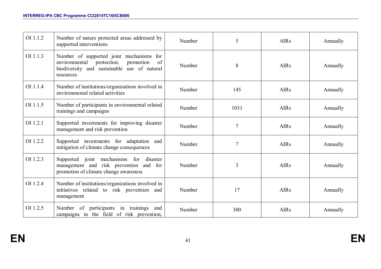| OI 1.1.2 | Number of nature protected areas addressed by<br>supported interventions                                                                                | Number | 5              | <b>AIRs</b> | Annually |
|----------|---------------------------------------------------------------------------------------------------------------------------------------------------------|--------|----------------|-------------|----------|
| OI 1.1.3 | Number of supported joint mechanisms for<br>environmental<br>of<br>protection,<br>promotion<br>biodiversity and sustainable use of natural<br>resources | Number | 8              | <b>AIRs</b> | Annually |
| OI 1.1.4 | Number of institutions/organizations involved in<br>environmental related activities                                                                    | Number | 145            | <b>AIRs</b> | Annually |
| OI 1.1.5 | Number of participants in environmental related<br>trainings and campaigns                                                                              | Number | 1031           | <b>AIRs</b> | Annually |
| OI 1.2.1 | Supported investments for improving disaster<br>management and risk prevention                                                                          | Number | $\overline{7}$ | <b>AIRs</b> | Annually |
| OI 1.2.2 | Supported investments for adaptation and<br>mitigation of climate change consequences                                                                   | Number | $\overline{7}$ | <b>AIRs</b> | Annually |
| OI 1.2.3 | Supported joint mechanisms for disaster<br>management and risk prevention and for<br>promotion of climate change awareness                              | Number | 3              | <b>AIRs</b> | Annually |
| OI 1.2.4 | Number of institutions/organizations involved in<br>initiatives related to risk prevention and<br>management                                            | Number | 17             | <b>AIRs</b> | Annually |
| OI 1.2.5 | participants in trainings and<br>Number of<br>campaigns in the field of risk prevention,                                                                | Number | 300            | <b>AIRs</b> | Annually |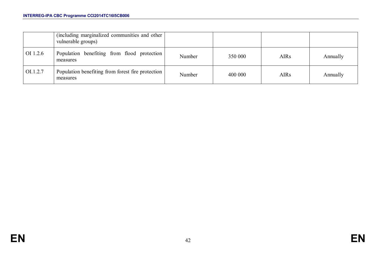|          | (including marginalized communities and other)<br>vulnerable groups) |        |         |             |          |
|----------|----------------------------------------------------------------------|--------|---------|-------------|----------|
| OI 1.2.6 | Population benefiting from flood protection<br>measures              | Number | 350 000 | <b>AIRs</b> | Annually |
| OI.1.2.7 | Population benefiting from forest fire protection<br>measures        | Number | 400 000 | <b>AIRs</b> | Annually |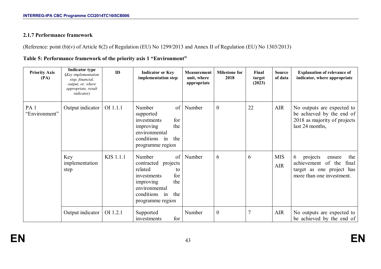## **2.1.7 Performance framework**

(Reference: point (b)(v) of Article 8(2) of Regulation (EU) No 1299/2013 and Annex II of Regulation (EU) No 1303/2013)

### **Table 5: Performance framework of the priority axis 1 "Environment"**

| <b>Priority Axis</b><br>(PA)     | <b>Indicator type</b><br>(Key implementation<br>step, financial,<br>output, or, where<br>appropriate, result<br><i>indicator</i> ) | ID        | <b>Indicator or Key</b><br>implementation step                                                                                                                 | <b>Measurement</b><br>unit, where<br>appropriate | <b>Milestone for</b><br>2018 | Final<br>target<br>(2023) | <b>Source</b><br>of data | <b>Explanation of relevance of</b><br>indicator, where appropriate                                                         |
|----------------------------------|------------------------------------------------------------------------------------------------------------------------------------|-----------|----------------------------------------------------------------------------------------------------------------------------------------------------------------|--------------------------------------------------|------------------------------|---------------------------|--------------------------|----------------------------------------------------------------------------------------------------------------------------|
| PA <sub>1</sub><br>"Environment" | Output indicator                                                                                                                   | OI 1.1.1  | of<br>Number<br>supported<br>for<br>investments<br>the<br>improving<br>environmental<br>conditions<br>in<br>the<br>programme region                            | Number                                           | $\boldsymbol{0}$             | 22                        | <b>AIR</b>               | No outputs are expected to<br>be achieved by the end of<br>2018 as majority of projects<br>last 24 months,                 |
|                                  | Key<br>implementation<br>step                                                                                                      | KIS 1.1.1 | Number<br>of<br>contracted<br>projects<br>related<br>to<br>for<br>investments<br>the<br>improving<br>environmental<br>conditions in<br>the<br>programme region | Number                                           | 6                            | 6                         | <b>MIS</b><br><b>AIR</b> | the<br>6<br>projects<br>ensure<br>of the<br>final<br>achievement<br>target as one project has<br>more than one investment. |
|                                  | Output indicator                                                                                                                   | OI 1.2.1  | Supported<br>for<br>investments                                                                                                                                | Number                                           | $\boldsymbol{0}$             |                           | <b>AIR</b>               | No outputs are expected to<br>be achieved by the end of                                                                    |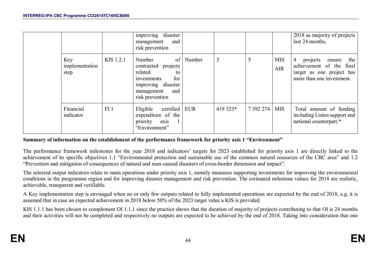|                               |                 | improving disaster<br>and<br>management<br>risk prevention                                                                                               |        |                |                 |                          | 2018 as majority of projects<br>last 24 months,                                                                 |
|-------------------------------|-----------------|----------------------------------------------------------------------------------------------------------------------------------------------------------|--------|----------------|-----------------|--------------------------|-----------------------------------------------------------------------------------------------------------------|
| Key<br>implementation<br>step | KIS 1.2.1       | Number<br>of <sub>l</sub><br>contracted<br>projects<br>related<br>to<br>for<br>investments<br>improving disaster<br>and<br>management<br>risk prevention | Number | $\overline{3}$ | 5               | <b>MIS</b><br><b>AIR</b> | projects<br>the<br>ensure<br>achievement of the final<br>target as one project has<br>more than one investment. |
| Financial<br>indicator        | FI <sub>1</sub> | certified EUR<br>Eligible<br>expenditure of the<br>axis<br>priority<br>"Environment"                                                                     |        | 419 323*       | 7 392 274   MIS |                          | Total amount of funding<br>including Union support and<br>national counterpart.*                                |

#### **Summary of information on the establishment of the performance framework for priority axis 1 "Environment"**

The performance framework milestones for the year 2018 and indicators' targets for 2023 established for priority axis 1 are directly linked to the achievement of its specific objectives 1.1 "Environmental protection and sustainable use of the common natural resources of the CBC area" and 1.2 "Prevention and mitigation of consequences of natural and man-caused disasters of cross-border dimension and impact".

The selected output indicators relate to main operations under priority axis 1, namely measures supporting investments for improving the environmental conditions in the programme region and for improving disaster management and risk prevention. The estimated milestone values for 2018 are realistic, achievable, transparent and verifiable.

A Key implementation step is envisaged when no or only few outputs related to fully implemented operations are expected by the end of 2018, e.g. it is assumed that in case an expected achievement in 2018 below 50% of the 2023 target value a KIS is provided.

KIS 1.1.1 has been chosen to complement OI 1.1.1 since the practice shows that the duration of majority of projects contributing to that OI is 24 months and their activities will not be completed and respectively no outputs are expected to be achieved by the end of 2018. Taking into consideration that one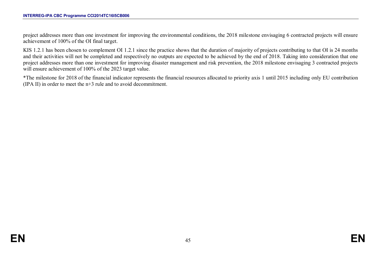project addresses more than one investment for improving the environmental conditions, the 2018 milestone envisaging 6 contracted projects will ensure achievement of 100% of the OI final target.

KIS 1.2.1 has been chosen to complement OI 1.2.1 since the practice shows that the duration of majority of projects contributing to that OI is 24 months and their activities will not be completed and respectively no outputs are expected to be achieved by the end of 2018. Taking into consideration that one project addresses more than one investment for improving disaster management and risk prevention, the 2018 milestone envisaging 3 contracted projects will ensure achievement of 100% of the 2023 target value.

\*The milestone for 2018 of the financial indicator represents the financial resources allocated to priority axis 1 until 2015 including only EU contribution (IPA II) in order to meet the n+3 rule and to avoid decommitment.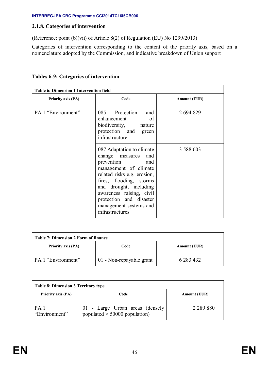## **2.1.8. Categories of intervention**

(Reference: point (b)(vii) of Article 8(2) of Regulation (EU) No 1299/2013)

Categories of intervention corresponding to the content of the priority axis, based on a nomenclature adopted by the Commission, and indicative breakdown of Union support

| <b>Table 6: Dimension 1 Intervention field</b> |                                                                                                                                                                                                                                                                                        |                     |  |  |  |  |  |
|------------------------------------------------|----------------------------------------------------------------------------------------------------------------------------------------------------------------------------------------------------------------------------------------------------------------------------------------|---------------------|--|--|--|--|--|
| <b>Priority axis (PA)</b>                      | Code                                                                                                                                                                                                                                                                                   | <b>Amount (EUR)</b> |  |  |  |  |  |
| PA 1 "Environment"                             | 085 Protection and<br>enhancement of<br>biodiversity, nature<br>protection and green<br>infrastructure                                                                                                                                                                                 | 2 694 829           |  |  |  |  |  |
|                                                | 087 Adaptation to climate<br>change measures and<br>prevention<br>and<br>management of climate<br>related risks e.g. erosion,<br>fires, flooding, storms<br>and drought, including<br>awareness raising, civil<br>protection and disaster<br>management systems and<br>infrastructures | 3 588 603           |  |  |  |  |  |

#### **Tables 6-9: Categories of intervention**

| Table 7: Dimension 2 Form of finance |                          |                     |  |  |  |  |
|--------------------------------------|--------------------------|---------------------|--|--|--|--|
| <b>Priority axis (PA)</b>            | Code                     | <b>Amount (EUR)</b> |  |  |  |  |
| PA 1 "Environment"                   | 01 - Non-repayable grant | 6 283 432           |  |  |  |  |

| <b>Table 8: Dimension 3 Territory type</b> |                                                                    |                     |
|--------------------------------------------|--------------------------------------------------------------------|---------------------|
| <b>Priority axis (PA)</b>                  | Code                                                               | <b>Amount (EUR)</b> |
| PA 1<br>"Environment"                      | 01 - Large Urban areas (densely<br>populated $> 50000$ population) | 2 2 8 9 8 8 0       |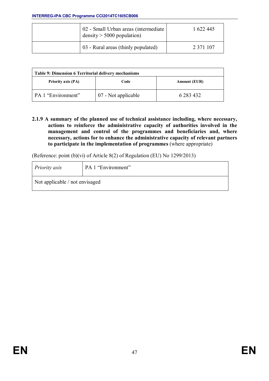| 02 - Small Urban areas (intermediate<br>density $> 5000$ population) | 1 622 445     |
|----------------------------------------------------------------------|---------------|
| $03$ - Rural areas (thinly populated)                                | 2 3 7 1 1 0 7 |

| Table 9: Dimension 6 Territorial delivery mechanisms |                     |                     |
|------------------------------------------------------|---------------------|---------------------|
| <b>Priority axis (PA)</b>                            | Code                | <b>Amount (EUR)</b> |
| PA 1 "Environment"                                   | 07 - Not applicable | 6 283 432           |

**2.1.9 A summary of the planned use of technical assistance including, where necessary, actions to reinforce the administrative capacity of authorities involved in the management and control of the programmes and beneficiaries and, where necessary, actions for to enhance the administrative capacity of relevant partners to participate in the implementation of programmes** (where appropriate)

(Reference: point (b)(vi) of Article 8(2) of Regulation (EU) No 1299/2013)

| <i>Priority axis</i>           | PA 1 "Environment" |
|--------------------------------|--------------------|
| Not applicable / not envisaged |                    |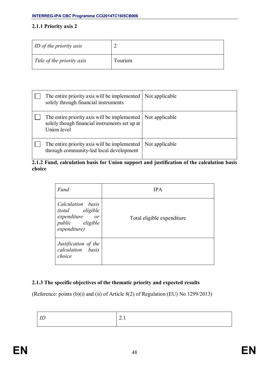### **2.1.1 Priority axis 2**

| <i>ID of the priority axis</i> |         |
|--------------------------------|---------|
| Title of the priority axis     | Tourism |

| The entire priority axis will be implemented   Not applicable<br>solely through financial instruments                         |  |
|-------------------------------------------------------------------------------------------------------------------------------|--|
| The entire priority axis will be implemented   Not applicable<br>solely though financial instruments set up at<br>Union level |  |
| The entire priority axis will be implemented   Not applicable<br>through community-led local development                      |  |

### **2.1.2 Fund, calculation basis for Union support and justification of the calculation basis choice**

| Fund                                                                                                | <b>IPA</b>                 |
|-----------------------------------------------------------------------------------------------------|----------------------------|
| Calculation basis<br>(total eligible<br>expenditure<br><i>or</i><br>public eligible<br>expenditure) | Total eligible expenditure |
| Justification of the<br>calculation basis<br>choice                                                 |                            |

## **2.1.3 The specific objectives of the thematic priority and expected results**

(Reference: points (b)(i) and (ii) of Article 8(2) of Regulation (EU) No 1299/2013)

| . | $\sim$ .1 |
|---|-----------|
|   |           |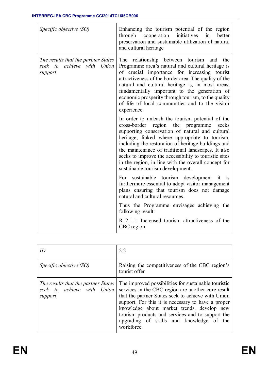#### **INTERREG-IPA CBC Programme CCI2014TC16I5CB006**

| Specific objective (SO)                                                            | Enhancing the tourism potential of the region<br>cooperation<br>initiatives<br>better<br>through<br>in<br>preservation and sustainable utilization of natural<br>and cultural heritage                                                                                                                                                                                                                                                                                     |
|------------------------------------------------------------------------------------|----------------------------------------------------------------------------------------------------------------------------------------------------------------------------------------------------------------------------------------------------------------------------------------------------------------------------------------------------------------------------------------------------------------------------------------------------------------------------|
| The results that the partner States<br>seek to<br>achieve with<br>Union<br>support | relationship between tourism and the<br>The<br>Programme area's natural and cultural heritage is<br>of crucial importance for increasing tourist<br>attractiveness of the border area. The quality of the<br>natural and cultural heritage is, in most areas,<br>fundamentally important to the generation of<br>economic prosperity through tourism, to the quality<br>of life of local communities and to the visitor<br>experience.                                     |
|                                                                                    | In order to unleash the tourism potential of the<br>cross-border<br>region<br>the programme<br>seeks<br>supporting conservation of natural and cultural<br>heritage, linked where appropriate to tourism,<br>including the restoration of heritage buildings and<br>the maintenance of traditional landscapes. It also<br>seeks to improve the accessibility to touristic sites<br>in the region, in line with the overall concept for<br>sustainable tourism development. |
|                                                                                    | sustainable tourism development<br>For -<br>$\dot{a}$<br>$\overline{1}$<br>furthermore essential to adopt visitor management<br>plans ensuring that tourism does not damage<br>natural and cultural resources.                                                                                                                                                                                                                                                             |
|                                                                                    | Thus the Programme envisages achieving the<br>following result:                                                                                                                                                                                                                                                                                                                                                                                                            |
|                                                                                    | R 2.1.1: Increased tourism attractiveness of the<br>CBC region                                                                                                                                                                                                                                                                                                                                                                                                             |

| ID                                                                           | 2.2                                                                                                                                                                                                                                                                                                                                                                                |
|------------------------------------------------------------------------------|------------------------------------------------------------------------------------------------------------------------------------------------------------------------------------------------------------------------------------------------------------------------------------------------------------------------------------------------------------------------------------|
| Specific objective (SO)                                                      | Raising the competitiveness of the CBC region's<br>tourist offer                                                                                                                                                                                                                                                                                                                   |
| The results that the partner States<br>seek to achieve with Union<br>support | The improved possibilities for sustainable touristic<br>services in the CBC region are another core result<br>that the partner States seek to achieve with Union<br>support. For this it is necessary to have a proper<br>knowledge about market trends, develop new<br>tourism products and services and to support the<br>upgrading of skills and knowledge of the<br>workforce. |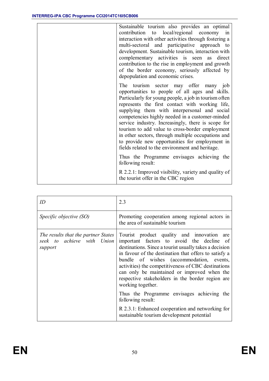| Sustainable tourism also provides an optimal<br>contribution to local/regional economy in<br>interaction with other activities through fostering a<br>multi-sectoral and participative approach to<br>development. Sustainable tourism, interaction with<br>complementary activities is seen as<br>direct<br>contribution to the rise in employment and growth<br>of the border economy, seriously affected by<br>depopulation and economic crises.                                                                                                                         |
|-----------------------------------------------------------------------------------------------------------------------------------------------------------------------------------------------------------------------------------------------------------------------------------------------------------------------------------------------------------------------------------------------------------------------------------------------------------------------------------------------------------------------------------------------------------------------------|
| The tourism sector may offer many job<br>opportunities to people of all ages and skills.<br>Particularly for young people, a job in tourism often<br>represents the first contact with working life,<br>supplying them with interpersonal and social<br>competencies highly needed in a customer-minded<br>service industry. Increasingly, there is scope for<br>tourism to add value to cross-border employment<br>in other sectors, through multiple occupations and<br>to provide new opportunities for employment in<br>fields related to the environment and heritage. |
| Thus the Programme envisages achieving the<br>following result:                                                                                                                                                                                                                                                                                                                                                                                                                                                                                                             |
| R 2.2.1: Improved visibility, variety and quality of<br>the tourist offer in the CBC region                                                                                                                                                                                                                                                                                                                                                                                                                                                                                 |

| ID                                                                           | 2.3                                                                                                                                                                                                                                                                                                                                                                                                                                   |
|------------------------------------------------------------------------------|---------------------------------------------------------------------------------------------------------------------------------------------------------------------------------------------------------------------------------------------------------------------------------------------------------------------------------------------------------------------------------------------------------------------------------------|
| Specific objective (SO)                                                      | Promoting cooperation among regional actors in<br>the area of sustainable tourism                                                                                                                                                                                                                                                                                                                                                     |
| The results that the partner States<br>seek to achieve with Union<br>support | Tourist product quality and innovation are<br>important factors to avoid the decline of<br>destinations. Since a tourist usually takes a decision<br>in favour of the destination that offers to satisfy a<br>bundle of wishes (accommodation, events,<br>activities) the competitiveness of CBC destinations<br>can only be maintained or improved when the<br>respective stakeholders in the border region are<br>working together. |
|                                                                              | Thus the Programme envisages achieving the<br>following result:                                                                                                                                                                                                                                                                                                                                                                       |
|                                                                              | R 2.3.1: Enhanced cooperation and networking for<br>sustainable tourism development potential                                                                                                                                                                                                                                                                                                                                         |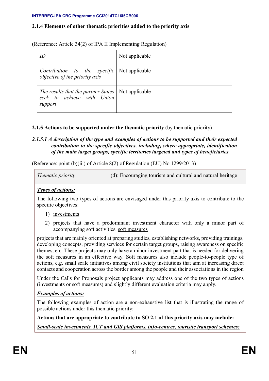### **2.1.4 Elements of other thematic priorities added to the priority axis**

| ID                                                                                                   | Not applicable |
|------------------------------------------------------------------------------------------------------|----------------|
| <i>Contribution to the specific</i> Not applicable<br>objective of the priority axis                 |                |
| <i>The results that the partner States</i>   Not applicable<br>seek to achieve with Union<br>support |                |

### **2.1.5 Actions to be supported under the thematic priority** (by thematic priority)

#### *2.1.5.1 A description of the type and examples of actions to be supported and their expected contribution to the specific objectives, including, where appropriate, identification of the main target groups, specific territories targeted and types of beneficiaries*

(Reference: point (b)(iii) of Article 8(2) of Regulation (EU) No 1299/2013)

| (d): Encouraging tourism and cultural and natural heritage<br>Thematic priority |  |
|---------------------------------------------------------------------------------|--|
|---------------------------------------------------------------------------------|--|

#### *Types of actions:*

The following two types of actions are envisaged under this priority axis to contribute to the specific objectives:

- 1) investments
- 2) projects that have a predominant investment character with only a minor part of accompanying soft activities. soft measures

projects that are mainly oriented at preparing studies, establishing networks, providing trainings, developing concepts, providing services for certain target groups, raising awareness on specific themes, etc. These projects may only have a minor investment part that is needed for delivering the soft measures in an effective way. Soft measures also include people-to-people type of actions, e.g. small scale initiatives among civil society institutions that aim at increasing direct contacts and cooperation across the border among the people and their associations in the region

Under the Calls for Proposals project applicants may address one of the two types of actions (investments or soft measures) and slightly different evaluation criteria may apply.

#### *Examples of actions:*

The following examples of action are a non-exhaustive list that is illustrating the range of possible actions under this thematic priority:

**Actions that are appropriate to contribute to SO 2.1 of this priority axis may include:**

*Small-scale investments, ICT and GIS platforms, info-centres, touristic transport schemes:*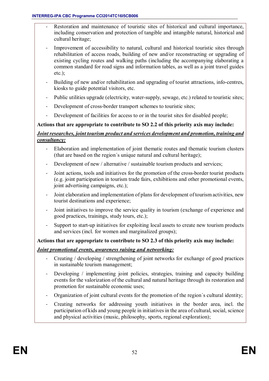- Restoration and maintenance of touristic sites of historical and cultural importance, including conservation and protection of tangible and intangible natural, historical and cultural heritage;
- Improvement of accessibility to natural, cultural and historical touristic sites through rehabilitation of access roads, building of new and/or reconstructing or upgrading of existing cycling routes and walking paths (including the accompanying elaborating a common standard for road signs and information tables, as well as a joint travel guides etc.);
- Building of new and/or rehabilitation and upgrading of tourist attractions, info-centres, kiosks to guide potential visitors, etc.
- Public utilities upgrade (electricity, water-supply, sewage, etc.) related to touristic sites;
- Development of cross-border transport schemes to touristic sites;
- Development of facilities for access to or in the tourist sites for disabled people;

## **Actions that are appropriate to contribute to SO 2.2 of this priority axis may include:**

## *Joint researches, joint tourism product and services development and promotion, training and consultancy:*

- Elaboration and implementation of joint thematic routes and thematic tourism clusters (that are based on the region´s unique natural and cultural heritage);
- Development of new / alternative / sustainable tourism products and services;
- Joint actions, tools and initiatives for the promotion of the cross-border tourist products (e.g. joint participation in tourism trade fairs, exhibitions and other promotional events, joint advertising campaigns, etc.);
- Joint elaboration and implementation of plans for development of tourism activities, new tourist destinations and experience;
- Joint initiatives to improve the service quality in tourism (exchange of experience and good practices, trainings, study tours, etc.);
- Support to start-up initiatives for exploiting local assets to create new tourism products and services (incl. for women and marginalized groups);

## **Actions that are appropriate to contribute to SO 2.3 of this priority axis may include:**

### *Joint promotional events, awareness raising and networking:*

- Creating / developing / strengthening of joint networks for exchange of good practices in sustainable tourism management;
- Developing / implementing joint policies, strategies, training and capacity building events for the valorization of the cultural and natural heritage through its restoration and promotion for sustainable economic uses;
- Organization of joint cultural events for the promotion of the region´s cultural identity;
- Creating networks for addressing youth initiatives in the border area, incl. the participation of kids and young people in initiatives in the area of cultural, social, science and physical activities (music, philosophy, sports, regional exploration);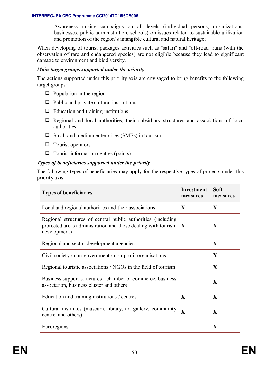- Awareness raising campaigns on all levels (individual persons, organizations, businesses, public administration, schools) on issues related to sustainable utilization and promotion of the region´s intangible cultural and natural heritage;

When developing of tourist packages activities such as "safari" and "off-road" runs (with the observation of rare and endangered species) are not eligible because they lead to significant damage to environment and biodiversity.

## *Main target groups supported under the priority*

The actions supported under this priority axis are envisaged to bring benefits to the following target groups:

- $\Box$  Population in the region
- $\Box$  Public and private cultural institutions
- $\Box$  Education and training institutions
- $\Box$  Regional and local authorities, their subsidiary structures and associations of local authorities
- $\Box$  Small and medium enterprises (SMEs) in tourism
- $\Box$  Tourist operators
- $\Box$  Tourist information centres (points)

## *Types of beneficiaries supported under the priority*

The following types of beneficiaries may apply for the respective types of projects under this priority axis:

| <b>Types of beneficiaries</b>                                                                                                                 | <b>Investment</b><br>measures | <b>Soft</b><br>measures |
|-----------------------------------------------------------------------------------------------------------------------------------------------|-------------------------------|-------------------------|
| Local and regional authorities and their associations                                                                                         | X                             | X                       |
| Regional structures of central public authorities (including<br>protected areas administration and those dealing with tourism<br>development) | $\mathbf{X}$                  | X                       |
| Regional and sector development agencies                                                                                                      |                               | X                       |
| Civil society / non-government / non-profit organisations                                                                                     |                               | X                       |
| Regional touristic associations / NGOs in the field of tourism                                                                                |                               | X                       |
| Business support structures - chamber of commerce, business<br>association, business cluster and others                                       |                               | $\mathbf{X}$            |
| Education and training institutions / centres                                                                                                 | X                             | X                       |
| Cultural institutes (museum, library, art gallery, community<br>centre, and others)                                                           | X                             | X                       |
| Euroregions                                                                                                                                   |                               | X                       |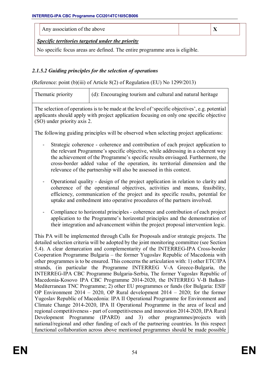#### **INTERREG-IPA CBC Programme CCI2014TC16I5CB006**

| Any association of the above                                                |  |
|-----------------------------------------------------------------------------|--|
| Specific territories targeted under the priority                            |  |
| No specific focus areas are defined. The entire programme area is eligible. |  |

## *2.1.5.2 Guiding principles for the selection of operations*

(Reference: point (b)(iii) of Article 8(2) of Regulation (EU) No 1299/2013)

| Thematic priority | $\vert$ (d): Encouraging tourism and cultural and natural heritage |
|-------------------|--------------------------------------------------------------------|
|                   |                                                                    |

The selection of operations is to be made at the level of 'specific objectives', e.g. potential applicants should apply with project application focusing on only one specific objective (SO) under priority axis 2.

The following guiding principles will be observed when selecting project applications:

- Strategic coherence coherence and contribution of each project application to the relevant Programme's specific objective, while addressing in a coherent way the achievement of the Programme's specific results envisaged. Furthermore, the cross-border added value of the operation, its territorial dimension and the relevance of the partnership will also be assessed in this context.
- Operational quality design of the project application in relation to clarity and coherence of the operational objectives, activities and means, feasibility, efficiency, communication of the project and its specific results, potential for uptake and embedment into operative procedures of the partners involved.
- Compliance to horizontal principles coherence and contribution of each project application to the Programme's horizontal principles and the demonstration of their integration and advancement within the project proposal intervention logic.

This PA will be implemented through Calls for Proposals and/or strategic projects. The detailed selection criteria will be adopted by the joint monitoring committee (see Section 5.4). A clear demarcation and complementarity of the INTERREG-IPA Cross-border Cooperation Programme Bulgaria – the former Yugoslav Republic of Macedonia with other programmes is to be ensured. This concerns the articulation with: 1) other ETC/IPA strands, (in particular the Programme INTERREG V-A Greece-Bulgaria, the INTERREG-IPA CBC Programme Bulgaria-Serbia, The former Yugoslav Republic of Macedonia-Kosovo IPA CBC Programme 2014-2020, the INTERREG V-B Balkan-Mediterranean TNC Programme; 2) other EU programmes or funds (for Bulgaria: ESIF OP Environment 2014 – 2020, OP Rural development 2014 – 2020; for the former Yugoslav Republic of Macedonia: IPA II Operational Programme for Environment and Climate Change 2014-2020, IPA II Operational Programme in the area of local and regional competitiveness - part of competitiveness and innovation 2014-2020, IPA Rural Development Programme (IPARD) and 3) other programmes/projects with national/regional and other funding of each of the partnering countries. In this respect functional collaboration across above mentioned programmes should be made possible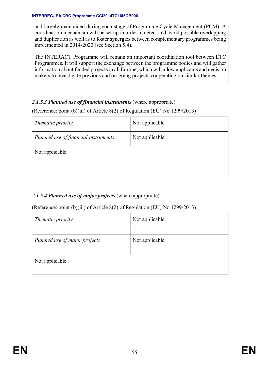and largely maintained during each stage of Programme Cycle Management (PCM). A coordination mechanism will be set up in order to detect and avoid possible overlapping and duplication as well as to foster synergies between complementary programmes being implemented in 2014-2020 (see Section 5.4).

The INTERACT Programme will remain an important coordination tool between ETC Programmes. It will support the exchange between the programme bodies and will gather information about funded projects in all Europe, which will allow applicants and decision makers to investigate previous and on-going projects cooperating on similar themes.

# *2.1.5.3 Planned use of financial instruments* (where appropriate)

*Thematic priority* Not applicable *Planned use of financial instruments* Not applicable Not applicable

(Reference: point (b)(iii) of Article 8(2) of Regulation (EU) No 1299/2013)

## *2.1.5.4 Planned use of major projects* (where appropriate)

(Reference: point (b)(iii) of Article 8(2) of Regulation (EU) No 1299/2013)

| Thematic priority             | Not applicable |
|-------------------------------|----------------|
| Planned use of major projects | Not applicable |
| Not applicable                |                |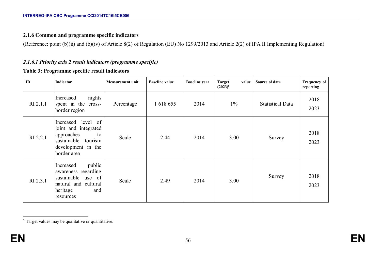## **2.1.6 Common and programme specific indicators**

(Reference: point (b)(ii) and (b)(iv) of Article 8(2) of Regulation (EU) No 1299/2013 and Article 2(2) of IPA II Implementing Regulation)

## *2.1.6.1 Priority axis 2 result indicators (programme specific)*

#### **Table 3: Programme specific result indicators**

| ID       | Indicator                                                                                                                     | <b>Measurement unit</b> | <b>Baseline value</b> | <b>Baseline</b> year | <b>Target</b><br>value<br>$(2023)^5$ | Source of data          | Frequency of<br>reporting |
|----------|-------------------------------------------------------------------------------------------------------------------------------|-------------------------|-----------------------|----------------------|--------------------------------------|-------------------------|---------------------------|
| RI 2.1.1 | nights<br>Increased<br>spent in the cross-<br>border region                                                                   | Percentage              | 1 618 655             | 2014                 | $1\%$                                | <b>Statistical Data</b> | 2018<br>2023              |
| RI 2.2.1 | level of<br>Increased<br>joint and integrated<br>approaches<br>to<br>sustainable tourism<br>development in the<br>border area | Scale                   | 2.44                  | 2014                 | 3.00                                 | Survey                  | 2018<br>2023              |
| RI 2.3.1 | public<br>Increased<br>awareness regarding<br>sustainable use of<br>natural and cultural<br>heritage<br>and<br>resources      | Scale                   | 2.49                  | 2014                 | 3.00                                 | Survey                  | 2018<br>2023              |

 $\overline{a}$  $<sup>5</sup>$  Target values may be qualitative or quantitative.</sup>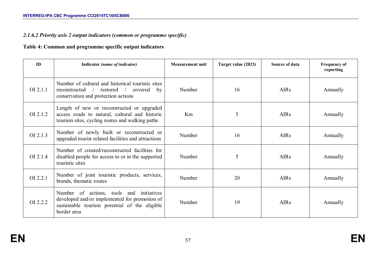## *2.1.6.2 Priority axis 2 output indicators (common or programme specific)*

### **Table 4: Common and programme specific output indicators**

| ID       | Indicator (name of indicator)                                                                                                                                 | <b>Measurement unit</b> | Target value (2023) | Source of data | <b>Frequency of</b><br>reporting |
|----------|---------------------------------------------------------------------------------------------------------------------------------------------------------------|-------------------------|---------------------|----------------|----------------------------------|
| OI 2.1.1 | Number of cultural and historical touristic sites<br>reconstructed /<br>restored<br>covered<br>$\mathbf{b} \mathbf{v}$<br>conservation and protection actions | Number                  | 16                  | <b>AIRs</b>    | Annually                         |
| OI 2.1.2 | Length of new or reconstructed or upgraded<br>access roads to natural, cultural and historic<br>tourism sites, cycling routes and walking paths               | Km                      | 5                   | <b>AIRs</b>    | Annually                         |
| OI 2.1.3 | Number of newly built or reconstructed or<br>upgraded tourist related facilities and attractions                                                              | Number                  | 16                  | <b>AIRs</b>    | Annually                         |
| OI 2.1.4 | Number of created/reconstructed facilities for<br>disabled people for access to or in the supported<br>touristic sites                                        | Number                  | 5                   | <b>AIRs</b>    | Annually                         |
| OI 2.2.1 | Number of joint touristic products, services,<br>brands, thematic routes                                                                                      | Number                  | 20                  | <b>AIRs</b>    | Annually                         |
| OI 2.2.2 | Number of actions, tools and initiatives<br>developed and/or implemented for promotion of<br>sustainable tourism potential of the eligible<br>border area     | Number                  | 19                  | <b>AIRs</b>    | Annually                         |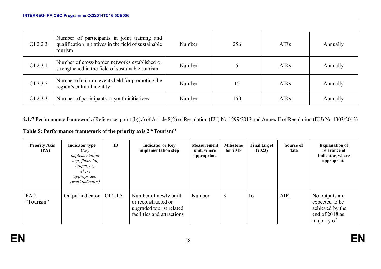| OI 2.2.3 | Number of participants in joint training and<br>qualification initiatives in the field of sustainable<br>tourism | Number | 256 | <b>AIRs</b> | Annually |
|----------|------------------------------------------------------------------------------------------------------------------|--------|-----|-------------|----------|
| OI 2.3.1 | Number of cross-border networks established or<br>strengthened in the field of sustainable tourism               | Number |     | <b>AIRs</b> | Annually |
| OI 2.3.2 | Number of cultural events held for promoting the<br>region's cultural identity                                   | Number | 15  | <b>AIRs</b> | Annually |
| OI 2.3.3 | Number of participants in youth initiatives                                                                      | Number | 150 | <b>AIRs</b> | Annually |

**2.1.7 Performance framework** (Reference: point (b)(v) of Article 8(2) of Regulation (EU) No 1299/2013 and Annex II of Regulation (EU) No 1303/2013)

## **Table 5: Performance framework of the priority axis 2 "Tourism"**

| <b>Priority Axis</b><br>(PA) | <b>Indicator type</b><br>(Kev)<br>implementation<br>step, financial,<br>output, or,<br>where<br>appropriate,<br>result indicator) | ID       | <b>Indicator or Key</b><br>implementation step                                                         | <b>Measurement</b><br>unit, where<br>appropriate | <b>Milestone</b><br>for 2018 | <b>Final target</b><br>(2023) | Source of<br>data | <b>Explanation of</b><br>relevance of<br>indicator, where<br>appropriate             |
|------------------------------|-----------------------------------------------------------------------------------------------------------------------------------|----------|--------------------------------------------------------------------------------------------------------|--------------------------------------------------|------------------------------|-------------------------------|-------------------|--------------------------------------------------------------------------------------|
| PA <sub>2</sub><br>"Tourism" | Output indicator                                                                                                                  | OI 2.1.3 | Number of newly built<br>or reconstructed or<br>upgraded tourist related<br>facilities and attractions | Number                                           |                              | 16                            | <b>AIR</b>        | No outputs are<br>expected to be<br>achieved by the<br>end of 2018 as<br>majority of |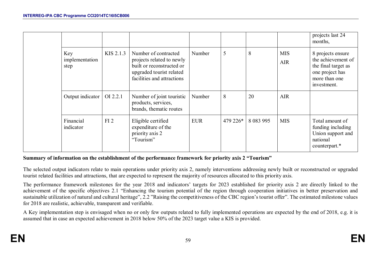|  |                               |                 |                                                                                                                                          |            |          |               |                          | projects last 24<br>months,                                                                                       |
|--|-------------------------------|-----------------|------------------------------------------------------------------------------------------------------------------------------------------|------------|----------|---------------|--------------------------|-------------------------------------------------------------------------------------------------------------------|
|  | Key<br>implementation<br>step | KIS 2.1.3       | Number of contracted<br>projects related to newly<br>built or reconstructed or<br>upgraded tourist related<br>facilities and attractions | Number     | 5        | 8             | <b>MIS</b><br><b>AIR</b> | 8 projects ensure<br>the achievement of<br>the final target as<br>one project has<br>more than one<br>investment. |
|  | Output indicator              | OI 2.2.1        | Number of joint touristic<br>products, services,<br>brands, thematic routes                                                              | Number     | 8        | 20            | <b>AIR</b>               |                                                                                                                   |
|  | Financial<br>indicator        | FI <sub>2</sub> | Eligible certified<br>expenditure of the<br>priority axis 2<br>"Tourism"                                                                 | <b>EUR</b> | 479 226* | 8 0 8 3 9 9 5 | <b>MIS</b>               | Total amount of<br>funding including<br>Union support and<br>national<br>counterpart.*                            |

#### **Summary of information on the establishment of the performance framework for priority axis 2 "Tourism"**

The selected output indicators relate to main operations under priority axis 2, namely interventions addressing newly built or reconstructed or upgraded tourist related facilities and attractions, that are expected to represent the majority of resources allocated to this priority axis.

The performance framework milestones for the year 2018 and indicators' targets for 2023 established for priority axis 2 are directly linked to the achievement of the specific objectives 2.1 "Enhancing the tourism potential of the region through cooperation initiatives in better preservation and sustainable utilization of natural and cultural heritage", 2.2 "Raising the competitiveness of the CBC region's tourist offer". The estimated milestone values for 2018 are realistic, achievable, transparent and verifiable.

A Key implementation step is envisaged when no or only few outputs related to fully implemented operations are expected by the end of 2018, e.g. it is assumed that in case an expected achievement in 2018 below 50% of the 2023 target value a KIS is provided.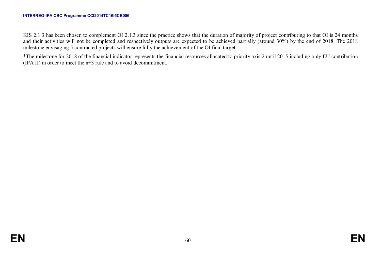KIS 2.1.3 has been chosen to complement OI 2.1.3 since the practice shows that the duration of majority of project contributing to that OI is 24 months and their activities will not be completed and respectively outputs are expected to be achieved partially (around 30%) by the end of 2018. The 2018 milestone envisaging 5 contracted projects will ensure fully the achievement of the OI final target.

\*The milestone for 2018 of the financial indicator represents the financial resources allocated to priority axis 2 until 2015 including only EU contribution (IPA II) in order to meet the n+3 rule and to avoid decommitment.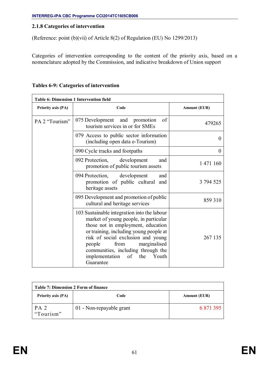## **2.1.8 Categories of intervention**

(Reference: point (b)(vii) of Article 8(2) of Regulation (EU) No 1299/2013)

Categories of intervention corresponding to the content of the priority axis, based on a nomenclature adopted by the Commission, and indicative breakdown of Union support

| <b>Table 6: Dimension 1 Intervention field</b> |                                                                                                                                                                                                                                                                                                                                         |                     |
|------------------------------------------------|-----------------------------------------------------------------------------------------------------------------------------------------------------------------------------------------------------------------------------------------------------------------------------------------------------------------------------------------|---------------------|
| <b>Priority axis (PA)</b>                      | Code                                                                                                                                                                                                                                                                                                                                    | <b>Amount (EUR)</b> |
| PA 2 "Tourism"                                 | 075 Development and promotion<br>of<br>tourism services in or for SMEs                                                                                                                                                                                                                                                                  | 479265              |
|                                                | 079 Access to public sector information<br>(including open data e-Tourism)                                                                                                                                                                                                                                                              | $\Omega$            |
|                                                | 090 Cycle tracks and footpaths                                                                                                                                                                                                                                                                                                          | $\theta$            |
|                                                | 092 Protection, development<br>and<br>promotion of public tourism assets                                                                                                                                                                                                                                                                | 1 471 160           |
|                                                | 094 Protection, development<br>and<br>promotion of public cultural<br>and<br>heritage assets                                                                                                                                                                                                                                            | 3 794 525           |
|                                                | 095 Development and promotion of public<br>cultural and heritage services                                                                                                                                                                                                                                                               | 859 310             |
|                                                | 103 Sustainable integration into the labour<br>market of young people, in particular<br>those not in employment, education<br>or training, including young people at<br>risk of social exclusion and young<br>from<br>marginalised<br>people<br>communities, including through the<br>implementation<br>of<br>Youth<br>the<br>Guarantee | 267 135             |

**Tables 6-9: Categories of intervention**

| <b>Table 7: Dimension 2 Form of finance</b> |                          |                     |
|---------------------------------------------|--------------------------|---------------------|
| <b>Priority axis (PA)</b>                   | Code                     | <b>Amount (EUR)</b> |
| PA <sub>2</sub><br>"Tourism"                | 01 - Non-repayable grant | 6 871 395           |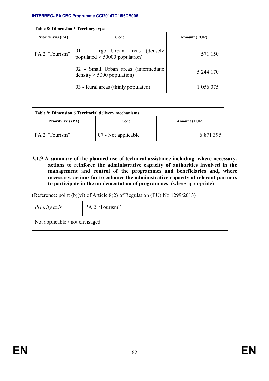| <b>Table 8: Dimension 3 Territory type</b> |                                                                   |                     |
|--------------------------------------------|-------------------------------------------------------------------|---------------------|
| <b>Priority axis (PA)</b>                  | Code                                                              | <b>Amount (EUR)</b> |
| PA 2 "Tourism"                             | 01 - Large Urban areas (densely populated $>$ 50000 population)   | 571 150             |
|                                            | 02 - Small Urban areas (intermediate density $> 5000$ population) | 5 244 170           |
|                                            | 03 - Rural areas (thinly populated)                               | 1 056 075           |

| Table 9: Dimension 6 Territorial delivery mechanisms |                     |                     |
|------------------------------------------------------|---------------------|---------------------|
| <b>Priority axis (PA)</b>                            | Code                | <b>Amount (EUR)</b> |
| PA 2 "Tourism"                                       | 07 - Not applicable | 6 871 395           |

**2.1.9 A summary of the planned use of technical assistance including, where necessary, actions to reinforce the administrative capacity of authorities involved in the management and control of the programmes and beneficiaries and, where necessary, actions for to enhance the administrative capacity of relevant partners to participate in the implementation of programmes** (where appropriate)

(Reference: point (b)(vi) of Article 8(2) of Regulation (EU) No 1299/2013)

| <i>Priority axis</i>           | PA 2 "Tourism" |
|--------------------------------|----------------|
| Not applicable / not envisaged |                |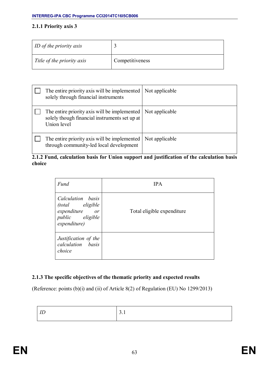### **2.1.1 Priority axis 3**

| <i>ID of the priority axis</i> |                 |
|--------------------------------|-----------------|
| Title of the priority axis     | Competitiveness |

| The entire priority axis will be implemented<br>solely through financial instruments                         | Not applicable |
|--------------------------------------------------------------------------------------------------------------|----------------|
| The entire priority axis will be implemented<br>solely though financial instruments set up at<br>Union level | Not applicable |
| The entire priority axis will be implemented<br>through community-led local development                      | Not applicable |

# **2.1.2 Fund, calculation basis for Union support and justification of the calculation basis choice**

| Fund                                                                                         | <b>IPA</b>                 |
|----------------------------------------------------------------------------------------------|----------------------------|
| Calculation basis<br>(total eligible<br>expenditure<br>or<br>public eligible<br>expenditure) | Total eligible expenditure |
| Justification of the<br>calculation basis<br>choice                                          |                            |

### **2.1.3 The specific objectives of the thematic priority and expected results**

(Reference: points (b)(i) and (ii) of Article 8(2) of Regulation (EU) No 1299/2013)

| $\sim\cdot$ . |
|---------------|
|               |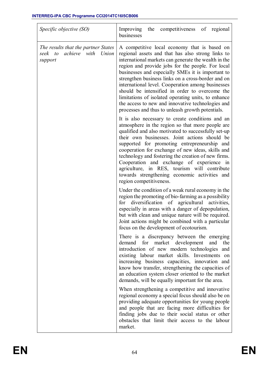#### **INTERREG-IPA CBC Programme CCI2014TC16I5CB006**

| Specific objective (SO)                                                            | Improving<br>the<br>competitiveness of<br>regional<br>businesses                                                                                                                                                                                                                                                                                                                                                                                                                                                                                                                                 |
|------------------------------------------------------------------------------------|--------------------------------------------------------------------------------------------------------------------------------------------------------------------------------------------------------------------------------------------------------------------------------------------------------------------------------------------------------------------------------------------------------------------------------------------------------------------------------------------------------------------------------------------------------------------------------------------------|
| The results that the partner States<br>achieve with<br>Union<br>seek to<br>support | A competitive local economy that is based on<br>regional assets and that has also strong links to<br>international markets can generate the wealth in the<br>region and provide jobs for the people. For local<br>businesses and especially SMEs it is important to<br>strengthen business links on a cross-border and on<br>international level. Cooperation among businesses<br>should be intensified in order to overcome the<br>limitations of isolated operating units, to enhance<br>the access to new and innovative technologies and<br>processes and thus to unleash growth potentials. |
|                                                                                    | It is also necessary to create conditions and an<br>atmosphere in the region so that more people are<br>qualified and also motivated to successfully set-up<br>their own businesses. Joint actions should be<br>supported for promoting entrepreneurship and<br>cooperation for exchange of new ideas, skills and<br>technology and fostering the creation of new firms.<br>Cooperation and exchange of experience in<br>agriculture, in RES, tourism will contribute<br>towards strengthening economic activities and<br>region competitiveness.                                                |
|                                                                                    | Under the condition of a weak rural economy in the<br>region the promoting of bio-farming as a possibility<br>diversification of agricultural activities,<br>for<br>especially in areas with a danger of depopulation,<br>but with clean and unique nature will be required.<br>Joint actions might be combined with a particular<br>focus on the development of ecotourism.                                                                                                                                                                                                                     |
|                                                                                    | There is a discrepancy between the emerging<br>demand<br>market development<br>the<br>for<br>and<br>introduction of new modern technologies<br>and<br>existing labour market skills. Investments on<br>increasing business capacities, innovation and<br>know how transfer, strengthening the capacities of<br>an education system closer oriented to the market<br>demands, will be equally important for the area.                                                                                                                                                                             |
|                                                                                    | When strengthening a competitive and innovative<br>regional economy a special focus should also be on<br>providing adequate opportunities for young people<br>and people that are facing more difficulties for<br>finding jobs due to their social status or other<br>obstacles that limit their access to the labour<br>market.                                                                                                                                                                                                                                                                 |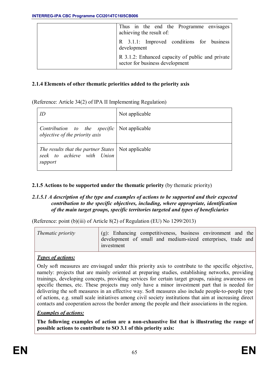| Thus in the end the Programme envisages<br>achieving the result of:                 |
|-------------------------------------------------------------------------------------|
| R 3.1.1: Improved conditions for business<br>development                            |
| R 3.1.2: Enhanced capacity of public and private<br>sector for business development |

## **2.1.4 Elements of other thematic priorities added to the priority axis**

(Reference: Article 34(2) of IPA II Implementing Regulation)

| ID                                                                                                   | Not applicable |
|------------------------------------------------------------------------------------------------------|----------------|
| Contribution to the specific Not applicable<br>objective of the priority axis                        |                |
| <i>The results that the partner States</i>   Not applicable<br>seek to achieve with Union<br>support |                |

**2.1.5 Actions to be supported under the thematic priority** (by thematic priority)

#### *2.1.5.1 A description of the type and examples of actions to be supported and their expected contribution to the specific objectives, including, where appropriate, identification of the main target groups, specific territories targeted and types of beneficiaries*

(Reference: point (b)(iii) of Article 8(2) of Regulation (EU) No 1299/2013)

| Thematic priority | $(g)$ : Enhancing competitiveness, business environment and the           |  |
|-------------------|---------------------------------------------------------------------------|--|
|                   | development of small and medium-sized enterprises, trade and<br>mvestment |  |

### *Types of actions:*

Only soft measures are envisaged under this priority axis to contribute to the specific objective, namely: projects that are mainly oriented at preparing studies, establishing networks, providing trainings, developing concepts, providing services for certain target groups, raising awareness on specific themes, etc. These projects may only have a minor investment part that is needed for delivering the soft measures in an effective way. Soft measures also include people-to-people type of actions, e.g. small scale initiatives among civil society institutions that aim at increasing direct contacts and cooperation across the border among the people and their associations in the region.

### *Examples of actions:*

**The following examples of action are a non-exhaustive list that is illustrating the range of possible actions to contribute to SO 3.1 of this priority axis:**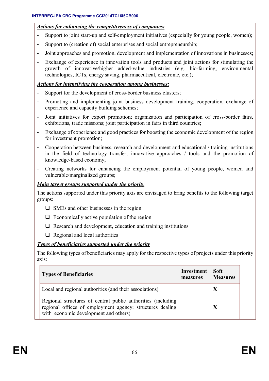### *Actions for enhancing the competitiveness of companies:*

- Support to joint start-up and self-employment initiatives (especially for young people, women);
- Support to (creation of) social enterprises and social entrepreneurship;
- Joint approaches and promotion, development and implementation of innovations in businesses;
- Exchange of experience in innovation tools and products and joint actions for stimulating the growth of innovative/higher added-value industries (e.g. bio-farming, environmental technologies, ICTs, energy saving, pharmaceutical, electronic, etc.);

## *Actions for intensifying the cooperation among businesses:*

- Support for the development of cross-border business clusters;
- Promoting and implementing joint business development training, cooperation, exchange of experience and capacity building schemes;
- Joint initiatives for export promotion; organization and participation of cross-border fairs, exhibitions, trade missions; joint participation in fairs in third countries;
- Exchange of experience and good practices for boosting the economic development of the region for investment promotion;
- Cooperation between business, research and development and educational / training institutions in the field of technology transfer, innovative approaches / tools and the promotion of knowledge-based economy;
- Creating networks for enhancing the employment potential of young people, women and vulnerable/marginalized groups;

## *Main target groups supported under the priority*

The actions supported under this priority axis are envisaged to bring benefits to the following target groups:

- $\Box$  SMEs and other businesses in the region
- $\Box$  Economically active population of the region
- $\Box$  Research and development, education and training institutions
- $\Box$  Regional and local authorities

## *Types of beneficiaries supported under the priority*

The following types of beneficiaries may apply for the respective types of projects under this priority axis:

| <b>Types of Beneficiaries</b>                                                                                                                                      | Investment<br>measures | Soft<br><b>Measures</b> |
|--------------------------------------------------------------------------------------------------------------------------------------------------------------------|------------------------|-------------------------|
| Local and regional authorities (and their associations)                                                                                                            |                        |                         |
| Regional structures of central public authorities (including<br>regional offices of employment agency; structures dealing<br>with economic development and others) |                        |                         |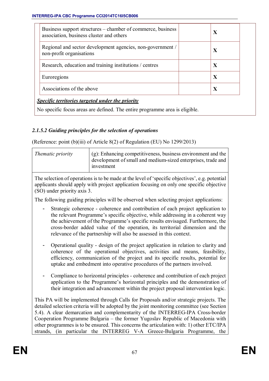| Business support structures – chamber of commerce, business<br>association, business cluster and others | X |
|---------------------------------------------------------------------------------------------------------|---|
| Regional and sector development agencies, non-government /<br>non-profit organisations                  | X |
| Research, education and training institutions / centres                                                 | X |
| Euroregions                                                                                             | X |
| Associations of the above                                                                               | X |

No specific focus areas are defined. The entire programme area is eligible.

# *2.1.5.2 Guiding principles for the selection of operations*

(Reference: point (b)(iii) of Article 8(2) of Regulation (EU) No 1299/2013)

| Thematic priority | $(g)$ : Enhancing competitiveness, business environment and the<br>development of small and medium-sized enterprises, trade and<br>investment |
|-------------------|-----------------------------------------------------------------------------------------------------------------------------------------------|
|                   |                                                                                                                                               |

The selection of operations is to be made at the level of 'specific objectives', e.g. potential applicants should apply with project application focusing on only one specific objective (SO) under priority axis 3.

The following guiding principles will be observed when selecting project applications:

- Strategic coherence coherence and contribution of each project application to the relevant Programme's specific objective, while addressing in a coherent way the achievement of the Programme's specific results envisaged. Furthermore, the cross-border added value of the operation, its territorial dimension and the relevance of the partnership will also be assessed in this context.
- Operational quality design of the project application in relation to clarity and coherence of the operational objectives, activities and means, feasibility, efficiency, communication of the project and its specific results, potential for uptake and embedment into operative procedures of the partners involved.
- Compliance to horizontal principles coherence and contribution of each project application to the Programme's horizontal principles and the demonstration of their integration and advancement within the project proposal intervention logic.

This PA will be implemented through Calls for Proposals and/or strategic projects. The detailed selection criteria will be adopted by the joint monitoring committee (see Section 5.4). A clear demarcation and complementarity of the INTERREG-IPA Cross-border Cooperation Programme Bulgaria – the former Yugoslav Republic of Macedonia with other programmes is to be ensured. This concerns the articulation with: 1) other ETC/IPA strands, (in particular the INTERREG V-A Greece-Bulgaria Programme, the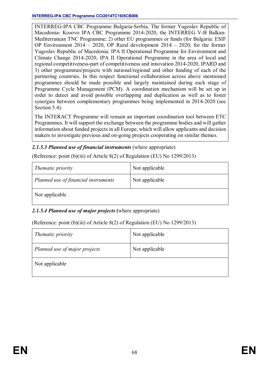INTERREG-IPA CBC Programme Bulgaria-Serbia, The former Yugoslav Republic of Macedonia- Kosovo IPA CBC Programme 2014-2020, the INTERREG V-B Balkan-Mediterranean TNC Programme; 2) other EU programmes or funds (for Bulgaria: ESIF OP Environment 2014 – 2020, OP Rural development 2014 – 2020; for the former Yugoslav Republic of Macedonia: IPA II Operational Programme for Environment and Climate Change 2014-2020, IPA II Operational Programme in the area of local and regional competitiveness-part of competitiveness and innovation 2014-2020, IPARD and 3) other programmes/projects with national/regional and other funding of each of the partnering countries. In this respect functional collaboration across above mentioned programmes should be made possible and largely maintained during each stage of Programme Cycle Management (PCM). A coordination mechanism will be set up in order to detect and avoid possible overlapping and duplication as well as to foster synergies between complementary programmes being implemented in 2014-2020 (see Section 5.4).

The INTERACT Programme will remain an important coordination tool between ETC Programmes. It will support the exchange between the programme bodies and will gather information about funded projects in all Europe, which will allow applicants and decision makers to investigate previous and on-going projects cooperating on similar themes.

## *2.1.5.3 Planned use of financial instruments* (where appropriate)

(Reference: point (b)(iii) of Article 8(2) of Regulation (EU) No 1299/2013)

| Thematic priority                    | Not applicable |
|--------------------------------------|----------------|
| Planned use of financial instruments | Not applicable |
| Not applicable                       |                |

## *2.1.5.4 Planned use of major projects* **(**where appropriate)

(Reference: point (b)(iii) of Article 8(2) of Regulation (EU) No 1299/2013)

| Thematic priority             | Not applicable |
|-------------------------------|----------------|
| Planned use of major projects | Not applicable |
| Not applicable                |                |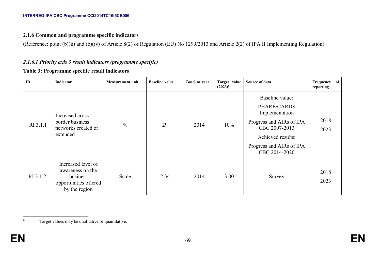## **2.1.6 Common and programme specific indicators**

(Reference: point (b)(ii) and (b)(iv) of Article 8(2) of Regulation (EU) No 1299/2013 and Article 2(2) of IPA II Implementing Regulation)

## *2.1.6.1 Priority axis 3 result indicators (programme specific)*

#### **Table 3: Programme specific result indicators**

| ID        | <b>Indicator</b>                                                                             | <b>Measurement unit</b> | <b>Baseline value</b> | <b>Baseline</b> year | Target value<br>$(2023)^6$ | Source of data                                                                                                                                                  | of<br>Frequency<br>reporting |
|-----------|----------------------------------------------------------------------------------------------|-------------------------|-----------------------|----------------------|----------------------------|-----------------------------------------------------------------------------------------------------------------------------------------------------------------|------------------------------|
| RI 3.1.1  | Increased cross-<br>border business<br>networks created or<br>extended                       | $\frac{0}{0}$           | 29                    | 2014                 | 10%                        | Baseline value:<br>PHARE/CARDS<br>Implementation<br>Progress and AIRs of IPA<br>CBC 2007-2013<br>Achieved results:<br>Progress and AIRs of IPA<br>CBC 2014-2020 | 2018<br>2023                 |
| RI 3.1.2. | Increased level of<br>awareness on the<br>business<br>opportunities offered<br>by the region | Scale                   | 2.34                  | 2014                 | 3.00                       | Survey                                                                                                                                                          | 2018<br>2023                 |

 $\sqrt{6}$ Target values may be qualitative or quantitative.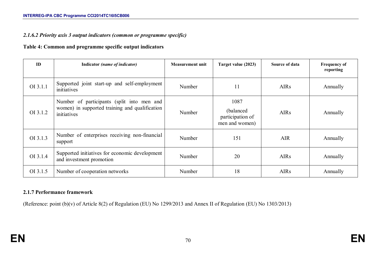#### *2.1.6.2 Priority axis 3 output indicators (common or programme specific)*

### **Table 4: Common and programme specific output indicators**

| ID       | Indicator (name of indicator)                                                                               | <b>Measurement unit</b> | Target value (2023)                                      | Source of data | <b>Frequency of</b><br>reporting |
|----------|-------------------------------------------------------------------------------------------------------------|-------------------------|----------------------------------------------------------|----------------|----------------------------------|
| OI 3.1.1 | Supported joint start-up and self-employment<br>initiatives                                                 | Number                  | 11                                                       | <b>AIRs</b>    | Annually                         |
| OI 3.1.2 | Number of participants (split into men and<br>women) in supported training and qualification<br>initiatives | <b>Number</b>           | 1087<br>(balanced)<br>participation of<br>men and women) | <b>AIRs</b>    | Annually                         |
| OI 3.1.3 | Number of enterprises receiving non-financial<br>support                                                    | <b>Number</b>           | 151                                                      | <b>AIR</b>     | Annually                         |
| OI 3.1.4 | Supported initiatives for economic development<br>and investment promotion                                  | Number                  | 20                                                       | <b>AIRs</b>    | Annually                         |
| OI 3.1.5 | Number of cooperation networks                                                                              | Number                  | 18                                                       | <b>AIRs</b>    | Annually                         |

### **2.1.7 Performance framework**

(Reference: point (b)(v) of Article 8(2) of Regulation (EU) No 1299/2013 and Annex II of Regulation (EU) No 1303/2013)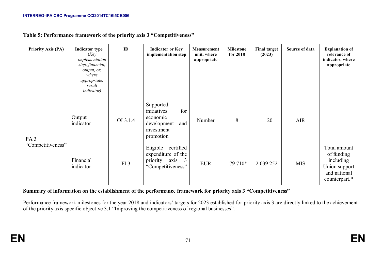#### **Table 5: Performance framework of the priority axis 3 "Competitiveness"**

| <b>Priority Axis (PA)</b>            | <b>Indicator type</b><br>(Key)<br>implementation<br>step, financial,<br>output, or,<br>where<br>appropriate,<br>result<br><i>indicator</i> ) | ID              | <b>Indicator or Key</b><br>implementation step                                                    | <b>Measurement</b><br>unit, where<br>appropriate | <b>Milestone</b><br>for 2018 | <b>Final target</b><br>(2023) | Source of data | <b>Explanation of</b><br>relevance of<br>indicator, where<br>appropriate                  |
|--------------------------------------|----------------------------------------------------------------------------------------------------------------------------------------------|-----------------|---------------------------------------------------------------------------------------------------|--------------------------------------------------|------------------------------|-------------------------------|----------------|-------------------------------------------------------------------------------------------|
| PA <sub>3</sub><br>"Competitiveness" | Output<br>indicator                                                                                                                          | OI 3.1.4        | Supported<br>for<br>initiatives<br>economic<br>and<br>development<br>investment<br>promotion      | Number                                           | 8                            | 20                            | <b>AIR</b>     |                                                                                           |
|                                      | Financial<br>indicator                                                                                                                       | FI <sub>3</sub> | Eligible<br>certified<br>expenditure of the<br>priority<br>axis <sup>3</sup><br>"Competitiveness" | <b>EUR</b>                                       | 179 710*                     | 2 039 252                     | <b>MIS</b>     | Total amount<br>of funding<br>including<br>Union support<br>and national<br>counterpart.* |

**Summary of information on the establishment of the performance framework for priority axis 3 "Competitiveness"**

Performance framework milestones for the year 2018 and indicators' targets for 2023 established for priority axis 3 are directly linked to the achievement of the priority axis specific objective 3.1 "Improving the competitiveness of regional businesses".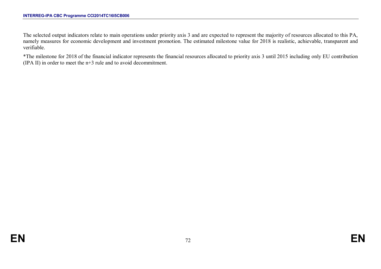The selected output indicators relate to main operations under priority axis 3 and are expected to represent the majority of resources allocated to this PA, namely measures for economic development and investment promotion. The estimated milestone value for 2018 is realistic, achievable, transparent and verifiable.

\*The milestone for 2018 of the financial indicator represents the financial resources allocated to priority axis 3 until 2015 including only EU contribution (IPA II) in order to meet the n+3 rule and to avoid decommitment.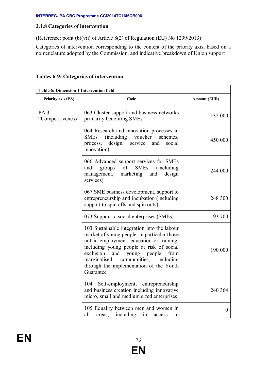# **2.1.8 Categories of intervention**

(Reference: point (b)(vii) of Article 8(2) of Regulation (EU) No 1299/2013)

Categories of intervention corresponding to the content of the priority axis, based on a nomenclature adopted by the Commission, and indicative breakdown of Union support

| <b>Table 6: Dimension 1 Intervention field</b> |                                                                                                                                                                                                                                                                                                                                         |                     |  |  |
|------------------------------------------------|-----------------------------------------------------------------------------------------------------------------------------------------------------------------------------------------------------------------------------------------------------------------------------------------------------------------------------------------|---------------------|--|--|
| Priority axis (PA)                             | Code                                                                                                                                                                                                                                                                                                                                    | <b>Amount (EUR)</b> |  |  |
| PA <sub>3</sub><br>"Competitiveness"           | 063 Cluster support and business networks<br>primarily benefiting SMEs                                                                                                                                                                                                                                                                  | 132 000             |  |  |
|                                                | 064 Research and innovation processes in<br>(including)<br><b>SMEs</b><br>voucher<br>schemes,<br>design,<br>service<br>social<br>and<br>process,<br>innovation)                                                                                                                                                                         | 450 000             |  |  |
|                                                | 066 Advanced support services for SMEs<br>of<br><b>SMEs</b><br>(including)<br>and<br>groups<br>marketing<br>design<br>management,<br>and<br>services)                                                                                                                                                                                   | 244 000             |  |  |
|                                                | 067 SME business development, support to<br>entrepreneurship and incubation (including<br>support to spin offs and spin outs)                                                                                                                                                                                                           | 248 300             |  |  |
|                                                | 073 Support to social enterprises (SMEs)                                                                                                                                                                                                                                                                                                | 93 700              |  |  |
|                                                | 103 Sustainable integration into the labour<br>market of young people, in particular those<br>not in employment, education or training,<br>including young people at risk of social<br>exclusion<br>and<br>young<br>people<br>from<br>marginalised<br>communities,<br>including<br>through the implementation of the Youth<br>Guarantee | 190 000             |  |  |
|                                                | Self-employment, entrepreneurship<br>104<br>and business creation including innovative<br>micro, small and medium sized enterprises                                                                                                                                                                                                     | 240 364             |  |  |
|                                                | 105 Equality between men and women in<br>all<br>including<br>1n<br>areas,<br>access<br>to                                                                                                                                                                                                                                               | $\theta$            |  |  |

# **Tables 6-9: Categories of intervention**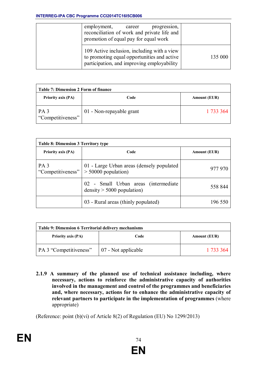#### **INTERREG-IPA CBC Programme CCI2014TC16I5CB006**

| employment,<br>career<br>progression,<br>reconciliation of work and private life and<br>promotion of equal pay for equal work            |         |
|------------------------------------------------------------------------------------------------------------------------------------------|---------|
| 109 Active inclusion, including with a view<br>to promoting equal opportunities and active<br>participation, and improving employability | 135 000 |

| <b>Table 7: Dimension 2 Form of finance</b> |                          |                     |  |  |  |
|---------------------------------------------|--------------------------|---------------------|--|--|--|
| <b>Priority axis (PA)</b>                   | Code                     | <b>Amount (EUR)</b> |  |  |  |
| PA <sub>3</sub><br>"Competitiveness"        | 01 - Non-repayable grant | 1 733 364           |  |  |  |

| <b>Table 8: Dimension 3 Territory type</b> |                                                                      |                     |  |  |  |
|--------------------------------------------|----------------------------------------------------------------------|---------------------|--|--|--|
| <b>Priority axis (PA)</b><br>Code          |                                                                      | <b>Amount (EUR)</b> |  |  |  |
| PA <sub>3</sub><br>"Competitiveness"       | 01 - Large Urban areas (densely populated<br>$> 50000$ population)   | 977 970             |  |  |  |
|                                            | 02 - Small Urban areas (intermediate<br>density $> 5000$ population) | 558 844             |  |  |  |
|                                            | 03 - Rural areas (thinly populated)                                  | 196 550             |  |  |  |

| Table 9: Dimension 6 Territorial delivery mechanisms |                             |                     |  |  |  |
|------------------------------------------------------|-----------------------------|---------------------|--|--|--|
| <b>Priority axis (PA)</b>                            | Code                        | <b>Amount (EUR)</b> |  |  |  |
| PA 3 "Competitiveness"                               | $\vert 07$ - Not applicable | 1 733 364           |  |  |  |

**2.1.9 A summary of the planned use of technical assistance including, where necessary, actions to reinforce the administrative capacity of authorities involved in the management and control of the programmes and beneficiaries and, where necessary, actions for to enhance the administrative capacity of relevant partners to participate in the implementation of programmes** (where appropriate)

(Reference: point (b)(vi) of Article 8(2) of Regulation (EU) No 1299/2013)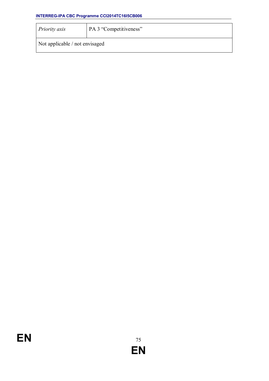## **INTERREG-IPA CBC Programme CCI2014TC16I5CB006**

| <i>Priority axis</i>           | PA 3 "Competitiveness" |  |  |
|--------------------------------|------------------------|--|--|
| Not applicable / not envisaged |                        |  |  |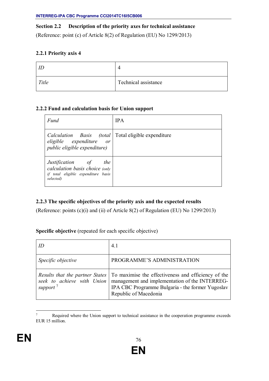# **Section 2.2 Description of the priority axes for technical assistance**

(Reference: point (c) of Article 8(2) of Regulation (EU) No 1299/2013)

# **2.2.1 Priority axis 4**

| IE    |                      |
|-------|----------------------|
| Title | Technical assistance |

# **2.2.2 Fund and calculation basis for Union support**

| Fund                                                                                                                     | <b>IPA</b> |
|--------------------------------------------------------------------------------------------------------------------------|------------|
| <i>Calculation Basis (total</i> Total eligible expenditure<br>eligible expenditure<br>or<br>public eligible expenditure) |            |
| Justification of<br>the<br>calculation basis choice (only<br>if total eligible expenditure basis<br>selected)            |            |

# **2.2.3 The specific objectives of the priority axis and the expected results**

(Reference: points (c)(i) and (ii) of Article 8(2) of Regulation (EU) No 1299/2013)

# **Specific objective** (repeated for each specific objective)

| ID                                                                                    | 4.1                                                                                                                                                                                |
|---------------------------------------------------------------------------------------|------------------------------------------------------------------------------------------------------------------------------------------------------------------------------------|
| Specific objective                                                                    | PROGRAMME'S ADMINISTRATION                                                                                                                                                         |
| Results that the partner States<br>seek to achieve with Union<br>support <sup>7</sup> | To maximise the effectiveness and efficiency of the<br>management and implementation of the INTERREG-<br>IPA CBC Programme Bulgaria - the former Yugoslav<br>Republic of Macedonia |

 $\overline{a}$ <sup>7</sup> Required where the Union support to technical assistance in the cooperation programme exceeds EUR 15 million.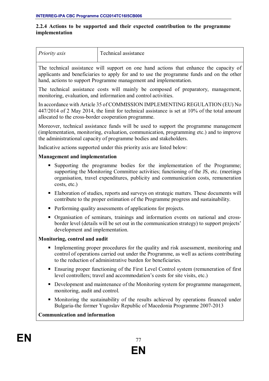#### **2.2.4 Actions to be supported and their expected contribution to the programme implementation**

| <i>Priority axis</i> | Technical assistance                                                                   |  |  |  |
|----------------------|----------------------------------------------------------------------------------------|--|--|--|
|                      | The technical assistance will support on one hand actions that enhance the capacity of |  |  |  |

applicants and beneficiaries to apply for and to use the programme funds and on the other hand, actions to support Programme management and implementation.

The technical assistance costs will mainly be composed of preparatory, management, monitoring, evaluation, and information and control activities.

In accordance with Article 35 of COMMISSION IMPLEMENTING REGULATION (EU) No 447/2014 of 2 May 2014, the limit for technical assistance is set at 10% of the total amount allocated to the cross-border cooperation programme.

Moreover, technical assistance funds will be used to support the programme management (implementation, monitoring, evaluation, communication, programming etc.) and to improve the administrational capacity of programme bodies and stakeholders.

Indicative actions supported under this priority axis are listed below:

# **Management and implementation**

- Supporting the programme bodies for the implementation of the Programme; supporting the Monitoring Committee activities; functioning of the JS, etc. (meetings organisation, travel expenditures, publicity and communication costs, remuneration costs, etc.)
- Elaboration of studies, reports and surveys on strategic matters. These documents will contribute to the proper estimation of the Programme progress and sustainability.
- **Performing quality assessments of applications for projects.**
- Organisation of seminars, trainings and information events on national and crossborder level (details will be set out in the communication strategy) to support projects' development and implementation.

### **Monitoring, control and audit**

- Implementing proper procedures for the quality and risk assessment, monitoring and control of operations carried out under the Programme, as well as actions contributing to the reduction of administrative burden for beneficiaries.
- Ensuring proper functioning of the First Level Control system (remuneration of first level controllers; travel and accommodation's costs for site visits, etc.)
- Development and maintenance of the Monitoring system for programme management, monitoring, audit and control.
- Monitoring the sustainability of the results achieved by operations financed under Bulgaria-the former Yugoslav Republic of Macedonia Programme 2007-2013

### **Communication and information**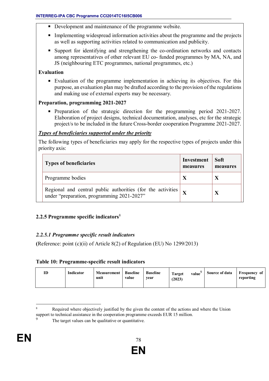- Development and maintenance of the programme website.
- Implementing widespread information activities about the programme and the projects as well as supporting activities related to communication and publicity.
- Support for identifying and strengthening the co-ordination networks and contacts among representatives of other relevant EU co- funded programmes by MA, NA, and JS (neighbouring ETC programmes, national programmes, etc.)

### **Evaluation**

 Evaluation of the programme implementation in achieving its objectives. For this purpose, an evaluation plan may be drafted according to the provision of the regulations and making use of external experts may be necessary.

### **Preparation, programming 2021-2027**

**Preparation** of the strategic direction for the programming period 2021-2027. Elaboration of project designs, technical documentation, analyses, etc for the strategic project/s to be included in the future Cross-border cooperation Programme 2021-2027.

# *Types of beneficiaries supported under the priority*

The following types of beneficiaries may apply for the respective types of projects under this priority axis:

| <b>Types of beneficiaries</b>                                                                             | Investment<br>measures | <b>Soft</b><br>measures |
|-----------------------------------------------------------------------------------------------------------|------------------------|-------------------------|
| Programme bodies                                                                                          |                        |                         |
| Regional and central public authorities (for the activities under "preparation, programming $2021-2027$ " |                        |                         |

# **2.2.5 Programme specific indicators**<sup>8</sup>

# *2.2.5.1 Programme specific result indicators*

**(**Reference: point (c)(ii) of Article 8(2) of Regulation (EU) No 1299/2013)

**Table 10: Programme-specific result indicators**

| ID | Indicator | Measurement<br>unit | <b>Baseline</b><br>value | <b>Baseline</b><br>vear | <b>Target</b><br>(2023) | value | Source of data | Frequency of<br>reporting |
|----|-----------|---------------------|--------------------------|-------------------------|-------------------------|-------|----------------|---------------------------|
|----|-----------|---------------------|--------------------------|-------------------------|-------------------------|-------|----------------|---------------------------|

 $\overline{a}$ <sup>8</sup> Required where objectively justified by the given the content of the actions and where the Union support to technical assistance in the cooperation programme exceeds EUR 15 million.

The target values can be qualitative or quantitative.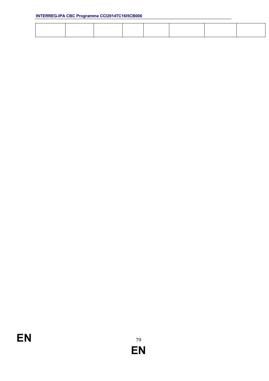# **INTERREG-IPA CBC Programme CCI2014TC16I5CB006**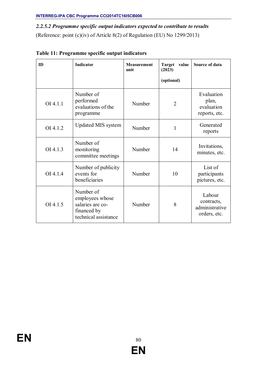# *2.2.5.2 Programme specific output indicators expected to contribute to results*

(Reference: point (c)(iv) of Article 8(2) of Regulation (EU) No 1299/2013)

| ID       | <b>Indicator</b>                                                                        | <b>Measurement</b><br>unit | <b>Target</b><br>value<br>(2023) | Source of data                                         |
|----------|-----------------------------------------------------------------------------------------|----------------------------|----------------------------------|--------------------------------------------------------|
|          |                                                                                         |                            | (optional)                       |                                                        |
| OI 4.1.1 | Number of<br>performed<br>evaluations of the<br>programme                               | Number                     | $\overline{2}$                   | Evaluation<br>plan,<br>evaluation<br>reports, etc.     |
| OI 4.1.2 | <b>Updated MIS system</b>                                                               | Number                     | 1                                | Generated<br>reports                                   |
| OI 4.1.3 | Number of<br>monitoring<br>committee meetings                                           | Number                     | 14                               | Invitations,<br>minutes, etc.                          |
| OI 4.1.4 | Number of publicity<br>events for<br>beneficiaries                                      | Number                     | 10                               | List of<br>participants<br>pictures, etc.              |
| OI 4.1.5 | Number of<br>employees whose<br>salaries are co-<br>financed by<br>technical assistance | Number                     | 8                                | Labour<br>contracts,<br>administrative<br>orders, etc. |

**Table 11: Programme specific output indicators**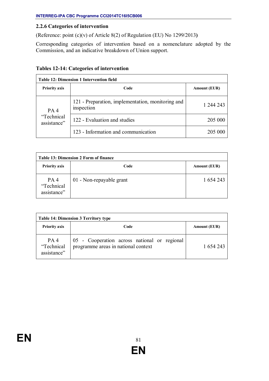# **2.2.6 Categories of intervention**

(Reference: point (c)(v) of Article 8(2) of Regulation (EU) No 1299/2013**)**

Corresponding categories of intervention based on a nomenclature adopted by the Commission, and an indicative breakdown of Union support.

|  |  | <b>Tables 12-14: Categories of intervention</b> |  |  |
|--|--|-------------------------------------------------|--|--|
|--|--|-------------------------------------------------|--|--|

| <b>Table 12: Dimension 1 Intervention field</b> |                                                                 |                     |  |  |  |
|-------------------------------------------------|-----------------------------------------------------------------|---------------------|--|--|--|
| <b>Priority axis</b>                            | Code                                                            | <b>Amount (EUR)</b> |  |  |  |
| PA <sub>4</sub>                                 | 121 - Preparation, implementation, monitoring and<br>inspection | 1 244 243           |  |  |  |
| "Technical<br>assistance"                       | 122 - Evaluation and studies                                    | 205 000             |  |  |  |
|                                                 | 123 - Information and communication                             | 205 000             |  |  |  |

| Table 13: Dimension 2 Form of finance        |                          |                     |  |  |  |
|----------------------------------------------|--------------------------|---------------------|--|--|--|
| <b>Priority axis</b>                         | Code                     | <b>Amount (EUR)</b> |  |  |  |
| PA <sub>4</sub><br>"Technical<br>assistance" | 01 - Non-repayable grant | 1 654 243           |  |  |  |

| <b>Table 14: Dimension 3 Territory type</b> |                                                                                     |                     |  |  |  |  |
|---------------------------------------------|-------------------------------------------------------------------------------------|---------------------|--|--|--|--|
| <b>Priority axis</b>                        | Code                                                                                | <b>Amount (EUR)</b> |  |  |  |  |
| PA4<br>"Technical<br>assistance"            | 05 - Cooperation across national or regional<br>programme areas in national context | 1 654 243           |  |  |  |  |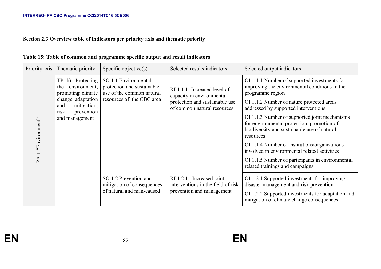# **Section 2.3 Overview table of indicators per priority axis and thematic priority**

| Priority axis                    | Thematic priority                                                                                                                                | Specific objective $(s)$                                                                                     | Selected results indicators                                                                                                | Selected output indicators                                                                                                                                                                                                                                                                                                                                                                                                                                                                                                                                |
|----------------------------------|--------------------------------------------------------------------------------------------------------------------------------------------------|--------------------------------------------------------------------------------------------------------------|----------------------------------------------------------------------------------------------------------------------------|-----------------------------------------------------------------------------------------------------------------------------------------------------------------------------------------------------------------------------------------------------------------------------------------------------------------------------------------------------------------------------------------------------------------------------------------------------------------------------------------------------------------------------------------------------------|
| "Environment"<br>PA <sub>1</sub> | TP b): Protecting<br>environment,<br>the<br>promoting climate<br>change adaptation<br>mitigation,<br>and<br>prevention<br>risk<br>and management | SO 1.1 Environmental<br>protection and sustainable<br>use of the common natural<br>resources of the CBC area | RI 1.1.1: Increased level of<br>capacity in environmental<br>protection and sustainable use<br>of common natural resources | OI 1.1.1 Number of supported investments for<br>improving the environmental conditions in the<br>programme region<br>OI 1.1.2 Number of nature protected areas<br>addressed by supported interventions<br>OI 1.1.3 Number of supported joint mechanisms<br>for environmental protection, promotion of<br>biodiversity and sustainable use of natural<br>resources<br>OI 1.1.4 Number of institutions/organizations<br>involved in environmental related activities<br>OI 1.1.5 Number of participants in environmental<br>related trainings and campaigns |
|                                  |                                                                                                                                                  | SO 1.2 Prevention and<br>mitigation of consequences<br>of natural and man-caused                             | RI 1.2.1: Increased joint<br>interventions in the field of risk<br>prevention and management                               | OI 1.2.1 Supported investments for improving<br>disaster management and risk prevention<br>OI 1.2.2 Supported investments for adaptation and<br>mitigation of climate change consequences                                                                                                                                                                                                                                                                                                                                                                 |

|  | Table 15: Table of common and programme specific output and result indicators |  |  |  |
|--|-------------------------------------------------------------------------------|--|--|--|
|  |                                                                               |  |  |  |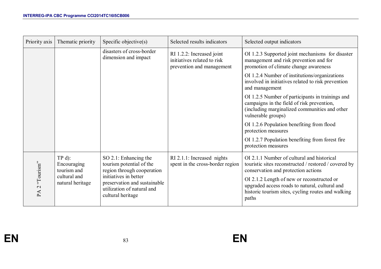| Priority axis                                       | Thematic priority                                                          | Specific objective $(s)$                                                                                                                                                                    | Selected results indicators                                                           | Selected output indicators                                                                                                                                                                                                                                                                                |
|-----------------------------------------------------|----------------------------------------------------------------------------|---------------------------------------------------------------------------------------------------------------------------------------------------------------------------------------------|---------------------------------------------------------------------------------------|-----------------------------------------------------------------------------------------------------------------------------------------------------------------------------------------------------------------------------------------------------------------------------------------------------------|
|                                                     |                                                                            | disasters of cross-border<br>dimension and impact                                                                                                                                           | RI 1.2.2: Increased joint<br>initiatives related to risk<br>prevention and management | OI 1.2.3 Supported joint mechanisms for disaster<br>management and risk prevention and for<br>promotion of climate change awareness                                                                                                                                                                       |
|                                                     |                                                                            |                                                                                                                                                                                             |                                                                                       | OI 1.2.4 Number of institutions/organizations<br>involved in initiatives related to risk prevention<br>and management                                                                                                                                                                                     |
|                                                     |                                                                            |                                                                                                                                                                                             |                                                                                       | OI 1.2.5 Number of participants in trainings and<br>campaigns in the field of risk prevention,<br>(including marginalized communities and other<br>vulnerable groups)                                                                                                                                     |
|                                                     |                                                                            |                                                                                                                                                                                             |                                                                                       | OI 1.2.6 Population benefiting from flood<br>protection measures                                                                                                                                                                                                                                          |
|                                                     |                                                                            |                                                                                                                                                                                             |                                                                                       | OI 1.2.7 Population benefiting from forest fire<br>protection measures                                                                                                                                                                                                                                    |
| "Tourism"<br>$\mathbf{C}$<br>$\mathsf{P}\mathsf{A}$ | $TP d$ :<br>Encouraging<br>tourism and<br>cultural and<br>natural heritage | SO 2.1: Enhancing the<br>tourism potential of the<br>region through cooperation<br>initiatives in better<br>preservation and sustainable<br>utilization of natural and<br>cultural heritage | RI 2.1.1: Increased nights<br>spent in the cross-border region                        | OI 2.1.1 Number of cultural and historical<br>touristic sites reconstructed / restored / covered by<br>conservation and protection actions<br>OI 2.1.2 Length of new or reconstructed or<br>upgraded access roads to natural, cultural and<br>historic tourism sites, cycling routes and walking<br>paths |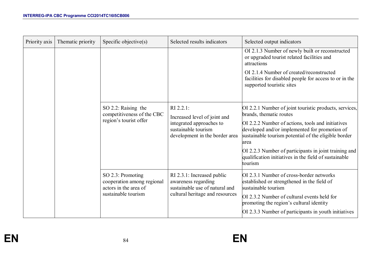| Priority axis | Thematic priority | Specific objective $(s)$                                                 | Selected results indicators                                                                                               | Selected output indicators                                                                                                                                         |
|---------------|-------------------|--------------------------------------------------------------------------|---------------------------------------------------------------------------------------------------------------------------|--------------------------------------------------------------------------------------------------------------------------------------------------------------------|
|               |                   |                                                                          |                                                                                                                           | OI 2.1.3 Number of newly built or reconstructed<br>or upgraded tourist related facilities and<br>attractions                                                       |
|               |                   |                                                                          |                                                                                                                           | OI 2.1.4 Number of created/reconstructed<br>facilities for disabled people for access to or in the<br>supported touristic sites                                    |
|               |                   | SO 2.2: Raising the<br>competitiveness of the CBC                        | $RI$ 2.2.1:<br>Increased level of joint and                                                                               | OI 2.2.1 Number of joint touristic products, services,<br>brands, thematic routes                                                                                  |
|               |                   | region's tourist offer                                                   | integrated approaches to<br>sustainable tourism<br>development in the border area                                         | OI 2.2.2 Number of actions, tools and initiatives<br>developed and/or implemented for promotion of<br>sustainable tourism potential of the eligible border<br>area |
|               |                   |                                                                          | OI 2.2.3 Number of participants in joint training and<br>qualification initiatives in the field of sustainable<br>tourism |                                                                                                                                                                    |
|               |                   | SO 2.3: Promoting<br>cooperation among regional<br>actors in the area of | RI 2.3.1: Increased public<br>awareness regarding<br>sustainable use of natural and                                       | OI 2.3.1 Number of cross-border networks<br>established or strengthened in the field of<br>sustainable tourism                                                     |
|               |                   | sustainable tourism                                                      | cultural heritage and resources                                                                                           | OI 2.3.2 Number of cultural events held for<br>promoting the region's cultural identity                                                                            |
|               |                   |                                                                          |                                                                                                                           | OI 2.3.3 Number of participants in youth initiatives                                                                                                               |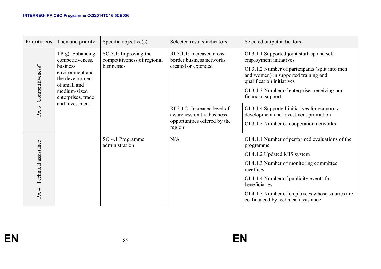| Priority axis                                                                                                                                                                                                | Thematic priority                                                  | Specific objective $(s)$                                                      | Selected results indicators                                                                                                                                                                                                                                         | Selected output indicators                                                                                                                                                                                                                                                                               |
|--------------------------------------------------------------------------------------------------------------------------------------------------------------------------------------------------------------|--------------------------------------------------------------------|-------------------------------------------------------------------------------|---------------------------------------------------------------------------------------------------------------------------------------------------------------------------------------------------------------------------------------------------------------------|----------------------------------------------------------------------------------------------------------------------------------------------------------------------------------------------------------------------------------------------------------------------------------------------------------|
| $TP g$ : Enhancing<br>competitiveness,<br>"Competitiveness"<br>business<br>environment and<br>the development<br>of small and<br>medium-sized<br>enterprises, trade<br>and investment<br>$\tilde{\xi}$<br>PA | SO 3.1: Improving the<br>competitiveness of regional<br>businesses | RI 3.1.1: Increased cross-<br>border business networks<br>created or extended | OI 3.1.1 Supported joint start-up and self-<br>employment initiatives<br>OI 3.1.2 Number of participants (split into men<br>and women) in supported training and<br>qualification initiatives<br>OI 3.1.3 Number of enterprises receiving non-<br>financial support |                                                                                                                                                                                                                                                                                                          |
|                                                                                                                                                                                                              |                                                                    |                                                                               | RI 3.1.2: Increased level of<br>awareness on the business<br>opportunities offered by the<br>region                                                                                                                                                                 | OI 3.1.4 Supported initiatives for economic<br>development and investment promotion<br>OI 3.1.5 Number of cooperation networks                                                                                                                                                                           |
| 4 "Technical assistance<br>PA                                                                                                                                                                                |                                                                    | SO 4.1 Programme<br>administration                                            | N/A                                                                                                                                                                                                                                                                 | OI 4.1.1 Number of performed evaluations of the<br>programme<br>OI 4.1.2 Updated MIS system<br>OI 4.1.3 Number of monitoring committee<br>meetings<br>OI 4.1.4 Number of publicity events for<br>beneficiaries<br>OI 4.1.5 Number of employees whose salaries are<br>co-financed by technical assistance |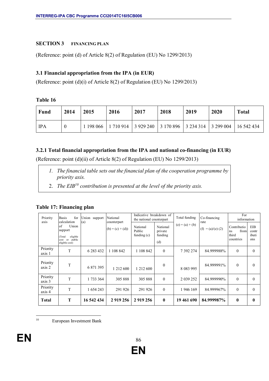# **SECTION 3 FINANCING PLAN**

(Reference: point (d) of Article 8(2) of Regulation (EU) No 1299/2013)

# **3.1 Financial appropriation from the IPA (in EUR)**

(Reference: point (d)(i) of Article 8(2) of Regulation (EU) No 1299/2013)

**Table 16**

| <b>Fund</b> | 2014 | 2015 | 2016                                                                | 2017 | 2018 | 2019 | 2020 | <b>Total</b> |
|-------------|------|------|---------------------------------------------------------------------|------|------|------|------|--------------|
| IPA         |      |      | 198 066   1 710 914   3 929 240   3 170 896   3 234 314   3 299 004 |      |      |      |      | 16 542 434   |

# **3.2.1 Total financial appropriation from the IPA and national co-financing (in EUR)**

(Reference: point (d)(ii) of Article 8(2) of Regulation (EU) No 1299/2013)

- *1. The financial table sets out the financial plan of the cooperation programme by priority axis.*
- 2. *The EIB<sup>10</sup> contribution is presented at the level of the priority axis.*

| Priority<br>axis   | for<br><b>Basis</b><br>calculation                                                  | Union support<br>(a) | National<br>counterpart | Indicative breakdown of<br>the national counterpart |                                       | Total funding     | Co-financing<br>rate   | For<br>information                              |                              |
|--------------------|-------------------------------------------------------------------------------------|----------------------|-------------------------|-----------------------------------------------------|---------------------------------------|-------------------|------------------------|-------------------------------------------------|------------------------------|
|                    | Union<br>of<br>support<br>eligible<br>(Total<br>or public<br>cost<br>eligible cost) |                      | $(b) = (c) + (d)$       | National<br>Public<br>funding $(c)$                 | National<br>private<br>funding<br>(d) | $(e) = (a) + (b)$ | $= (a)/(e) (2)$<br>(f) | Contributio<br>from<br>ns<br>third<br>countries | EIB<br>contr<br>ibuti<br>ons |
| Priority<br>axis 1 | T                                                                                   | 6 283 432            | 1 108 842               | 1 108 842                                           | $\theta$                              | 7 392 274         | 84.999988%             | $\theta$                                        | $\theta$                     |
| Priority<br>axis 2 | T                                                                                   | 6 871 395            | 1 2 1 2 6 0 0           | 1 212 600                                           | $\mathbf{0}$                          | 8 0 8 3 9 9 5     | 84.999991%             | $\theta$                                        | $\theta$                     |
| Priority<br>axis 3 | T                                                                                   | 1 733 364            | 305888                  | 305888                                              | $\theta$                              | 2 0 39 2 52       | 84.999990%             | $\theta$                                        | $\theta$                     |
| Priority<br>axis 4 | T                                                                                   | 1 654 243            | 291926                  | 291 926                                             | $\mathbf{0}$                          | 1 946 169         | 84.999967%             | $\theta$                                        | $\theta$                     |
| <b>Total</b>       | T                                                                                   | 16 542 434           | 2 9 19 2 5 6            | 2 9 19 2 5 6                                        | $\boldsymbol{0}$                      | 19 461 690        | 84.999987%             | $\boldsymbol{0}$                                | $\mathbf{0}$                 |

## **Table 17: Financing plan**

 $10\,$ European Investment Bank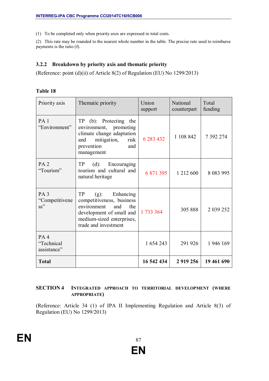(1) To be completed only when priority axes are expressed in total costs.

(2) This rate may be rounded to the nearest whole number in the table. The precise rate used to reimburse payments is the ratio (f).

#### **3.2.2 Breakdown by priority axis and thematic priority**

(Reference: point (d)(ii) of Article 8(2) of Regulation (EU) No 1299/2013)

| <b>Table 18</b> |  |
|-----------------|--|
|-----------------|--|

| Priority axis                                | Thematic priority                                                                                                                                                            | Union<br>support | National<br>counterpart | Total<br>funding |
|----------------------------------------------|------------------------------------------------------------------------------------------------------------------------------------------------------------------------------|------------------|-------------------------|------------------|
| PA <sub>1</sub><br>"Environment"             | TP (b): Protecting the<br>environment, promoting<br>climate change adaptation<br>mitigation,<br>risk<br>and<br>prevention<br>and<br>management                               | 6 283 432        | 1 108 842               | 7 392 274        |
| PA <sub>2</sub><br>"Tourism"                 | $(d)$ :<br>TP<br>Encouraging<br>tourism and cultural and<br>natural heritage                                                                                                 | 6 871 395        | 1 212 600               | 8 0 8 3 9 9 5    |
| PA <sub>3</sub><br>"Competitivene<br>$SS^"$  | <b>TP</b><br>Enhancing<br>$(g)$ :<br>competitiveness, business<br>environment<br>and<br>the<br>development of small and<br>medium-sized enterprises,<br>trade and investment | 1733 364         | 305 888                 | 2 039 252        |
| PA <sub>4</sub><br>"Technical<br>assistance" |                                                                                                                                                                              | 1 654 243        | 291 926                 | 1 946 169        |
| <b>Total</b>                                 |                                                                                                                                                                              | 16 542 434       | 2 9 19 2 5 6            | 19 461 690       |

#### **SECTION 4 INTEGRATED APPROACH TO TERRITORIAL DEVELOPMENT (WHERE APPROPRIATE)**

(Reference: Article 34 (1) of IPA II Implementing Regulation and Article 8(3) of Regulation (EU) No 1299/2013)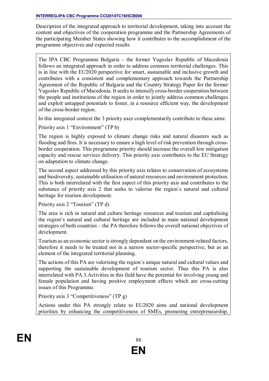Description of the integrated approach to territorial development, taking into account the content and objectives of the cooperation programme and the Partnership Agreements of the participating Member States showing how it contributes to the accomplishment of the programme objectives and expected results

The IPA CBC Programme Bulgaria – the former Yugoslav Republic of Macedonia follows an integrated approach in order to address common territorial challenges. This is in line with the EU2020 perspective for smart, sustainable and inclusive growth and contributes with a consistent and complementary approach towards the Partnership Agreement of the Republic of Bulgaria and the Country Strategy Paper for the former Yugoslav Republic of Macedonia. It seeks to intensify cross-border cooperation between the people and institutions of the region in order to jointly address common challenges and exploit untapped potentials to foster, in a resource efficient way, the development of the cross-border region.

In this integrated context the 3 priority axes complementarily contribute to these aims:

Priority axis 1 "Environment" (TP b)

The region is highly exposed to climate change risks and natural disasters such as flooding and fires. It is necessary to ensure a high level of risk prevention through crossborder cooperation. This programme priority should increase the overall low mitigation capacity and rescue services delivery. This priority axis contributes to the EU Strategy on adaptation to climate change.

The second aspect addressed by this priority axis relates to conservation of ecosystems and biodiversity, sustainable utilisation of natural resources and environment protection. This is both interrelated with the first aspect of this priority axis and contributes to the substance of priority axis 2 that seeks to valorise the region´s natural and cultural heritage for tourism development.

Priority axis 2 "Tourism" (TP d)

The area is rich in natural and culture heritage resources and tourism and capitalising the region's natural and cultural heritage are included in main national development strategies of both countries – the PA therefore follows the overall national objectives of development.

Tourism as an economic sector is strongly dependant on the environment-related factors, therefore it needs to be treated not in a narrow sector-specific perspective, but as an element of the integrated territorial planning.

The actions of this PA are valorising the region´s unique natural and cultural values and supporting the sustainable development of tourism sector. Thus this PA is also interrelated with PA 3.Activities in this field have the potential for involving young and female population and having positive employment effects which are cross-cutting issues of this Programme.

Priority axis 3 "Competitiveness" (TP g)

Actions under this PA strongly relate to EU2020 aims and national development priorities by enhancing the competitiveness of SMEs, promoting entrepreneurship,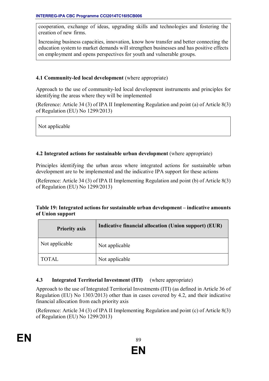cooperation, exchange of ideas, upgrading skills and technologies and fostering the creation of new firms.

Increasing business capacities, innovation, know how transfer and better connecting the education system to market demands will strengthen businesses and has positive effects on employment and opens perspectives for youth and vulnerable groups.

### **4.1 Community-led local development** (where appropriate)

Approach to the use of community-led local development instruments and principles for identifying the areas where they will be implemented

(Reference: Article 34 (3) of IPA II Implementing Regulation and point (a) of Article 8(3) of Regulation (EU) No 1299/2013)

Not applicable

### **4.2 Integrated actions for sustainable urban development** (where appropriate)

Principles identifying the urban areas where integrated actions for sustainable urban development are to be implemented and the indicative IPA support for these actions

(Reference: Article 34 (3) of IPA II Implementing Regulation and point (b) of Article 8(3) of Regulation (EU) No 1299/2013)

### **Table 19: Integrated actions for sustainable urban development – indicative amounts of Union support**

| <b>Priority axis</b> | Indicative financial allocation (Union support) (EUR) |
|----------------------|-------------------------------------------------------|
| Not applicable       | Not applicable                                        |
| TOTAL                | Not applicable                                        |

### **4.3 Integrated Territorial Investment (ITI)** (where appropriate)

Approach to the use of Integrated Territorial Investments (ITI) (as defined in Article 36 of Regulation (EU) No 1303/2013) other than in cases covered by 4.2, and their indicative financial allocation from each priority axis

(Reference: Article 34 (3) of IPA II Implementing Regulation and point (c) of Article 8(3) of Regulation (EU) No 1299/2013)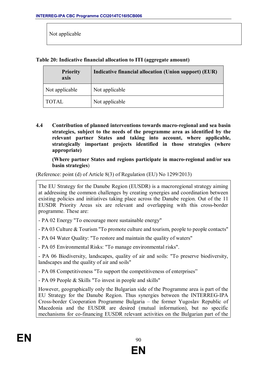Not applicable

| <b>Priority</b><br>axis | Indicative financial allocation (Union support) (EUR) |
|-------------------------|-------------------------------------------------------|
| Not applicable          | Not applicable                                        |
| <b>TOTAL</b>            | Not applicable                                        |

#### **Table 20: Indicative financial allocation to ITI (aggregate amount)**

**4.4 Contribution of planned interventions towards macro-regional and sea basin strategies, subject to the needs of the programme area as identified by the relevant partner States and taking into account, where applicable, strategically important projects identified in those strategies (where appropriate)**

**(Where partner States and regions participate in macro-regional and/or sea basin strategies**)

(Reference: point (d) of Article 8(3) of Regulation (EU) No 1299/2013)

The EU Strategy for the Danube Region (EUSDR) is a macroregional strategy aiming at addressing the common challenges by creating synergies and coordination between existing policies and initiatives taking place across the Danube region. Out of the 11 EUSDR Priority Areas six are relevant and overlapping with this cross-border programme. These are:

- PA 02 Energy "To encourage more sustainable energy"

- PA 03 Culture & Tourism "To promote culture and tourism, people to people contacts"

- PA 04 Water Quality: "To restore and maintain the quality of waters"

- PA 05 Environmental Risks: "To manage environmental risks".

- PA 06 Biodiversity, landscapes, quality of air and soils: "To preserve biodiversity, landscapes and the quality of air and soils"

- PA 08 Competitiveness "To support the competitiveness of enterprises"

- PA 09 People & Skills "To invest in people and skills"

However, geographically only the Bulgarian side of the Programme area is part of the EU Strategy for the Danube Region. Thus synergies between the INTERREG-IPA Cross-border Cooperation Programme Bulgaria – the former Yugoslav Republic of Macedonia and the EUSDR are desired (mutual information), but no specific mechanisms for co-financing EUSDR relevant activities on the Bulgarian part of the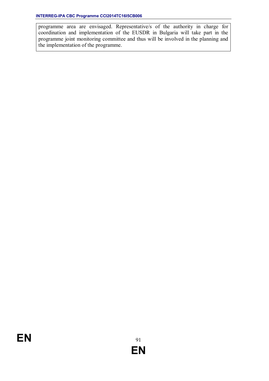programme area are envisaged. Representative/s of the authority in charge for coordination and implementation of the EUSDR in Bulgaria will take part in the programme joint monitoring committee and thus will be involved in the planning and the implementation of the programme.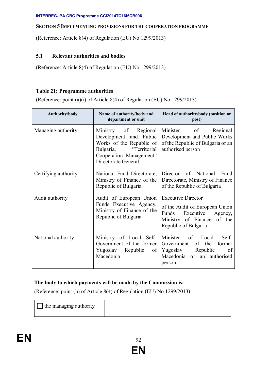#### **SECTION 5 IMPLEMENTING PROVISIONS FOR THE COOPERATION PROGRAMME**

(Reference: Article 8(4) of Regulation (EU) No 1299/2013)

# **5.1 Relevant authorities and bodies**

(Reference: Article 8(4) of Regulation (EU) No 1299/2013)

# **Table 21: Programme authorities**

(Reference: point (a)(i) of Article 8(4) of Regulation (EU) No 1299/2013)

| Authority/body       | Name of authority/body and<br>department or unit                                                                                                       | Head of authority/body (position or<br>post)                                                                                                       |
|----------------------|--------------------------------------------------------------------------------------------------------------------------------------------------------|----------------------------------------------------------------------------------------------------------------------------------------------------|
| Managing authority   | Ministry of Regional<br>Development and Public<br>Works of the Republic of<br>Bulgaria, "Territorial<br>Cooperation Management"<br>Directorate General | Minister of<br>Regional<br>Development and Public Works<br>of the Republic of Bulgaria or an<br>authorised person                                  |
| Certifying authority | National Fund Directorate,<br>Ministry of Finance of the<br>Republic of Bulgaria                                                                       | Director of National Fund<br>Directorate, Ministry of Finance<br>of the Republic of Bulgaria                                                       |
| Audit authority      | Audit of European Union<br>Funds Executive Agency,<br>Ministry of Finance of the<br>Republic of Bulgaria                                               | <b>Executive Director</b><br>of the Audit of European Union<br>Funds<br>Executive<br>Agency,<br>Ministry of Finance of the<br>Republic of Bulgaria |
| National authority   | Ministry of Local Self-<br>Government of the former<br>Republic<br>Yugoslav<br>$\left  \right $<br>Macedonia                                           | Minister<br>Self-<br>of Local<br>of the<br>Government<br>former<br>of<br>Yugoslav<br>Republic<br>Macedonia or an authorised<br>person              |

# **The body to which payments will be made by the Commission is:**

(Reference: point (b) of Article 8(4) of Regulation (EU) No 1299/2013)

 $\Box$  the managing authority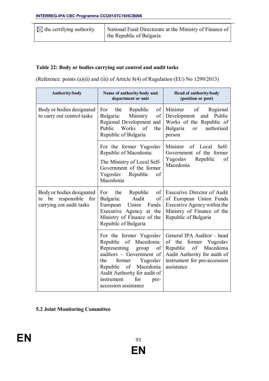| $\triangleright$ the certifying authority | National Fund Directorate at the Ministry of Finance of  <br>the Republic of Bulgaria |
|-------------------------------------------|---------------------------------------------------------------------------------------|
|-------------------------------------------|---------------------------------------------------------------------------------------|

# **Table 22: Body or bodies carrying out control and audit tasks**

(Reference: points (a)(ii) and (iii) of Article 8(4) of Regulation (EU) No 1299/2013)

| Authority/body                                                                       | Name of authority/body and<br>department or unit                                                                                                                                                                                                                 | Head of authority/body<br>(position or post)                                                                                                                         |
|--------------------------------------------------------------------------------------|------------------------------------------------------------------------------------------------------------------------------------------------------------------------------------------------------------------------------------------------------------------|----------------------------------------------------------------------------------------------------------------------------------------------------------------------|
| Body or bodies designated<br>to carry out control tasks                              | the<br>of  <br>For<br>Republic<br>Ministry<br>Bulgaria:<br>of<br>Regional Development and<br>Public<br>Works<br>of<br>the<br>Republic of Bulgaria                                                                                                                | Minister<br>Regional<br>of<br>Public<br>Development<br>and<br>Works of the Republic of<br>authorised<br>Bulgaria<br>or<br>person                                     |
|                                                                                      | For the former Yugoslav<br>Republic of Macedonia:<br>The Ministry of Local Self-<br>Government of the former<br>Yugoslav<br>Republic<br>of<br>Macedonia                                                                                                          | Minister of Local<br>Self-<br>Government of the former<br>Republic<br>Yugoslav<br>of<br>Macedonia                                                                    |
| Body or bodies designated<br>responsible for<br>be<br>to<br>carrying out audit tasks | the<br>Republic<br>For<br>of  <br>Audit<br>Bulgaria:<br>of<br>European<br>Union<br>Funds<br>Executive Agency at the<br>Ministry of Finance of the<br>Republic of Bulgaria                                                                                        | <b>Executive Director of Audit</b><br>of European Union Funds<br>Executive Agency within the<br>Ministry of Finance of the<br>Republic of Bulgaria                   |
|                                                                                      | For the former Yugoslav<br>Republic of<br>Macedonia:<br>Representing<br>of<br>group<br>auditors - Government of<br>Yugoslav<br>the<br>former<br>of<br>Macedonia<br>Republic<br>Audit Authority for audit of<br>instrument<br>for<br>pre-<br>accession assistance | General IPA Auditor – head<br>of the former<br>Yugoslav<br>Macedonia<br>Republic<br>of<br>Audit Authority for audit of<br>instrument for pre-accession<br>assistance |

# **5.2 Joint Monitoring Committee**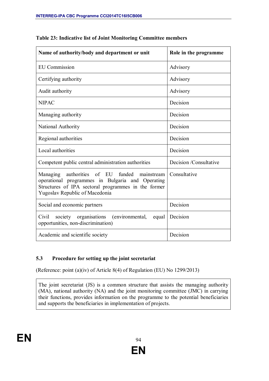| Name of authority/body and department or unit                                                                                                                                                   | Role in the programme  |
|-------------------------------------------------------------------------------------------------------------------------------------------------------------------------------------------------|------------------------|
| <b>EU</b> Commission                                                                                                                                                                            | Advisory               |
| Certifying authority                                                                                                                                                                            | Advisory               |
| Audit authority                                                                                                                                                                                 | Advisory               |
| <b>NIPAC</b>                                                                                                                                                                                    | Decision               |
| Managing authority                                                                                                                                                                              | Decision               |
| National Authority                                                                                                                                                                              | Decision               |
| Regional authorities                                                                                                                                                                            | Decision               |
| Local authorities                                                                                                                                                                               | Decision               |
| Competent public central administration authorities                                                                                                                                             | Decision /Consultative |
| Managing authorities of EU<br>funded<br>mainstream<br>operational programmes in Bulgaria and Operating<br>Structures of IPA sectoral programmes in the former<br>Yugoslav Republic of Macedonia | Consultative           |
| Social and economic partners                                                                                                                                                                    | Decision               |
| Civil<br>society organisations<br>(environmental,<br>equal<br>opportunities, non-discrimination)                                                                                                | Decision               |
| Academic and scientific society                                                                                                                                                                 | Decision               |

# **Table 23: Indicative list of Joint Monitoring Committee members**

# **5.3 Procedure for setting up the joint secretariat**

(Reference: point (a)(iv) of Article 8(4) of Regulation (EU) No 1299/2013)

The joint secretariat (JS) is a common structure that assists the managing authority (MA), national authority (NA) and the joint monitoring committee (JMC) in carrying their functions, provides information on the programme to the potential beneficiaries and supports the beneficiaries in implementation of projects.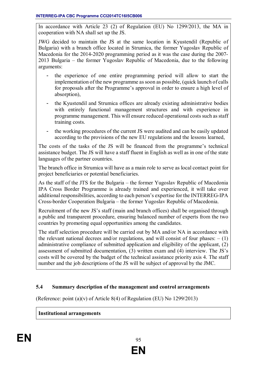In accordance with Article 23 (2) of Regulation (EU) No 1299/2013, the MA in cooperation with NA shall set up the JS.

JWG decided to maintain the JS at the same location in Kyustendil (Republic of Bulgaria) with a branch office located in Strumica, the former Yugoslav Republic of Macedonia for the 2014-2020 programming period as it was the case during the 2007- 2013 Bulgaria – the former Yugoslav Republic of Macedonia, due to the following arguments:

- the experience of one entire programming period will allow to start the implementation of the new programme as soon as possible, (quick launch of calls for proposals after the Programme's approval in order to ensure a high level of absorption),
- the Kyustendil and Strumica offices are already existing administrative bodies with entirely functional management structures and with experience in programme management. This will ensure reduced operational costs such as staff training costs.
- the working procedures of the current JS were audited and can be easily updated according to the provisions of the new EU regulations and the lessons learned,

The costs of the tasks of the JS will be financed from the programme's technical assistance budget. The JS will have a staff fluent in English as well as in one of the state languages of the partner countries.

The branch office in Strumica will have as a main role to serve as local contact point for project beneficiaries or potential beneficiaries.

As the staff of the JTS for the Bulgaria – the former Yugoslav Republic of Macedonia IPA Cross Border Programme is already trained and experienced, it will take over additional responsibilities, according to each person's expertise for the INTERREG-IPA Cross-border Cooperation Bulgaria – the former Yugoslav Republic of Macedonia.

Recruitment of the new JS's staff (main and branch offices) shall be organised through a public and transparent procedure, ensuring balanced number of experts from the two countries by promoting equal opportunities among the candidates.

The staff selection procedure will be carried out by MA and/or NA in accordance with the relevant national decrees and/or regulations, and will consist of four phases:  $- (1)$ administrative compliance of submitted application and eligibility of the applicant, (2) assessment of submitted documentation, (3) written exam and (4) interview. The JS's costs will be covered by the budget of the technical assistance priority axis 4. The staff number and the job descriptions of the JS will be subject of approval by the JMC.

# **5.4 Summary description of the management and control arrangements**

(Reference: point (a)(v) of Article 8(4) of Regulation (EU) No 1299/2013)

# **Institutional arrangements**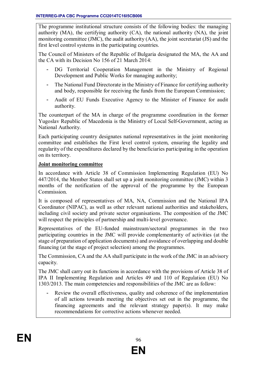The programme institutional structure consists of the following bodies: the managing authority (MA), the certifying authority (CA), the national authority (NA), the joint monitoring committee (JMC), the audit authority (AA), the joint secretariat (JS) and the first level control systems in the participating countries.

The Council of Ministers of the Republic of Bulgaria designated the MA, the AA and the CA with its Decision No 156 of 21 March 2014:

- DG Territorial Cooperation Management in the Ministry of Regional Development and Public Works for managing authority;
- The National Fund Directorate in the Ministry of Finance for certifying authority and body, responsible for receiving the funds from the European Commission;
- Audit of EU Funds Executive Agency to the Minister of Finance for audit authority.

The counterpart of the MA in charge of the programme coordination in the former Yugoslav Republic of Macedonia is the Ministry of Local Self-Government, acting as National Authority.

Each participating country designates national representatives in the joint monitoring committee and establishes the First level control system, ensuring the legality and regularity of the expenditures declared by the beneficiaries participating in the operation on its territory.

# **Joint monitoring committee**

In accordance with Article 38 of Commission Implementing Regulation (EU) No 447/2014, the Member States shall set up a joint monitoring committee (JMC) within 3 months of the notification of the approval of the programme by the European **Commission** 

It is composed of representatives of MA, NA, Commission and the National IPA Coordinator (NIPAC), as well as other relevant national authorities and stakeholders, including civil society and private sector organisations. The composition of the JMC will respect the principles of partnership and multi-level governance.

Representatives of the EU-funded mainstream/sectoral programmes in the two participating countries in the JMC will provide complementarity of activities (at the stage of preparation of application documents) and avoidance of overlapping and double financing (at the stage of project selection) among the programmes.

The Commission, CA and the AA shall participate in the work of the JMC in an advisory capacity.

The JMC shall carry out its functions in accordance with the provisions of Article 38 of IPA II Implementing Regulation and Articles 49 and 110 of Regulation (EU) No 1303/2013. The main competencies and responsibilities of the JMC are as follow:

Review the overall effectiveness, quality and coherence of the implementation of all actions towards meeting the objectives set out in the programme, the financing agreements and the relevant strategy paper(s). It may make recommendations for corrective actions whenever needed.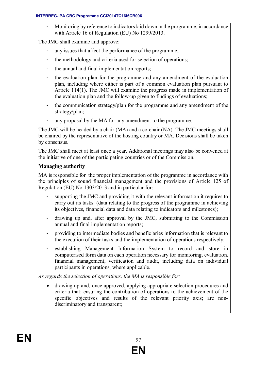Monitoring by reference to indicators laid down in the programme, in accordance with Article 16 of Regulation (EU) No 1299/2013.

The JMC shall examine and approve:

- any issues that affect the performance of the programme;
- the methodology and criteria used for selection of operations;
- the annual and final implementation reports;
- the evaluation plan for the programme and any amendment of the evaluation plan, including where either is part of a common evaluation plan pursuant to Article 114(1). The JMC will examine the progress made in implementation of the evaluation plan and the follow-up given to findings of evaluations;
- the communication strategy/plan for the programme and any amendment of the strategy/plan;
- any proposal by the MA for any amendment to the programme.

The JMC will be headed by a chair (MA) and a co-chair (NA). The JMC meetings shall be chaired by the representative of the hosting country or MA. Decisions shall be taken by consensus.

The JMC shall meet at least once a year. Additional meetings may also be convened at the initiative of one of the participating countries or of the Commission.

### **Managing authority**

MA is responsible for the proper implementation of the programme in accordance with the principles of sound financial management and the provisions of Article 125 of Regulation (EU) No 1303/2013 and in particular for:

- supporting the JMC and providing it with the relevant information it requires to carry out its tasks (data relating to the progress of the programme in achieving its objectives, financial data and data relating to indicators and milestones);
- drawing up and, after approval by the JMC, submitting to the Commission annual and final implementation reports;
- providing to intermediate bodies and beneficiaries information that is relevant to the execution of their tasks and the implementation of operations respectively;
- establishing Management Information System to record and store in computerised form data on each operation necessary for monitoring, evaluation, financial management, verification and audit, including data on individual participants in operations, where applicable.

*As regards the selection of operations, the MA is responsible for:*

 drawing up and, once approved, applying appropriate selection procedures and criteria that: ensuring the contribution of operations to the achievement of the specific objectives and results of the relevant priority axis; are nondiscriminatory and transparent;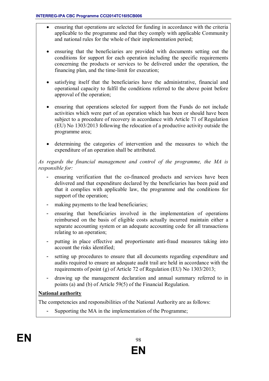- ensuring that operations are selected for funding in accordance with the criteria applicable to the programme and that they comply with applicable Community and national rules for the whole of their implementation period;
- ensuring that the beneficiaries are provided with documents setting out the conditions for support for each operation including the specific requirements concerning the products or services to be delivered under the operation, the financing plan, and the time-limit for execution;
- satisfying itself that the beneficiaries have the administrative, financial and operational capacity to fulfil the conditions referred to the above point before approval of the operation;
- ensuring that operations selected for support from the Funds do not include activities which were part of an operation which has been or should have been subject to a procedure of recovery in accordance with Article 71 of Regulation (EU) No 1303/2013 following the relocation of a productive activity outside the programme area;
- determining the categories of intervention and the measures to which the expenditure of an operation shall be attributed.

*As regards the financial management and control of the programme, the MA is responsible for:*

- ensuring verification that the co-financed products and services have been delivered and that expenditure declared by the beneficiaries has been paid and that it complies with applicable law, the programme and the conditions for support of the operation;
- making payments to the lead beneficiaries;
- ensuring that beneficiaries involved in the implementation of operations reimbursed on the basis of eligible costs actually incurred maintain either a separate accounting system or an adequate accounting code for all transactions relating to an operation;
- putting in place effective and proportionate anti-fraud measures taking into account the risks identified;
- setting up procedures to ensure that all documents regarding expenditure and audits required to ensure an adequate audit trail are held in accordance with the requirements of point (g) of Article 72 of Regulation (EU) No 1303/2013;
- drawing up the management declaration and annual summary referred to in points (a) and (b) of Article 59(5) of the Financial Regulation.

# **National authority**

The competencies and responsibilities of the National Authority are as follows:

Supporting the MA in the implementation of the Programme;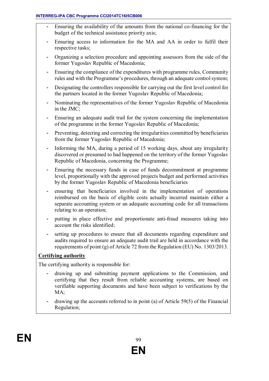#### **INTERREG-IPA CBC Programme CCI2014TC16I5CB006**

- Ensuring the availability of the amounts from the national co-financing for the budget of the technical assistance priority axis;
- Ensuring access to information for the MA and AA in order to fulfil their respective tasks;
- Organizing a selection procedure and appointing assessors from the side of the former Yugoslav Republic of Macedonia;
- Ensuring the compliance of the expenditures with programme rules, Community rules and with the Programme's procedures, through an adequate control system;
- Designating the controllers responsible for carrying out the first level control for the partners located in the former Yugoslav Republic of Macedonia;
- Nominating the representatives of the former Yugoslav Republic of Macedonia in the JMC;
- Ensuring an adequate audit trail for the system concerning the implementation of the programme in the former Yugoslav Republic of Macedonia;
- Preventing, detecting and correcting the irregularities committed by beneficiaries from the former Yugoslav Republic of Macedonia;
- Informing the MA, during a period of 15 working days, about any irregularity discovered or presumed to had happened on the territory of the former Yugoslav Republic of Macedonia, concerning the Programme;
- Ensuring the necessary funds in case of funds decommitment at programme level, proportionally with the approved projects budget and performed activities by the former Yugoslav Republic of Macedonia beneficiaries
- ensuring that beneficiaries involved in the implementation of operations reimbursed on the basis of eligible costs actually incurred maintain either a separate accounting system or an adequate accounting code for all transactions relating to an operation;
- putting in place effective and proportionate anti-fraud measures taking into account the risks identified;
- setting up procedures to ensure that all documents regarding expenditure and audits required to ensure an adequate audit trail are held in accordance with the requirements of point (g) of Article 72 from the Regulation (EU) No. 1303/2013.

### **Certifying authority**

The certifying authority is responsible for:

- drawing up and submitting payment applications to the Commission, and certifying that they result from reliable accounting systems, are based on verifiable supporting documents and have been subject to verifications by the MA:
- drawing up the accounts referred to in point (a) of Article 59(5) of the Financial Regulation;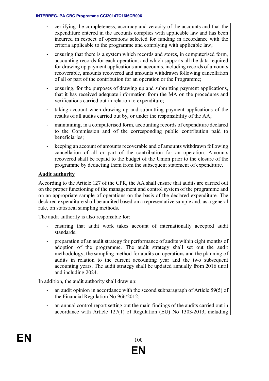- certifying the completeness, accuracy and veracity of the accounts and that the expenditure entered in the accounts complies with applicable law and has been incurred in respect of operations selected for funding in accordance with the criteria applicable to the programme and complying with applicable law;
- ensuring that there is a system which records and stores, in computerised form, accounting records for each operation, and which supports all the data required for drawing up payment applications and accounts, including records of amounts recoverable, amounts recovered and amounts withdrawn following cancellation of all or part of the contribution for an operation or the Programme;
- ensuring, for the purposes of drawing up and submitting payment applications, that it has received adequate information from the MA on the procedures and verifications carried out in relation to expenditure;
- taking account when drawing up and submitting payment applications of the results of all audits carried out by, or under the responsibility of the AA;
- maintaining, in a computerised form, accounting records of expenditure declared to the Commission and of the corresponding public contribution paid to beneficiaries;
- keeping an account of amounts recoverable and of amounts withdrawn following cancellation of all or part of the contribution for an operation. Amounts recovered shall be repaid to the budget of the Union prior to the closure of the programme by deducting them from the subsequent statement of expenditure.

# **Audit authority**

According to the Article 127 of the CPR, the AA shall ensure that audits are carried out on the proper functioning of the management and control system of the programme and on an appropriate sample of operations on the basis of the declared expenditure. The declared expenditure shall be audited based on a representative sample and, as a general rule, on statistical sampling methods.

The audit authority is also responsible for:

- ensuring that audit work takes account of internationally accepted audit standards;
- preparation of an audit strategy for performance of audits within eight months of adoption of the programme. The audit strategy shall set out the audit methodology, the sampling method for audits on operations and the planning of audits in relation to the current accounting year and the two subsequent accounting years. The audit strategy shall be updated annually from 2016 until and including 2024.

In addition, the audit authority shall draw up:

- an audit opinion in accordance with the second subparagraph of Article 59(5) of the Financial Regulation No 966/2012;
- an annual control report setting out the main findings of the audits carried out in accordance with Article 127(1) of Regulation (EU) No 1303/2013, including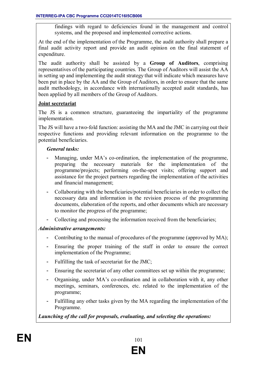findings with regard to deficiencies found in the management and control systems, and the proposed and implemented corrective actions.

At the end of the implementation of the Programme, the audit authority shall prepare a final audit activity report and provide an audit opinion on the final statement of expenditure.

The audit authority shall be assisted by a **Group of Auditors**, comprising representatives of the participating countries. The Group of Auditors will assist the AA in setting up and implementing the audit strategy that will indicate which measures have been put in place by the AA and the Group of Auditors, in order to ensure that the same audit methodology, in accordance with internationally accepted audit standards, has been applied by all members of the Group of Auditors.

### **Joint secretariat**

The JS is a common structure, guaranteeing the impartiality of the programme implementation.

The JS will have a two-fold function: assisting the MA and the JMC in carrying out their respective functions and providing relevant information on the programme to the potential beneficiaries.

### *General tasks:*

- Managing, under MA's co-ordination, the implementation of the programme, preparing the necessary materials for the implementation of the programme/projects; performing on-the-spot visits; offering support and assistance for the project partners regarding the implementation of the activities and financial management;
- Collaborating with the beneficiaries/potential beneficiaries in order to collect the necessary data and information in the revision process of the programming documents, elaboration of the reports, and other documents which are necessary to monitor the progress of the programme;
- Collecting and processing the information received from the beneficiaries;

### *Administrative arrangements:*

- Contributing to the manual of procedures of the programme (approved by MA);
- Ensuring the proper training of the staff in order to ensure the correct implementation of the Programme;
- Fulfilling the task of secretariat for the JMC;
- Ensuring the secretariat of any other committees set up within the programme;
- Organising, under MA's co-ordination and in collaboration with it, any other meetings, seminars, conferences, etc. related to the implementation of the programme;
- Fulfilling any other tasks given by the MA regarding the implementation of the Programme.

# *Launching of the call for proposals, evaluating, and selecting the operations:*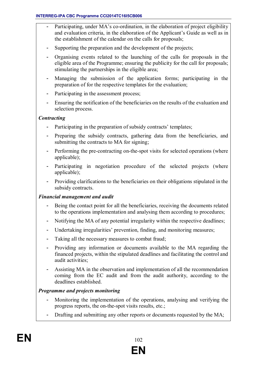- Participating, under MA's co-ordination, in the elaboration of project eligibility and evaluation criteria, in the elaboration of the Applicant's Guide as well as in the establishment of the calendar on the calls for proposals;
- Supporting the preparation and the development of the projects;
- Organising events related to the launching of the calls for proposals in the eligible area of the Programme; ensuring the publicity for the call for proposals; stimulating the partnerships in the eligible area;
- Managing the submission of the application forms; participating in the preparation of for the respective templates for the evaluation;
- Participating in the assessment process;
- Ensuring the notification of the beneficiaries on the results of the evaluation and selection process.

### *Contracting*

- Participating in the preparation of subsidy contracts' templates;
- Preparing the subsidy contracts, gathering data from the beneficiaries, and submitting the contracts to MA for signing;
- Performing the pre-contracting on-the-spot visits for selected operations (where applicable);
- Participating in negotiation procedure of the selected projects (where applicable);
- Providing clarifications to the beneficiaries on their obligations stipulated in the subsidy contracts.

### *Financial management and audit*

- Being the contact point for all the beneficiaries, receiving the documents related to the operations implementation and analysing them according to procedures;
- Notifying the MA of any potential irregularity within the respective deadlines;
- Undertaking irregularities' prevention, finding, and monitoring measures;
- Taking all the necessary measures to combat fraud;
- Providing any information or documents available to the MA regarding the financed projects, within the stipulated deadlines and facilitating the control and audit activities;
- Assisting MA in the observation and implementation of all the recommendation coming from the EC audit and from the audit authority, according to the deadlines established.

### *Programme and projects monitoring*

- Monitoring the implementation of the operations, analysing and verifying the progress reports, the on-the-spot visits results, etc.;
- Drafting and submitting any other reports or documents requested by the MA;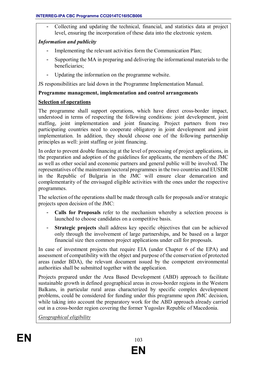#### **INTERREG-IPA CBC Programme CCI2014TC16I5CB006**

- Collecting and updating the technical, financial, and statistics data at project level, ensuring the incorporation of these data into the electronic system.

# *Information and publicity*

- Implementing the relevant activities form the Communication Plan;
- Supporting the MA in preparing and delivering the informational materials to the beneficiaries;
- Updating the information on the programme website.

JS responsibilities are laid down in the Programme Implementation Manual.

# **Programme management, implementation and control arrangements**

# **Selection of operations**

The programme shall support operations, which have direct cross-border impact, understood in terms of respecting the following conditions: joint development, joint staffing, joint implementation and joint financing. Project partners from two participating countries need to cooperate obligatory in joint development and joint implementation. In addition, they should choose one of the following partnership principles as well: joint staffing or joint financing.

In order to prevent double financing at the level of processing of project applications, in the preparation and adoption of the guidelines for applicants, the members of the JMC as well as other social and economic partners and general public will be involved. The representatives of the mainstream/sectoral programmes in the two countries and EUSDR in the Republic of Bulgaria in the JMC will ensure clear demarcation and complementarity of the envisaged eligible activities with the ones under the respective programmes.

The selection of the operations shall be made through calls for proposals and/or strategic projects upon decision of the JMC:

- **Calls for Proposals** refer to the mechanism whereby a selection process is launched to choose candidates on a competitive basis.
- **Strategic projects** shall address key specific objectives that can be achieved only through the involvement of large partnerships, and be based on a larger financial size then common project applications under call for proposals.

In case of investment projects that require EIA (under Chapter 6 of the EPA) and assessment of compatibility with the object and purpose of the conservation of protected areas (under BDA), the relevant document issued by the competent environmental authorities shall be submitted together with the application.

Projects prepared under the Area Based Development (ABD) approach to facilitate sustainable growth in defined geographical areas in cross-border regions in the Western Balkans, in particular rural areas characterized by specific complex development problems, could be considered for funding under this programme upon JMC decision, while taking into account the preparatory work for the ABD approach already carried out in a cross-border region covering the former Yugoslav Republic of Macedonia.

*Geographical eligibility*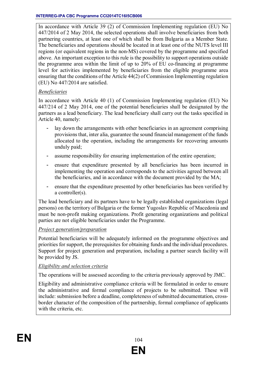In accordance with Article 39 (2) of Commission Implementing regulation (EU) No 447/2014 of 2 May 2014, the selected operations shall involve beneficiaries from both partnering countries, at least one of which shall be from Bulgaria as a Member State. The beneficiaries and operations should be located in at least one of the NUTS level III regions (or equivalent regions in the non-MS) covered by the programme and specified above. An important exception to this rule is the possibility to support operations outside the programme area within the limit of up to 20% of EU co-financing at programme level for activities implemented by beneficiaries from the eligible programme area ensuring that the conditions of the Article 44(2) of Commission Implementing regulation (EU) No 447/2014 are satisfied.

# *Beneficiaries*

In accordance with Article 40 (1) of Commission Implementing regulation (EU) No 447/214 of 2 May 2014, one of the potential beneficiaries shall be designated by the partners as a lead beneficiary. The lead beneficiary shall carry out the tasks specified in Article 40, namely:

- lay down the arrangements with other beneficiaries in an agreement comprising provisions that, inter alia, guarantee the sound financial management of the funds allocated to the operation, including the arrangements for recovering amounts unduly paid;
- assume responsibility for ensuring implementation of the entire operation;
- ensure that expenditure presented by all beneficiaries has been incurred in implementing the operation and corresponds to the activities agreed between all the beneficiaries, and in accordance with the document provided by the MA;
- ensure that the expenditure presented by other beneficiaries has been verified by a controller(s).

The lead beneficiary and its partners have to be legally established organizations (legal persons) on the territory of Bulgaria or the former Yugoslav Republic of Macedonia and must be non-profit making organizations. Profit generating organizations and political parties are not eligible beneficiaries under the Programme.

### *Project generation/preparation*

Potential beneficiaries will be adequately informed on the programme objectives and priorities for support, the prerequisites for obtaining funds and the individual procedures. Support for project generation and preparation, including a partner search facility will be provided by JS.

### *Eligibility and selection criteria*

The operations will be assessed according to the criteria previously approved by JMC.

Eligibility and administrative compliance criteria will be formulated in order to ensure the administrative and formal compliance of projects to be submitted. These will include: submission before a deadline, completeness of submitted documentation, crossborder character of the composition of the partnership, formal compliance of applicants with the criteria, etc.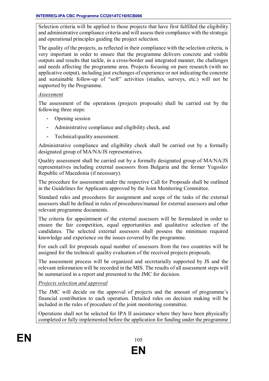Selection criteria will be applied to those projects that have first fulfilled the eligibility and administrative compliance criteria and will assess their compliance with the strategic and operational principles guiding the project selection.

The quality of the projects, as reflected in their compliance with the selection criteria, is very important in order to ensure that the programme delivers concrete and visible outputs and results that tackle, in a cross-border and integrated manner, the challenges and needs affecting the programme area. Projects focusing on pure research (with no applicative output), including just exchanges of experience or not indicating the concrete and sustainable follow-up of "soft" activities (studies, surveys, etc.) will not be supported by the Programme.

### *Assessment*

The assessment of the operations (projects proposals) shall be carried out by the following three steps:

- Opening session
- Administrative compliance and eligibility check, and
- Technical/quality assessment.

Administrative compliance and eligibility check shall be carried out by a formally designated group of MA/NA/JS representatives.

Quality assessment shall be carried out by a formally designated group of MA/NA/JS representatives including external assessors from Bulgaria and the former Yugoslav Republic of Macedonia (if necessary).

The procedure for assessment under the respective Call for Proposals shall be outlined in the Guidelines for Applicants approved by the Joint Monitoring Committee.

Standard rules and procedures for assignment and scope of the tasks of the external assessors shall be defined in rules of procedures/manual for external assessors and other relevant programme documents.

The criteria for appointment of the external assessors will be formulated in order to ensure the fair competition, equal opportunities and qualitative selection of the candidates. The selected external assessors shall possess the minimum required knowledge and experience on the issues covered by the programme.

For each call for proposals equal number of assessors from the two countries will be assigned for the technical/ quality evaluation of the received projects proposals.

The assessment process will be organized and secretarially supported by JS and the relevant information will be recorded in the MIS. The results of all assessment steps will be summarized in a report and presented to the JMC for decision.

### *Projects selection and approval*

The JMC will decide on the approval of projects and the amount of programme's financial contribution to each operation. Detailed rules on decision making will be included in the rules of procedure of the joint monitoring committee.

Operations shall not be selected for IPA II assistance where they have been physically completed or fully implemented before the application for funding under the programme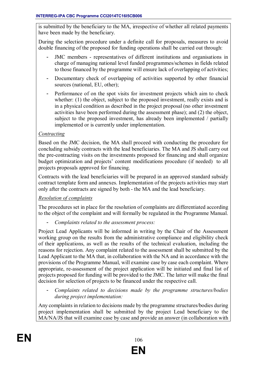is submitted by the beneficiary to the MA, irrespective of whether all related payments have been made by the beneficiary.

During the selection procedure under a definite call for proposals, measures to avoid double financing of the proposed for funding operations shall be carried out through:

- JMC members representatives of different institutions and organisations in charge of managing national level funded programmes/schemes in fields related to those financed by the programme will ensure lack of overlapping of activities;
- Documentary check of overlapping of activities supported by other financial sources (national, EU, other);
- Performance of on the spot visits for investment projects which aim to check whether: (1) the object, subject to the proposed investment, really exists and is in a physical condition as described in the project proposal (no other investment activities have been performed during the assessment phase); and (2) the object, subject to the proposed investment, has already been implemented / partially implemented or is currently under implementation.

# *Contracting*

Based on the JMC decision, the MA shall proceed with conducting the procedure for concluding subsidy contracts with the lead beneficiaries. The MA and JS shall carry out the pre-contracting visits on the investments proposed for financing and shall organize budget optimization and projects' content modifications procedure (if needed) to all projects proposals approved for financing.

Contracts with the lead beneficiaries will be prepared in an approved standard subsidy contract template form and annexes. Implementation of the projects activities may start only after the contracts are signed by both - the MA and the lead beneficiary.

### *Resolution of complaints*

The procedures set in place for the resolution of complaints are differentiated according to the object of the complaint and will formally be regulated in the Programme Manual.

Complaints related to the assessment process:

Project Lead Applicants will be informed in writing by the Chair of the Assessment working group on the results from the administrative compliance and eligibility check of their applications, as well as the results of the technical evaluation, including the reasons for rejection. Any complaint related to the assessment shall be submitted by the Lead Applicant to the MA that, in collaboration with the NA and in accordance with the provisions of the Programme Manual, will examine case by case each complaint. Where appropriate, re-assessment of the project application will be initiated and final list of projects proposed for funding will be provided to the JMC. The latter will make the final decision for selection of projects to be financed under the respective call.

- *Complaints related to decisions made by the programme structures/bodies during project implementation:* 

Any complaints in relation to decisions made by the programme structures/bodies during project implementation shall be submitted by the project Lead beneficiary to the MA/NA/JS that will examine case by case and provide an answer (in collaboration with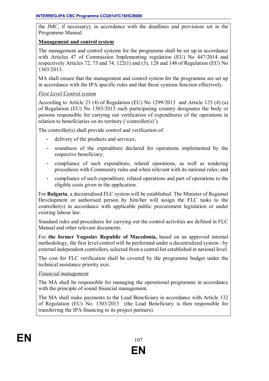the JMC, if necessary), in accordance with the deadlines and provisions set in the Programme Manual.

# **Management and control system**

The management and control systems for the programme shall be set up in accordance with Articles 47 of Commission Implementing regulation (EU) No 447/2014 and respectively Articles 72, 73 and 74, 122(1) and (3), 128 and 148 of Regulation (EU) No 1303/2013.

MA shall ensure that the management and control system for the programme are set up in accordance with the IPA specific rules and that those systems function effectively.

# *First Level Control system*

According to Article 23 (4) of Regulation (EU) No 1299/2013 and Article 125 (4) (a) of Regulation (EU) No 1303/2013 each participating country designates the body or persons responsible for carrying out verification of expenditures of the operations in relation to beneficiaries on its territory ('controller(s)').

The controller(s) shall provide control and verification of:

- delivery of the products and services;
- soundness of the expenditure declared for operations implemented by the respective beneficiary;
- compliance of such expenditure, related operations, as well as tendering procedures with Community rules and when relevant with its national rules; and
- compliance of such expenditure, related operations and part of operations to the eligible costs given in the application.

For **Bulgaria**, a decentralised FLC system will be established. The Minister of Regional Development or authorised person by him/her will assign the FLC tasks to the controller(s) in accordance with applicable public procurement legislation or under existing labour law.

Standard rules and procedures for carrying out the control activities are defined in FLC Manual and other relevant documents.

For **the former Yugoslav Republic of Macedonia,** based on an approved internal methodology, the first level control will be performed under a decentralized system - by external independent controllers, selected from a central list established at national level.

The cost for FLC verification shall be covered by the programme budget under the technical assistance priority axis.

# *Financial management*

The MA shall be responsible for managing the operational programme in accordance with the principle of sound financial management.

The MA shall make payments to the Lead Beneficiary in accordance with Article 132 of Regulation (EU) No. 1303/2013 (the Lead Beneficiary is then responsible for transferring the IPA financing to its project partners).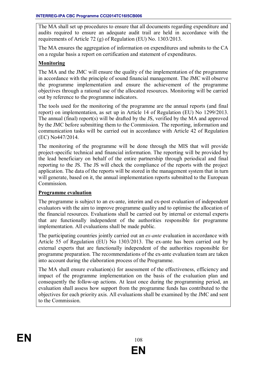The MA shall set up procedures to ensure that all documents regarding expenditure and audits required to ensure an adequate audit trail are held in accordance with the requirements of Article 72 (g) of Regulation (EU) No. 1303/2013.

The MA ensures the aggregation of information on expenditures and submits to the CA on a regular basis a report on certification and statement of expenditures.

# **Monitoring**

The MA and the JMC will ensure the quality of the implementation of the programme in accordance with the principle of sound financial management. The JMC will observe the programme implementation and ensure the achievement of the programme objectives through a rational use of the allocated resources. Monitoring will be carried out by reference to the programme indicators.

The tools used for the monitoring of the programme are the annual reports (and final report) on implementation, as set up in Article 14 of Regulation (EU) No 1299/2013. The annual (final) report(s) will be drafted by the JS, verified by the MA and approved by the JMC before submitting them to the Commission. The reporting, information and communication tasks will be carried out in accordance with Article 42 of Regulation (EC) No447/2014.

The monitoring of the programme will be done through the MIS that will provide project-specific technical and financial information. The reporting will be provided by the lead beneficiary on behalf of the entire partnership through periodical and final reporting to the JS. The JS will check the compliance of the reports with the project application. The data of the reports will be stored in the management system that in turn will generate, based on it, the annual implementation reports submitted to the European Commission.

# **Programme evaluation**

The programme is subject to an ex-ante, interim and ex-post evaluation of independent evaluators with the aim to improve programme quality and to optimise the allocation of the financial resources. Evaluations shall be carried out by internal or external experts that are functionally independent of the authorities responsible for programme implementation. All evaluations shall be made public.

The participating countries jointly carried out an *ex-ante* evaluation in accordance with Article 55 of Regulation (EU) No 1303/2013. The ex-ante has been carried out by external experts that are functionally independent of the authorities responsible for programme preparation. The recommendations of the ex-ante evaluation team are taken into account during the elaboration process of the Programme.

The MA shall ensure evaluation(s) for assessment of the effectiveness, efficiency and impact of the programme implementation on the basis of the evaluation plan and consequently the follow-up actions. At least once during the programming period, an evaluation shall assess how support from the programme funds has contributed to the objectives for each priority axis. All evaluations shall be examined by the JMC and sent to the Commission.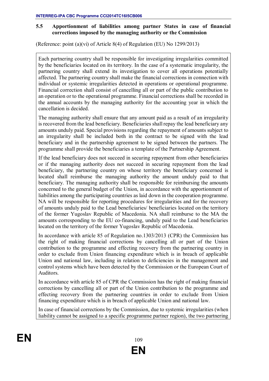#### **5.5 Apportionment of liabilities among partner States in case of financial corrections imposed by the managing authority or the Commission**

(Reference: point (a)(vi) of Article 8(4) of Regulation (EU) No 1299/2013)

Each partnering country shall be responsible for investigating irregularities committed by the beneficiaries located on its territory. In the case of a systematic irregularity, the partnering country shall extend its investigation to cover all operations potentially affected. The partnering country shall make the financial corrections in connection with individual or systemic irregularities detected in operations or operational programme. Financial correction shall consist of cancelling all or part of the public contribution to an operation or to the operational programme. Financial corrections shall be recorded in the annual accounts by the managing authority for the accounting year in which the cancellation is decided.

The managing authority shall ensure that any amount paid as a result of an irregularity is recovered from the lead beneficiary. Beneficiaries shall repay the lead beneficiary any amounts unduly paid. Special provisions regarding the repayment of amounts subject to an irregularity shall be included both in the contract to be signed with the lead beneficiary and in the partnership agreement to be signed between the partners. The programme shall provide the beneficiaries a template of the Partnership Agreement.

If the lead beneficiary does not succeed in securing repayment from other beneficiaries or if the managing authority does not succeed in securing repayment from the lead beneficiary, the partnering country on whose territory the beneficiary concerned is located shall reimburse the managing authority the amount unduly paid to that beneficiary. The managing authority shall be responsible for reimbursing the amounts concerned to the general budget of the Union, in accordance with the apportionment of liabilities among the participating countries as laid down in the cooperation programme. NA will be responsible for reporting procedures for irregularities and for the recovery of amounts unduly paid to the Lead beneficiaries/ beneficiaries located on the territory of the former Yugoslav Republic of Macedonia. NA shall reimburse to the MA the amounts corresponding to the EU co-financing, unduly paid to the Lead beneficiaries located on the territory of the former Yugoslav Republic of Macedonia.

In accordance with article 85 of Regulation no.1303/2013 (CPR) the Commission has the right of making financial corrections by cancelling all or part of the Union contribution to the programme and effecting recovery from the partnering country in order to exclude from Union financing expenditure which is in breach of applicable Union and national law, including in relation to deficiencies in the management and control systems which have been detected by the Commission or the European Court of Auditors.

In accordance with article 85 of CPR the Commission has the right of making financial corrections by cancelling all or part of the Union contribution to the programme and effecting recovery from the partnering countries in order to exclude from Union financing expenditure which is in breach of applicable Union and national law.

In case of financial corrections by the Commission, due to systemic irregularities (when liability cannot be assigned to a specific programme partner region), the two partnering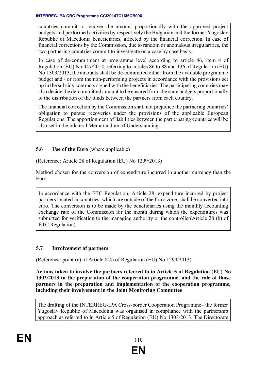countries commit to recover the amount proportionally with the approved project budgets and performed activities by respectively the Bulgarian and the former Yugoslav Republic of Macedonia beneficiaries, affected by the financial correction. In case of financial corrections by the Commission, due to random or anomalous irregularities, the two partnering countries commit to investigate on a case by case basis.

In case of de-commitment at programme level according to article 46, item 4 of Regulation (EU) No 447/2014, referring to articles 86 to 88 and 136 of Regulation (EU) No 1303/2013, the amounts shall be de-committed either from the available programme budget and / or from the non-performing projects in accordance with the provisions set up in the subsidy contracts signed with the beneficiaries. The participating countries may also decide the de-committed amount to be ensured from the state budgets proportionally to the distribution of the funds between the partners from each country.

The financial correction by the Commission shall not prejudice the partnering countries' obligation to pursue recoveries under the provisions of the applicable European Regulations. The apportionment of liabilities between the participating countries will be also set in the bilateral Memorandum of Understanding.

## **5.6 Use of the Euro** (where applicable)

(Reference: Article 28 of Regulation (EU) No 1299/2013)

Method chosen for the conversion of expenditure incurred in another currency than the Euro

In accordance with the ETC Regulation, Article 28, expenditure incurred by project partners located in countries, which are outside of the Euro zone, shall be converted into euro. The conversion is to be made by the beneficiaries using the monthly accounting exchange rate of the Commission for the month during which the expenditures was submitted for verification to the managing authority or the controller(Article 28 (b) of ETC Regulation).

# **5.7 Involvement of partners**

(Reference: point (c) of Article 8(4) of Regulation (EU) No 1299/2013)

**Actions taken to involve the partners referred to in Article 5 of Regulation (EU) No 1303/2013 in the preparation of the cooperation programme, and the role of those partners in the preparation and implementation of the cooperation programme, including their involvement in the Joint Monitoring Committee**

The drafting of the INTERREG-IPA Cross-border Cooperation Programme– the former Yugoslav Republic of Macedonia was organised in compliance with the partnership approach as referred to in Article 5 of Regulation (EU) No 1303/2013. The Directorate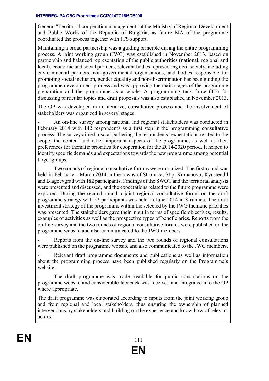General "Territorial cooperation management" at the Ministry of Regional Development and Public Works of the Republic of Bulgaria, as future MA of the programme coordinated the process together with JTS support.

Maintaining a broad partnership was a guiding principle during the entire programming process. A joint working group (JWG) was established in November 2013, based on partnership and balanced representation of the public authorities (national, regional and local), economic and social partners, relevant bodies representing civil society, including environmental partners, non-governmental organisations, and bodies responsible for promoting social inclusion, gender equality and non-discrimination has been guiding the programme development process and was approving the main stages of the programme preparation and the programme as a whole. A programming task force (TF) for discussing particular topics and draft proposals was also established in November 2013.

The OP was developed in an iterative, consultative process and the involvement of stakeholders was organized in several stages:

- An on-line survey among national and regional stakeholders was conducted in February 2014 with 142 respondents as a first step in the programming consultative process. The survey aimed also at gathering the respondents' expectations related to the scope, the content and other important aspects of the programme, as well as their preferences for thematic priorities for cooperation for the 2014-2020 period. It helped to identify specific demands and expectations towards the new programme among potential target groups.

Two rounds of regional consultative forums were organized. The first round was held in February – March 2014 in the towns of Strumica, Stip, Kumanovo, Kyustendil and Blagoevgrad with 182 participants. Findings of the SWOT and the territorial analysis were presented and discussed, and the expectations related to the future programme were explored. During the second round a joint regional consultative forum on the draft programme strategy with 52 participants was held In June 2014 in Strumica. The draft investment strategy of the programme within the selected by the JWG thematic priorities was presented. The stakeholders gave their input in terms of specific objectives, results, examples of activities as well as the prospective types of beneficiaries. Reports from the on-line survey and the two rounds of regional consultative forums were published on the programme website and also communicated to the JWG members.

Reports from the on-line survey and the two rounds of regional consultations were published on the programme website and also communicated to the JWG members.

Relevant draft programme documents and publications as well as information about the programming process have been published regularly on the Programme's website.

The draft programme was made available for public consultations on the programme website and considerable feedback was received and integrated into the OP where appropriate.

The draft programme was elaborated according to inputs from the joint working group and from regional and local stakeholders, thus ensuring the ownership of planned interventions by stakeholders and building on the experience and know-how of relevant actors.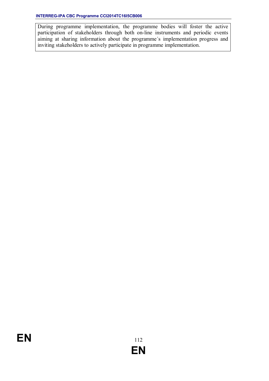#### **INTERREG-IPA CBC Programme CCI2014TC16I5CB006**

During programme implementation, the programme bodies will foster the active participation of stakeholders through both on-line instruments and periodic events aiming at sharing information about the programme´s implementation progress and inviting stakeholders to actively participate in programme implementation.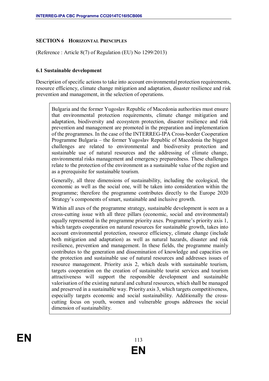## **SECTION 6 HORIZONTAL PRINCIPLES**

(Reference : Article 8(7) of Regulation (EU) No 1299/2013)

#### **6.1 Sustainable development**

Description of specific actions to take into account environmental protection requirements, resource efficiency, climate change mitigation and adaptation, disaster resilience and risk prevention and management, in the selection of operations.

Bulgaria and the former Yugoslav Republic of Macedonia authorities must ensure that environmental protection requirements, climate change mitigation and adaptation, biodiversity and ecosystem protection, disaster resilience and risk prevention and management are promoted in the preparation and implementation of the programmes. In the case of the INTERREG-IPA Cross-border Cooperation Programme Bulgaria – the former Yugoslav Republic of Macedonia the biggest challenges are related to environmental and biodiversity protection and sustainable use of natural resources and the addressing of climate change, environmental risks management and emergency preparedness. These challenges relate to the protection of the environment as a sustainable value of the region and as a prerequisite for sustainable tourism.

Generally, all three dimensions of sustainability, including the ecological, the economic as well as the social one, will be taken into consideration within the programme; therefore the programme contributes directly to the Europe 2020 Strategy's components of smart, sustainable and inclusive growth.

Within all axes of the programme strategy, sustainable development is seen as a cross-cutting issue with all three pillars (economic, social and environmental) equally represented in the programme priority axes. Programme's priority axis 1, which targets cooperation on natural resources for sustainable growth, takes into account environmental protection, resource efficiency, climate change (include both mitigation and adaptation) as well as natural hazards, disaster and risk resilience, prevention and management. In these fields, the programme mainly contributes to the generation and dissemination of knowledge and capacities on the protection and sustainable use of natural resources and addresses issues of resource management. Priority axis 2, which deals with sustainable tourism, targets cooperation on the creation of sustainable tourist services and tourism attractiveness will support the responsible development and sustainable valorisation of the existing natural and cultural resources, which shall be managed and preserved in a sustainable way. Priority axis 3, which targets competitiveness, especially targets economic and social sustainability. Additionally the crosscutting focus on youth, women and vulnerable groups addresses the social dimension of sustainability.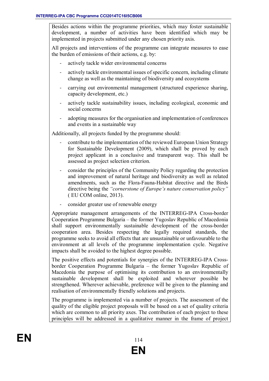Besides actions within the programme priorities, which may foster sustainable development, a number of activities have been identified which may be implemented in projects submitted under any chosen priority axis.

All projects and interventions of the programme can integrate measures to ease the burden of emissions of their actions, e.g. by:

- actively tackle wider environmental concerns
- actively tackle environmental issues of specific concern, including climate change as well as the maintaining of biodiversity and ecosystems
- carrying out environmental management (structured experience sharing, capacity development, etc.)
- actively tackle sustainability issues, including ecological, economic and social concerns
- adopting measures for the organisation and implementation of conferences and events in a sustainable way

Additionally, all projects funded by the programme should:

- contribute to the implementation of the reviewed European Union Strategy for Sustainable Development (2009), which shall be proved by each project applicant in a conclusive and transparent way. This shall be assessed as project selection criterion.
- consider the principles of the Community Policy regarding the protection and improvement of natural heritage and biodiversity as well as related amendments, such as the Flora-Fauna-Habitat directive and the Birds directive being the *"cornerstone of Europe's nature conservation policy"* ( EU COM online, 2013).
- consider greater use of renewable energy

Appropriate management arrangements of the INTERREG-IPA Cross-border Cooperation Programme Bulgaria – the former Yugoslav Republic of Macedonia shall support environmentally sustainable development of the cross-border cooperation area. Besides respecting the legally required standards, the programme seeks to avoid all effects that are unsustainable or unfavourable to the environment at all levels of the programme implementation cycle. Negative impacts shall be avoided to the highest degree possible.

The positive effects and potentials for synergies of the INTERREG-IPA Crossborder Cooperation Programme Bulgaria – the former Yugoslav Republic of Macedonia the purpose of optimising its contribution to an environmentally sustainable development shall be exploited and wherever possible be strengthened. Wherever achievable, preference will be given to the planning and realisation of environmentally friendly solutions and projects.

The programme is implemented via a number of projects. The assessment of the quality of the eligible project proposals will be based on a set of quality criteria which are common to all priority axes. The contribution of each project to these principles will be addressed in a qualitative manner in the frame of project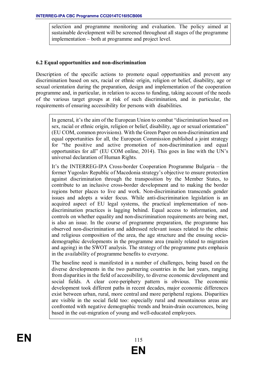selection and programme monitoring and evaluation. The policy aimed at sustainable development will be screened throughout all stages of the programme implementation – both at programme and project level.

#### **6.2 Equal opportunities and non-discrimination**

Description of the specific actions to promote equal opportunities and prevent any discrimination based on sex, racial or ethnic origin, religion or belief, disability, age or sexual orientation during the preparation, design and implementation of the cooperation programme and, in particular, in relation to access to funding, taking account of the needs of the various target groups at risk of such discrimination, and in particular, the requirements of ensuring accessibility for persons with disabilities.

In general, it's the aim of the European Union to combat "discrimination based on sex, racial or ethnic origin, religion or belief, disability, age or sexual orientation" (EU COM, common provisions). With the Green Paper on non-discrimination and equal opportunities for all, the European Commission published a joint strategy for "the positive and active promotion of non-discrimination and equal opportunities for all" (EU COM online, 2014). This goes in line with the UN's universal declaration of Human Rights.

It's the INTERREG-IPA Cross-border Cooperation Programme Bulgaria – the former Yugoslav Republic of Macedonia strategy's objective to ensure protection against discrimination through the transposition by the Member States, to contribute to an inclusive cross-border development and to making the border regions better places to live and work. Non-discrimination transcends gender issues and adopts a wider focus. While anti-discrimination legislation is an acquired aspect of EU legal systems, the practical implementation of nondiscrimination practices is lagging behind. Equal access to information, and controls on whether equality and non-discrimination requirements are being met, is also an issue. In the course of programme preparation, the programme has observed non-discrimination and addressed relevant issues related to the ethnic and religious composition of the area, the age structure and the ensuing sociodemographic developments in the programme area (mainly related to migration and ageing) in the SWOT analysis. The strategy of the programme puts emphasis in the availability of programme benefits to everyone.

The baseline need is manifested in a number of challenges, being based on the diverse developments in the two partnering countries in the last years, ranging from disparities in the field of accessibility, to diverse economic development and social fields. A clear core-periphery pattern is obvious. The economic development took different paths in recent decades, major economic differences exist between urban, rural, more central and more peripheral regions. Disparities are visible in the social field too: especially rural and mountainous areas are confronted with negative demographic trends and brain-drain occurrences, being based in the out-migration of young and well-educated employees.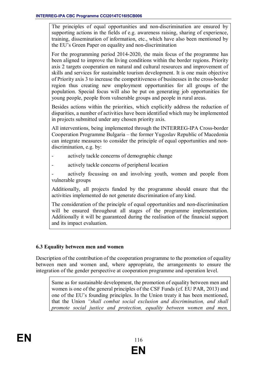The principles of equal opportunities and non-discrimination are ensured by supporting actions in the fields of e.g. awareness raising, sharing of experience, training, dissemination of information, etc., which have also been mentioned by the EU's Green Paper on equality and non-discrimination

For the programming period 2014-2020, the main focus of the programme has been aligned to improve the living conditions within the border regions. Priority axis 2 targets cooperation on natural and cultural resources and improvement of skills and services for sustainable tourism development. It is one main objective of Priority axis 3 to increase the competitiveness of businesses in the cross-border region thus creating new employment opportunities for all groups of the population. Special focus will also be put on generating job opportunities for young people, people from vulnerable groups and people in rural areas.

Besides actions within the priorities, which explicitly address the reduction of disparities, a number of activities have been identified which may be implemented in projects submitted under any chosen priority axis.

All interventions, being implemented through the INTERREG-IPA Cross-border Cooperation Programme Bulgaria – the former Yugoslav Republic of Macedonia can integrate measures to consider the principle of equal opportunities and nondiscrimination, e.g. by:

- actively tackle concerns of demographic change
- actively tackle concerns of peripheral location

actively focussing on and involving youth, women and people from vulnerable groups

Additionally, all projects funded by the programme should ensure that the activities implemented do not generate discrimination of any kind.

The consideration of the principle of equal opportunities and non-discrimination will be ensured throughout all stages of the programme implementation. Additionally it will be guaranteed during the realisation of the financial support and its impact evaluation.

## **6.3 Equality between men and women**

Description of the contribution of the cooperation programme to the promotion of equality between men and women and, where appropriate, the arrangements to ensure the integration of the gender perspective at cooperation programme and operation level.

Same as for sustainable development, the promotion of equality between men and women is one of the general principles of the CSF Funds (cf. EU PAR, 2013) and one of the EU's founding principles. In the Union treaty it has been mentioned, that the Union *"shall combat social exclusion and discrimination, and shall promote social justice and protection, equality between women and men,*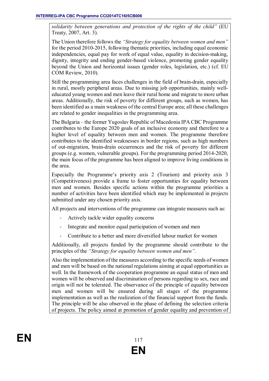*solidarity between generations and protection of the rights of the child"* (EU Treaty, 2007, Art. 3).

The Union therefore follows the *"Strategy for equality between women and men"* for the period 2010-2015, following thematic priorities, including equal economic independencies, equal pay for work of equal value, equality in decision-making, dignity, integrity and ending gender-based violence, promoting gender equality beyond the Union and horizontal issues (gender roles, legislation, etc.) (cf. EU COM Review, 2010).

Still the programming area faces challenges in the field of brain-drain, especially in rural, mostly peripheral areas. Due to missing job opportunities, mainly welleducated young women and men leave their rural home and migrate to more urban areas. Additionally, the risk of poverty for different groups, such as women, has been identified as a main weakness of the central Europe area; all these challenges are related to gender inequalities in the programming area.

The Bulgaria – the former Yugoslav Republic of Macedonia IPA CBC Programme contributes to the Europe 2020 goals of an inclusive economy and therefore to a higher level of equality between men and women. The programme therefore contributes to the identified weaknesses in border regions, such as high numbers of out-migration, brain-drain occurrences and the risk of poverty for different groups (e.g. women, vulnerable groups). For the programming period 2014-2020, the main focus of the programme has been aligned to improve living conditions in the area.

Especially the Programme's priority axis 2 (Tourism) and priority axis 3 (Competitiveness) provide a frame to foster opportunities for equality between men and women. Besides specific actions within the programme priorities a number of activities have been identified which may be implemented in projects submitted under any chosen priority axis.

All projects and interventions of the programme can integrate measures such as:

- Actively tackle wider equality concerns
- Integrate and monitor equal participation of women and men
- Contribute to a better and more diversified labour market for women

Additionally, all projects funded by the programme should contribute to the principles of the *"Strategy for equality between women and men".*

Also the implementation of the measures according to the specific needs of women and men will be based on the national regulations aiming at equal opportunities as well. In the framework of the cooperation programme an equal status of men and women will be observed and discrimination of persons regarding to sex, race and origin will not be tolerated. The observance of the principle of equality between men and women will be ensured during all stages of the programme implementation as well as the realization of the financial support from the funds. The principle will be also observed in the phase of defining the selection criteria of projects. The policy aimed at promotion of gender equality and prevention of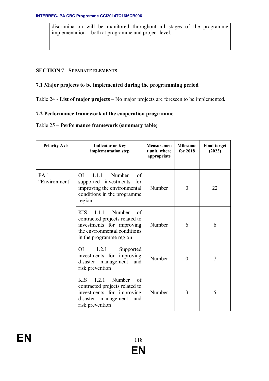discrimination will be monitored throughout all stages of the programme implementation – both at programme and project level.

## **SECTION 7 SEPARATE ELEMENTS**

## **7.1 Major projects to be implemented during the programming period**

Table 24 - **List of major projects** – No major projects are foreseen to be implemented.

## **7.2 Performance framework of the cooperation programme**

#### Table 25 – **Performance framework (summary table)**

| <b>Priority Axis</b>             | <b>Indicator or Key</b><br>implementation step                                                                                                                | <b>Measuremen</b><br>t unit, where<br>appropriate | <b>Milestone</b><br>for 2018 | <b>Final target</b><br>(2023) |
|----------------------------------|---------------------------------------------------------------------------------------------------------------------------------------------------------------|---------------------------------------------------|------------------------------|-------------------------------|
| PA <sub>1</sub><br>"Environment" | $\overline{O}$<br>Number<br>1.1.1<br>of<br>supported investments<br>for<br>improving the environmental<br>conditions in the programme<br>region               | Number                                            | $\theta$                     | 22                            |
|                                  | <b>KIS</b><br>1.1.1<br>Number<br>of<br>contracted projects related to<br>investments for improving<br>the environmental conditions<br>in the programme region | Number                                            | 6                            | 6                             |
|                                  | 1.2.1<br>ΟI<br>Supported<br>improving<br>investments for<br>disaster<br>management<br>and<br>risk prevention                                                  | Number                                            | $\theta$                     | $\overline{7}$                |
|                                  | <b>KIS</b><br>1.2.1<br>Number<br>of<br>contracted projects related to<br>investments for improving<br>disaster<br>management<br>and<br>risk prevention        | Number                                            | 3                            | 5                             |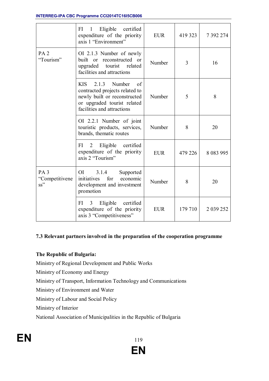#### **INTERREG-IPA CBC Programme CCI2014TC16I5CB006**

|                                          | Eligible certified<br>$FI$ 1<br>expenditure of the priority<br>axis 1 "Environment"                                                                                        | <b>EUR</b> | 419 323 | 7 392 274     |
|------------------------------------------|----------------------------------------------------------------------------------------------------------------------------------------------------------------------------|------------|---------|---------------|
| PA <sub>2</sub><br>"Tourism"             | OI 2.1.3 Number of newly<br>reconstructed<br>built<br>$\overline{\text{or}}$<br>$\alpha$<br>upgraded tourist related<br>facilities and attractions                         | Number     | 3       | 16            |
|                                          | 2.1.3<br>Number<br>$\sigma$ f<br><b>KIS</b><br>contracted projects related to<br>newly built or reconstructed<br>or upgraded tourist related<br>facilities and attractions | Number     | 5       | 8             |
|                                          | OI 2.2.1 Number of joint<br>touristic products, services,<br>brands, thematic routes                                                                                       | Number     | 8       | 20            |
|                                          | Eligible<br>FI<br>certified<br>2<br>expenditure of the priority<br>axis 2 "Tourism"                                                                                        | <b>EUR</b> | 479 226 | 8 0 8 3 9 9 5 |
| PA <sub>3</sub><br>"Competitivene<br>ss" | O <sub>I</sub><br>3.1.4<br>Supported<br>for<br>initiatives<br>economic<br>development and investment<br>promotion                                                          | Number     | 8       | 20            |
|                                          | Eligible<br>FI<br>3<br>certified<br>expenditure of the priority<br>axis 3 "Competitiveness"                                                                                | <b>EUR</b> | 179 710 | 2 039 252     |

# **7.3 Relevant partners involved in the preparation of the cooperation programme**

# **The Republic of Bulgaria:**

Ministry of Regional Development and Public Works

Ministry of Economy and Energy

Ministry of Transport, Information Technology and Communications

Ministry of Environment and Water

Ministry of Labour and Social Policy

Ministry of Interior

National Association of Municipalities in the Republic of Bulgaria

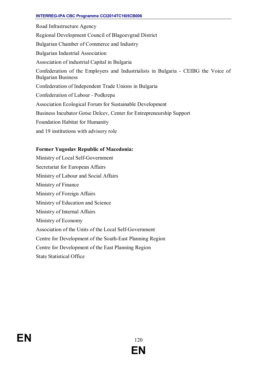#### **INTERREG-IPA CBC Programme CCI2014TC16I5CB006**

Road Infrastructure Agency Regional Development Council of Blagoevgrad District Bulgarian Chamber of Commerce and Industry Bulgarian Industrial Association Association of industrial Capital in Bulgaria Confederation of the Employers and Industrialists in Bulgaria - CEIBG the Voice of Bulgarian Business Confederation of Independent Trade Unions in Bulgaria Confederation of Labour - Podkrepa Association Ecological Forum for Sustainable Development Business Incubator Gotse Delcev, Center for Entrepreneurship Support Foundation Habitat for Humanity and 19 institutions with advisory role

## **Former Yugoslav Republic of Macedonia:**

Ministry of Local Self-Government Secretariat for European Affairs Ministry of Labour and Social Affairs Ministry of Finance Ministry of Foreign Affairs Ministry of Education and Science Ministry of Internal Affairs Ministry of Economy Association of the Units of the Local Self-Government Centre for Development of the South-East Planning Region Centre for Development of the East Planning Region State Statistical Office